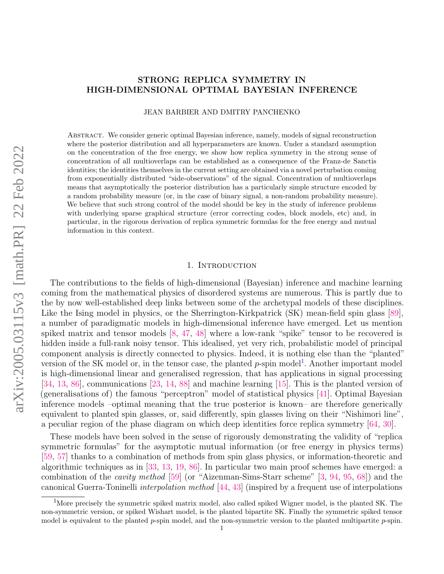# STRONG REPLICA SYMMETRY IN HIGH-DIMENSIONAL OPTIMAL BAYESIAN INFERENCE

JEAN BARBIER AND DMITRY PANCHENKO

Abstract. We consider generic optimal Bayesian inference, namely, models of signal reconstruction where the posterior distribution and all hyperparameters are known. Under a standard assumption on the concentration of the free energy, we show how replica symmetry in the strong sense of concentration of all multioverlaps can be established as a consequence of the Franz-de Sanctis identities; the identities themselves in the current setting are obtained via a novel perturbation coming from exponentially distributed "side-observations" of the signal. Concentration of multioverlaps means that asymptotically the posterior distribution has a particularly simple structure encoded by a random probability measure (or, in the case of binary signal, a non-random probability measure). We believe that such strong control of the model should be key in the study of inference problems with underlying sparse graphical structure (error correcting codes, block models, etc) and, in particular, in the rigorous derivation of replica symmetric formulas for the free energy and mutual information in this context.

# 1. INTRODUCTION

The contributions to the fields of high-dimensional (Bayesian) inference and machine learning coming from the mathematical physics of disordered systems are numerous. This is partly due to the by now well-established deep links between some of the archetypal models of these disciplines. Like the Ising model in physics, or the Sherrington-Kirkpatrick (SK) mean-field spin glass [\[89\]](#page-34-0), a number of paradigmatic models in high-dimensional inference have emerged. Let us mention spiked matrix and tensor models [\[8,](#page-31-0) [47,](#page-33-0) [48\]](#page-33-1) where a low-rank "spike" tensor to be recovered is hidden inside a full-rank noisy tensor. This idealised, yet very rich, probabilistic model of principal component analysis is directly connected to physics. Indeed, it is nothing else than the "planted" version of the SK model or, in the tensor case, the planted  $p$ -spin model<sup>[1](#page-0-0)</sup>. Another important model is high-dimensional linear and generalised regression, that has applications in signal processing [\[34,](#page-32-0) [13,](#page-31-1) [86\]](#page-34-1), communications [\[23,](#page-32-1) [14,](#page-31-2) [88\]](#page-34-2) and machine learning [\[15\]](#page-32-2). This is the planted version of (generalisations of) the famous "perceptron" model of statistical physics [\[41\]](#page-33-2). Optimal Bayesian inference models –optimal meaning that the true posterior is known– are therefore generically equivalent to planted spin glasses, or, said differently, spin glasses living on their "Nishimori line", a peculiar region of the phase diagram on which deep identities force replica symmetry [\[64,](#page-33-3) [30\]](#page-32-3).

These models have been solved in the sense of rigorously demonstrating the validity of "replica symmetric formulas" for the asymptotic mutual information (or free energy in physics terms) [\[59,](#page-33-4) [57\]](#page-33-5) thanks to a combination of methods from spin glass physics, or information-theoretic and algorithmic techniques as in [\[33,](#page-32-4) [13,](#page-31-1) [19,](#page-32-5) [86\]](#page-34-1). In particular two main proof schemes have emerged: a combination of the *cavity method* [\[59\]](#page-33-4) (or "Aizenman-Sims-Starr scheme"  $[3, 94, 95, 68]$  $[3, 94, 95, 68]$  $[3, 94, 95, 68]$  $[3, 94, 95, 68]$  $[3, 94, 95, 68]$  $[3, 94, 95, 68]$  $[3, 94, 95, 68]$ ) and the canonical Guerra-Toninelli interpolation method [\[44,](#page-33-6) [43\]](#page-33-7) (inspired by a frequent use of interpolations

<span id="page-0-0"></span><sup>&</sup>lt;sup>1</sup>More precisely the symmetric spiked matrix model, also called spiked Wigner model, is the planted SK. The non-symmetric version, or spiked Wishart model, is the planted bipartite SK. Finally the symmetric spiked tensor model is equivalent to the planted  $p$ -spin model, and the non-symmetric version to the planted multipartite  $p$ -spin.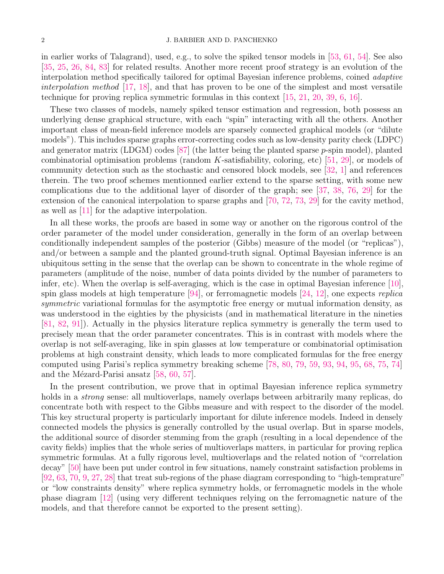in earlier works of Talagrand), used, e.g., to solve the spiked tensor models in [\[53,](#page-33-8) [61,](#page-33-9) [54\]](#page-33-10). See also [\[35,](#page-32-6) [25,](#page-32-7) [26,](#page-32-8) [84,](#page-34-6) [83\]](#page-34-7) for related results. Another more recent proof strategy is an evolution of the interpolation method specifically tailored for optimal Bayesian inference problems, coined adaptive interpolation method  $[17, 18]$  $[17, 18]$  $[17, 18]$ , and that has proven to be one of the simplest and most versatile technique for proving replica symmetric formulas in this context [\[15,](#page-32-2) [21,](#page-32-11) [20,](#page-32-12) [39,](#page-33-11) [6,](#page-31-4) [16\]](#page-32-13).

These two classes of models, namely spiked tensor estimation and regression, both possess an underlying dense graphical structure, with each "spin" interacting with all the others. Another important class of mean-field inference models are sparsely connected graphical models (or "dilute models"). This includes sparse graphs error-correcting codes such as low-density parity check (LDPC) and generator matrix (LDGM) codes  $[87]$  (the latter being the planted sparse p-spin model), planted combinatorial optimisation problems (random K-satisfiability, coloring, etc) [\[51,](#page-33-12) [29\]](#page-32-14), or models of community detection such as the stochastic and censored block models, see [\[32,](#page-32-15) [1\]](#page-31-5) and references therein. The two proof schemes mentionned earlier extend to the sparse setting, with some new complications due to the additional layer of disorder of the graph; see [\[37,](#page-32-16) [38,](#page-32-17) [76,](#page-34-9) [29\]](#page-32-14) for the extension of the canonical interpolation to sparse graphs and [\[70,](#page-34-10) [72,](#page-34-11) [73,](#page-34-12) [29\]](#page-32-14) for the cavity method, as well as [\[11\]](#page-31-6) for the adaptive interpolation.

In all these works, the proofs are based in some way or another on the rigorous control of the order parameter of the model under consideration, generally in the form of an overlap between conditionally independent samples of the posterior (Gibbs) measure of the model (or "replicas"), and/or between a sample and the planted ground-truth signal. Optimal Bayesian inference is an ubiquitous setting in the sense that the overlap can be shown to concentrate in the whole regime of parameters (amplitude of the noise, number of data points divided by the number of parameters to infer, etc). When the overlap is self-averaging, which is the case in optimal Bayesian inference [\[10\]](#page-31-7), spin glass models at high temperature  $[94]$ , or ferromagnetic models  $[24, 12]$  $[24, 12]$  $[24, 12]$ , one expects *replica* symmetric variational formulas for the asymptotic free energy or mutual information density, as was understood in the eighties by the physicists (and in mathematical literature in the nineties [\[81,](#page-34-13) [82,](#page-34-14) [91\]](#page-34-15)). Actually in the physics literature replica symmetry is generally the term used to precisely mean that the order parameter concentrates. This is in contrast with models where the overlap is not self-averaging, like in spin glasses at low temperature or combinatorial optimisation problems at high constraint density, which leads to more complicated formulas for the free energy computed using Parisi's replica symmetry breaking scheme [\[78,](#page-34-16) [80,](#page-34-17) [79,](#page-34-18) [59,](#page-33-4) [93,](#page-34-19) [94,](#page-34-3) [95,](#page-34-4) [68,](#page-34-5) [75,](#page-34-20) [74\]](#page-34-21) and the Mézard-Parisi ansatz  $[58, 60, 57]$  $[58, 60, 57]$  $[58, 60, 57]$  $[58, 60, 57]$  $[58, 60, 57]$ .

In the present contribution, we prove that in optimal Bayesian inference replica symmetry holds in a *strong* sense: all multioverlaps, namely overlaps between arbitrarily many replicas, do concentrate both with respect to the Gibbs measure and with respect to the disorder of the model. This key structural property is particularly important for dilute inference models. Indeed in densely connected models the physics is generally controlled by the usual overlap. But in sparse models, the additional source of disorder stemming from the graph (resulting in a local dependence of the cavity fields) implies that the whole series of multioverlaps matters, in particular for proving replica symmetric formulas. At a fully rigorous level, multioverlaps and the related notion of "correlation decay" [\[50\]](#page-33-15) have been put under control in few situations, namely constraint satisfaction problems in [\[92,](#page-34-22) [63,](#page-33-16) [70,](#page-34-10) [9,](#page-31-9) [27,](#page-32-19) [28\]](#page-32-20) that treat sub-regions of the phase diagram corresponding to "high-temprature" or "low constraints density" where replica symmetry holds, or ferromagnetic models in the whole phase diagram [\[12\]](#page-31-8) (using very different techniques relying on the ferromagnetic nature of the models, and that therefore cannot be exported to the present setting).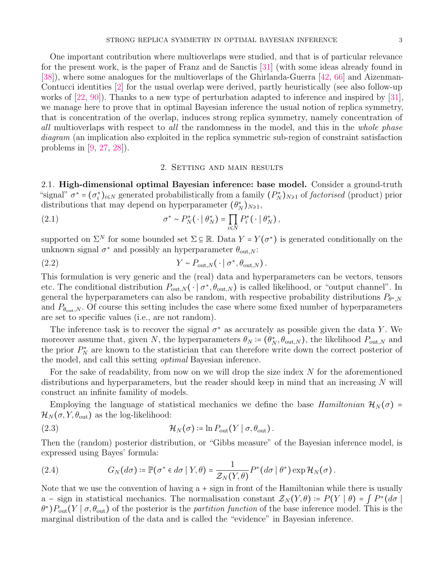One important contribution where multioverlaps were studied, and that is of particular relevance for the present work, is the paper of Franz and de Sanctis [\[31\]](#page-32-21) (with some ideas already found in [\[38\]](#page-32-17)), where some analogues for the multioverlaps of the Ghirlanda-Guerra [\[42,](#page-33-17) [66\]](#page-34-23) and Aizenman-Contucci identities [\[2\]](#page-31-10) for the usual overlap were derived, partly heuristically (see also follow-up works of [\[22,](#page-32-22) [90\]](#page-34-24)). Thanks to a new type of perturbation adapted to inference and inspired by [\[31\]](#page-32-21), we manage here to prove that in optimal Bayesian inference the usual notion of replica symmetry, that is concentration of the overlap, induces strong replica symmetry, namely concentration of all multioverlaps with respect to all the randomness in the model, and this in the whole phase diagram (an implication also exploited in the replica symmetric sub-region of constraint satisfaction problems in [\[9,](#page-31-9) [27,](#page-32-19) [28\]](#page-32-20)).

# 2. Setting and main results

2.1. High-dimensional optimal Bayesian inference: base model. Consider a ground-truth "signal"  $\sigma^* = (\sigma_i^*)_{i \leq N}$  generated probabilistically from a family  $(P_N^*)_{N \geq 1}$  of factorised (product) prior distributions that may depend on hyperparameter  $(\theta_N^*)_{N\geq 1}$ ,

<span id="page-2-0"></span>(2.1) 
$$
\sigma^* \sim P_N^*(\cdot \mid \theta_N^*) = \prod_{i \leq N} P_i^*(\cdot \mid \theta_N^*),
$$

supported on  $\Sigma^N$  for some bounded set  $\Sigma \subseteq \mathbb{R}$ . Data  $Y = Y(\sigma^*)$  is generated conditionally on the unknown signal  $\sigma^*$  and possibly an hyperparameter  $\theta_{\text{out},N}$ :

(2.2) 
$$
Y \sim P_{\text{out},N}(\cdot \mid \sigma^*, \theta_{\text{out},N}).
$$

This formulation is very generic and the (real) data and hyperparameters can be vectors, tensors etc. The conditional distribution  $P_{\text{out},N}(\cdot \mid \sigma^*, \theta_{\text{out},N})$  is called likelihood, or "output channel". In general the hyperparameters can also be random, with respective probability distributions  $P_{\theta^*,N}$ and  $P_{\theta_{\text{out}},N}$ . Of course this setting includes the case where some fixed number of hyperparameters are set to specific values (i.e., are not random).

The inference task is to recover the signal  $\sigma^*$  as accurately as possible given the data Y. We moreover assume that, given N, the hyperparameters  $\theta_N \coloneqq (\theta_N^*, \theta_{\text{out},N})$ , the likelihood  $P_{\text{out},N}$  and the prior  $P_N^*$  are known to the statistician that can therefore write down the correct posterior of the model, and call this setting *optimal* Bayesian inference.

For the sake of readability, from now on we will drop the size index  $N$  for the aforementioned distributions and hyperparameters, but the reader should keep in mind that an increasing  $N$  will construct an infinite famility of models.

Employing the language of statistical mechanics we define the base *Hamiltonian*  $\mathcal{H}_N(\sigma)$  =  $\mathcal{H}_N(\sigma, Y, \theta_{\text{out}})$  as the log-likelihood:

(2.3) 
$$
\mathcal{H}_N(\sigma) \coloneqq \ln P_{\text{out}}(Y \mid \sigma, \theta_{\text{out}}).
$$

Then the (random) posterior distribution, or "Gibbs measure" of the Bayesian inference model, is expressed using Bayes' formula:

(2.4) 
$$
G_N(d\sigma) \coloneqq \mathbb{P}(\sigma^* \in d\sigma \mid Y, \theta) = \frac{1}{\mathcal{Z}_N(Y, \theta)} P^*(d\sigma \mid \theta^*) \exp \mathcal{H}_N(\sigma).
$$

Note that we use the convention of having  $a + sign$  in front of the Hamiltonian while there is usually a – sign in statistical mechanics. The normalisation constant  $\mathcal{Z}_N(Y,\theta) = P(Y | \theta) = \int P^*(d\sigma)$  $\theta^*$ ) $P_{\text{out}}(Y | \sigma, \theta_{\text{out}})$  of the posterior is the *partition function* of the base inference model. This is the marginal distribution of the data and is called the "evidence" in Bayesian inference.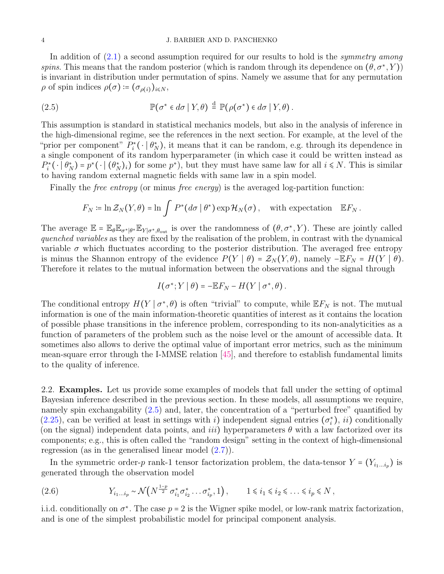### 4 J. BARBIER AND D. PANCHENKO

In addition of  $(2.1)$  a second assumption required for our results to hold is the *symmetry among* spins. This means that the random posterior (which is random through its dependence on  $(\theta, \sigma^*, Y)$ ) is invariant in distribution under permutation of spins. Namely we assume that for any permutation  $\rho$  of spin indices  $\rho(\sigma) \coloneqq (\sigma_{\rho(i)})_{i \leq N}$ ,

<span id="page-3-0"></span>(2.5) 
$$
\mathbb{P}(\sigma^* \in d\sigma \mid Y, \theta) \stackrel{d}{=} \mathbb{P}(\rho(\sigma^*) \in d\sigma \mid Y, \theta).
$$

This assumption is standard in statistical mechanics models, but also in the analysis of inference in the high-dimensional regime, see the references in the next section. For example, at the level of the "prior per component"  $P_i^*(\cdot | \theta_N^*)$ , it means that it can be random, e.g. through its dependence in a single component of its random hyperparameter (in which case it could be written instead as  $P_i^* (\cdot | \theta_N^*) = p^* (\cdot | (\theta_N^*)_i)$  for some  $p^*$ ), but they must have same law for all  $i \le N$ . This is similar to having random external magnetic fields with same law in a spin model.

Finally the *free entropy* (or minus *free energy*) is the averaged log-partition function:

$$
F_N \coloneqq \ln \mathcal{Z}_N(Y,\theta) = \ln \int P^*(d\sigma \mid \theta^*) \exp \mathcal{H}_N(\sigma), \quad \text{with expectation} \quad \mathbb{E} F_N.
$$

The average  $\mathbb{E} = \mathbb{E}_{\theta} \mathbb{E}_{\sigma^*|\theta^*} \mathbb{E}_{Y|\sigma^*,\theta_{\text{out}}}$  is over the randomness of  $(\theta, \sigma^*, Y)$ . These are jointly called quenched variables as they are fixed by the realisation of the problem, in contrast with the dynamical variable  $\sigma$  which fluctuates according to the posterior distribution. The averaged free entropy is minus the Shannon entropy of the evidence  $P(Y | \theta) = \mathcal{Z}_N(Y, \theta)$ , namely  $-EF_N = H(Y | \theta)$ . Therefore it relates to the mutual information between the observations and the signal through

$$
I(\sigma^*;Y | \theta) = -\mathbb{E} F_N - H(Y | \sigma^*, \theta).
$$

The conditional entropy  $H(Y | \sigma^*, \theta)$  is often "trivial" to compute, while  $E F_N$  is not. The mutual information is one of the main information-theoretic quantities of interest as it contains the location of possible phase transitions in the inference problem, corresponding to its non-analyticities as a function of parameters of the problem such as the noise level or the amount of accessible data. It sometimes also allows to derive the optimal value of important error metrics, such as the minimum mean-square error through the I-MMSE relation [\[45\]](#page-33-18), and therefore to establish fundamental limits to the quality of inference.

<span id="page-3-1"></span>2.2. Examples. Let us provide some examples of models that fall under the setting of optimal Bayesian inference described in the previous section. In these models, all assumptions we require, namely spin exchangability  $(2.5)$  and, later, the concentration of a "perturbed free" quantified by  $(2.25)$ , can be verified at least in settings with i) independent signal entries  $(\sigma_i^*), i_i$  conditionally (on the signal) independent data points, and *iii*) hyperparameters  $\theta$  with a law factorized over its components; e.g., this is often called the "random design" setting in the context of high-dimensional regression (as in the generalised linear model  $(2.7)$ ).

In the symmetric order-p rank-1 tensor factorization problem, the data-tensor  $Y = (Y_{i_1...i_p})$  is generated through the observation model

$$
(2.6) \t Y_{i_1...i_p} \sim \mathcal{N}\left(N^{\frac{1-p}{2}} \sigma_{i_1}^* \sigma_{i_2}^* \dots \sigma_{i_p}^*, 1\right), \t 1 \leq i_1 \leq i_2 \leq \dots \leq i_p \leq N,
$$

i.i.d. conditionally on  $\sigma^*$ . The case  $p = 2$  is the Wigner spike model, or low-rank matrix factorization, and is one of the simplest probabilistic model for principal component analysis.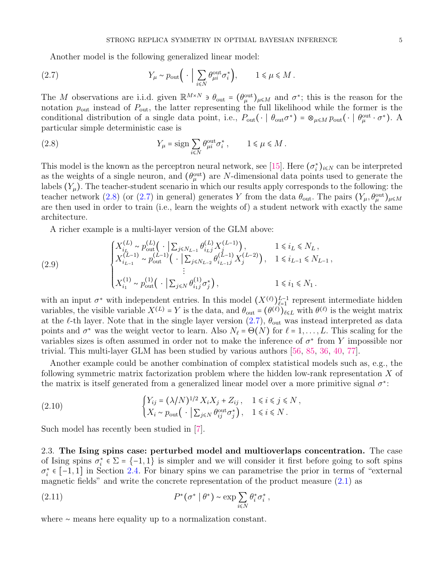Another model is the following generalized linear model:

<span id="page-4-0"></span>(2.7) 
$$
Y_{\mu} \sim p_{\text{out}} \left( \cdot \Big| \sum_{i \leq N} \theta_{\mu i}^{\text{out}} \sigma_i^* \right), \qquad 1 \leq \mu \leq M.
$$

The M observations are i.i.d. given  $\mathbb{R}^{M\times N}$   $\ni \theta_{\text{out}} = (\theta_{\mu}^{\text{out}})_{\mu \leq M}$  and  $\sigma^*$ ; this is the reason for the notation  $p_{\text{out}}$  instead of  $P_{\text{out}}$ , the latter representing the full likelihood while the former is the conditional distribution of a single data point, i.e.,  $P_{\text{out}}(\cdot | \theta_{\text{out}} \sigma^*) = \otimes_{\mu \leq M} p_{\text{out}}(\cdot | \theta_{\mu}^{\text{out}} \cdot \sigma^*)$ . particular simple deterministic case is

<span id="page-4-1"></span>(2.8) 
$$
Y_{\mu} = \text{sign} \sum_{i \leq N} \theta_{\mu i}^{\text{out}} \sigma_i^*, \qquad 1 \leq \mu \leq M.
$$

This model is the known as the perceptron neural network, see [\[15\]](#page-32-2). Here  $(\sigma_i^*)_{i \le N}$  can be interpreted as the weights of a single neuron, and  $(\theta_{\mu}^{\text{out}})$  are N-dimensional data points used to generate the labels  $(Y_\mu)$ . The teacher-student scenario in which our results apply corresponds to the following: the teacher network [\(2.8\)](#page-4-1) (or [\(2.7\)](#page-4-0) in general) generates Y from the data  $\theta_{\text{out}}$ . The pairs  $(Y_{\mu}, \theta_{\mu}^{\text{out}})_{\mu \leq M}$ are then used in order to train (i.e., learn the weights of) a student network with exactly the same architecture.

A richer example is a multi-layer version of the GLM above:

(2.9) 
$$
\begin{cases} X_{i_L}^{(L)} \sim p_{\text{out}}^{(L)} \left( \cdot \middle| \sum_{j \le N_{L-1}} \theta_{i_L j}^{(L)} X_j^{(L-1)} \right), & 1 \le i_L \le N_L, \\ X_{i_{L-1}}^{(L-1)} \sim p_{\text{out}}^{(L-1)} \left( \cdot \middle| \sum_{j \le N_{L-2}} \theta_{i_{L-1} j}^{(L-1)} X_j^{(L-2)} \right), & 1 \le i_{L-1} \le N_{L-1}, \\ \vdots & \vdots \\ X_{i_1}^{(1)} \sim p_{\text{out}}^{(1)} \left( \cdot \middle| \sum_{j \le N} \theta_{i_1 j}^{(1)} \sigma_j^* \right), & 1 \le i_1 \le N_1. \end{cases}
$$

with an input  $\sigma^*$  with independent entries. In this model  $(X^{(\ell)})_{\ell=1}^{L-1}$  represent intermediate hidden variables, the visible variable  $X^{(L)} = Y$  is the data, and  $\theta_{\text{out}} = (\theta^{(\ell)})_{\ell \leq L}$  with  $\theta^{(\ell)}$  is the weight matrix at the  $\ell$ -th layer. Note that in the single layer version  $(2.7)$ ,  $\theta_{\text{out}}$  was instead interpreted as data points and  $\sigma^*$  was the weight vector to learn. Also  $N_\ell = \Theta(N)$  for  $\ell = 1, \ldots, L$ . This scaling for the variables sizes is often assumed in order not to make the inference of  $\sigma^*$  from Y impossible nor trivial. This multi-layer GLM has been studied by various authors [\[56,](#page-33-19) [85,](#page-34-25) [36,](#page-32-23) [40,](#page-33-20) [77\]](#page-34-26).

Another example could be another combination of complex statistical models such as, e.g., the following symmetric matrix factorization problem where the hidden low-rank representation X of the matrix is itself generated from a generalized linear model over a more primitive signal  $\sigma^*$ :

(2.10) 
$$
\begin{cases} Y_{ij} = (\lambda/N)^{1/2} X_i X_j + Z_{ij}, & 1 \le i \le j \le N, \\ X_i \sim p_{\text{out}} \left( \begin{array}{c} \cdot \mid \sum_{j \le N} \theta_{ij}^{\text{out}} \sigma_j^* \right), & 1 \le i \le N. \end{array} \right. \end{cases}
$$

Such model has recently been studied in [\[7\]](#page-31-11).

2.3. The Ising spins case: perturbed model and multioverlaps concentration. The case of Ising spins  $\sigma_i^* \in \Sigma = \{-1, 1\}$  is simpler and we will consider it first before going to soft spins  $\sigma_i^* \in [-1,1]$  in Section [2.4.](#page-9-0) For binary spins we can parametrise the prior in terms of "external" magnetic fields" and write the concrete representation of the product measure  $(2.1)$  as

(2.11) 
$$
P^*(\sigma^* | \theta^*) \sim \exp \sum_{i \leq N} \theta_i^* \sigma_i^*,
$$

where ∼ means here equality up to a normalization constant.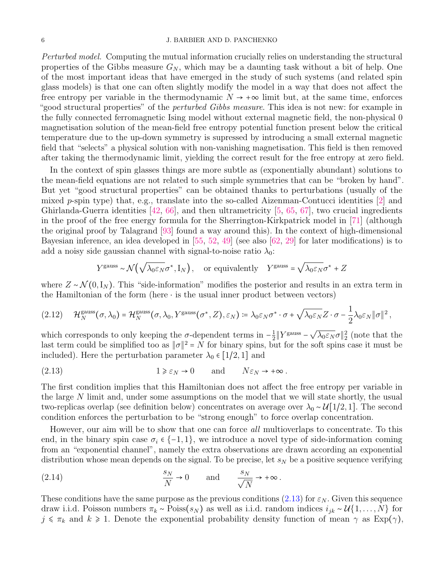Perturbed model. Computing the mutual information crucially relies on understanding the structural properties of the Gibbs measure  $G_N$ , which may be a daunting task without a bit of help. One of the most important ideas that have emerged in the study of such systems (and related spin glass models) is that one can often slightly modify the model in a way that does not affect the free entropy per variable in the thermodynamic  $N \to +\infty$  limit but, at the same time, enforces "good structural properties" of the *perturbed Gibbs measure*. This idea is not new: for example in the fully connected ferromagnetic Ising model without external magnetic field, the non-physical 0 magnetisation solution of the mean-field free entropy potential function present below the critical temperature due to the up-down symmetry is supressed by introducing a small external magnetic field that "selects" a physical solution with non-vanishing magnetisation. This field is then removed after taking the thermodynamic limit, yielding the correct result for the free entropy at zero field.

In the context of spin glasses things are more subtle as (exponentially abundant) solutions to the mean-field equations are not related to such simple symmetries that can be "broken by hand". But yet "good structural properties" can be obtained thanks to perturbations (usually of the mixed p-spin type) that, e.g., translate into the so-called Aizenman-Contucci identities [\[2\]](#page-31-10) and Ghirlanda-Guerra identities [\[42,](#page-33-17) [66\]](#page-34-23), and then ultrametricity [\[5,](#page-31-12) [65,](#page-34-27) [67\]](#page-34-28), two crucial ingredients in the proof of the free energy formula for the Sherrington-Kirkpatrick model in [\[71\]](#page-34-29) (although the original proof by Talagrand [\[93\]](#page-34-19) found a way around this). In the context of high-dimensional Bayesian inference, an idea developed in  $[55, 52, 49]$  $[55, 52, 49]$  $[55, 52, 49]$  $[55, 52, 49]$  $[55, 52, 49]$  (see also  $[62, 29]$  $[62, 29]$  $[62, 29]$  for later modifications) is to add a noisy side gaussian channel with signal-to-noise ratio  $\lambda_0$ :

$$
Y^{\text{gauss}} \sim \mathcal{N}\left(\sqrt{\lambda_0 \varepsilon_N} \sigma^*, \mathbf{I}_N\right)
$$
, or equivalently  $Y^{\text{gauss}} = \sqrt{\lambda_0 \varepsilon_N} \sigma^* + Z$ 

where  $Z \sim \mathcal{N}(0, I_N)$ . This "side-information" modifies the posterior and results in an extra term in the Hamiltonian of the form (here  $\cdot$  is the usual inner product between vectors)

<span id="page-5-1"></span>
$$
(2.12) \qquad \mathcal{H}_N^{\text{gauss}}(\sigma,\lambda_0) = \mathcal{H}_N^{\text{gauss}}(\sigma,\lambda_0,Y^{\text{gauss}}(\sigma^*,Z),\varepsilon_N) \coloneqq \lambda_0 \varepsilon_N \sigma^* \cdot \sigma + \sqrt{\lambda_0 \varepsilon_N} Z \cdot \sigma - \frac{1}{2} \lambda_0 \varepsilon_N \|\sigma\|^2,
$$

which corresponds to only keeping the  $\sigma$ -dependent terms in  $-\frac{1}{2}$  $\frac{1}{2}$  ||Ygauss – √  $\overline{\lambda_0 \varepsilon_N} \sigma_{2}^2$  (note that the last term could be simplified too as  $\|\sigma\|^2 = N$  for binary spins, but for the soft spins case it must be included). Here the perturbation parameter  $\lambda_0 \in [1/2, 1]$  and

<span id="page-5-0"></span>(2.13) 
$$
1 \ge \varepsilon_N \to 0
$$
 and  $N \varepsilon_N \to +\infty$ .

The first condition implies that this Hamiltonian does not affect the free entropy per variable in the large N limit and, under some assumptions on the model that we will state shortly, the usual two-replicas overlap (see definition below) concentrates on average over  $\lambda_0 \sim \mathcal{U}[1/2, 1]$ . The second condition enforces the perturbation to be "strong enough" to force overlap concentration.

However, our aim will be to show that one can force *all* multioverlaps to concentrate. To this end, in the binary spin case  $\sigma_i \in \{-1, 1\}$ , we introduce a novel type of side-information coming from an "exponential channel", namely the extra observations are drawn according an exponential distribution whose mean depends on the signal. To be precise, let  $s_N$  be a positive sequence verifying

<span id="page-5-2"></span>(2.14) 
$$
\frac{s_N}{N} \to 0 \quad \text{and} \quad \frac{s_N}{\sqrt{N}} \to +\infty.
$$

These conditions have the same purpose as the previous conditions [\(2.13\)](#page-5-0) for  $\varepsilon_N$ . Given this sequence draw i.i.d. Poisson numbers  $\pi_k \sim \text{Poiss}(s_N)$  as well as i.i.d. random indices  $i_{jk} \sim \mathcal{U}\{1,\ldots,N\}$  for  $j \leq \pi_k$  and  $k \geq 1$ . Denote the exponential probability density function of mean  $\gamma$  as  $Exp(\gamma)$ ,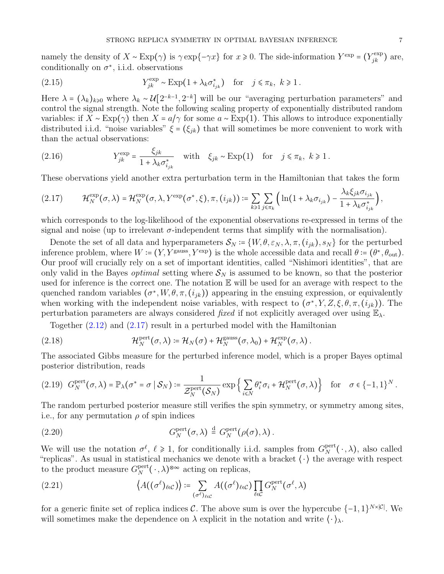namely the density of  $X \sim \text{Exp}(\gamma)$  is  $\gamma \exp\{-\gamma x\}$  for  $x \ge 0$ . The side-information  $Y^{\exp} = (Y_{jk}^{\exp})$  are, conditionally on  $\sigma^*$ , i.i.d. observations

<span id="page-6-3"></span>(2.15) 
$$
Y_{jk}^{\exp} \sim \text{Exp}(1 + \lambda_k \sigma_{i_{jk}}^*) \quad \text{for} \quad j \leq \pi_k, \ k \geq 1.
$$

Here  $\lambda = (\lambda_k)_{k\geqslant0}$  where  $\lambda_k \sim \mathcal{U}[2^{-k-1}, 2^{-k}]$  will be our "averaging perturbation parameters" and control the signal strength. Note the following scaling property of exponentially distributed random variables: if  $X \sim \text{Exp}(\gamma)$  then  $X = a/\gamma$  for some  $a \sim \text{Exp}(1)$ . This allows to introduce exponentially distributed i.i.d. "noise variables"  $\xi = (\xi_{jk})$  that will sometimes be more convenient to work with than the actual observations:

(2.16) 
$$
Y_{jk}^{\exp} = \frac{\xi_{jk}}{1 + \lambda_k \sigma_{i_{jk}}^*} \quad \text{with} \quad \xi_{jk} \sim \text{Exp}(1) \quad \text{for} \quad j \leq \pi_k, \ k \geq 1.
$$

These obervations yield another extra perturbation term in the Hamiltonian that takes the form

<span id="page-6-0"></span>
$$
(2.17) \qquad \mathcal{H}_N^{\exp}(\sigma,\lambda) = \mathcal{H}_N^{\exp}(\sigma,\lambda,Y^{\exp}(\sigma^*,\xi),\pi,(i_{jk})) \coloneqq \sum_{k\geqslant 1} \sum_{j\leqslant \pi_k} \left( \ln(1+\lambda_k \sigma_{i_{jk}}) - \frac{\lambda_k \xi_{jk} \sigma_{i_{jk}}}{1+\lambda_k \sigma_{i_{jk}}^*} \right),
$$

which corresponds to the log-likelihood of the exponential observations re-expressed in terms of the signal and noise (up to irrelevant  $\sigma$ -independent terms that simplify with the normalisation).

Denote the set of all data and hyperparameters  $S_N = \{W, \theta, \varepsilon_N, \lambda, \pi, (i_{ik}), s_N\}$  for the perturbed inference problem, where  $W = (Y, Y^{\text{gauss}}, Y^{\text{exp}})$  is the whole accessible data and recall  $\theta = (\theta^*, \theta_{\text{out}})$ . Our proof will crucially rely on a set of important identities, called "Nishimori identities", that are only valid in the Bayes *optimal* setting where  $S_N$  is assumed to be known, so that the posterior used for inference is the correct one. The notation E will be used for an average with respect to the quenched random variables  $(\sigma^*, W, \theta, \pi, (i_{jk}))$  appearing in the ensuing expression, or equivalently when working with the independent noise variables, with respect to  $(\sigma^*, Y, Z, \xi, \theta, \pi, (i_{jk}))$ . The perturbation parameters are always considered fixed if not explicitly averaged over using  $\mathbb{E}_{\lambda}$ .

<span id="page-6-4"></span>Together [\(2.12\)](#page-5-1) and [\(2.17\)](#page-6-0) result in a perturbed model with the Hamiltonian

(2.18) 
$$
\mathcal{H}_N^{\text{pert}}(\sigma,\lambda) \coloneqq \mathcal{H}_N(\sigma) + \mathcal{H}_N^{\text{gauss}}(\sigma,\lambda_0) + \mathcal{H}_N^{\text{exp}}(\sigma,\lambda).
$$

The associated Gibbs measure for the perturbed inference model, which is a proper Bayes optimal posterior distribution, reads

$$
(2.19) \ \ G_N^{\text{pert}}(\sigma,\lambda)=\mathbb{P}_{\lambda}(\sigma^*=\sigma\mid \mathcal{S}_N):=\frac{1}{\mathcal{Z}_N^{\text{pert}}(\mathcal{S}_N)}\exp\left\{\sum_{i\leq N}\theta^*_i\sigma_i+\mathcal{H}_N^{\text{pert}}(\sigma,\lambda)\right\}\quad \text{for}\quad \sigma\in\{-1,1\}^N\,.
$$

The random perturbed posterior measure still verifies the spin symmetry, or symmetry among sites, i.e., for any permutation  $\rho$  of spin indices

<span id="page-6-1"></span>(2.20) 
$$
G_N^{\text{pert}}(\sigma,\lambda) \stackrel{\text{d}}{=} G_N^{\text{pert}}(\rho(\sigma),\lambda).
$$

We will use the notation  $\sigma^{\ell}$ ,  $\ell \geq 1$ , for conditionally i.i.d. samples from  $G_N^{\text{pert}}$  $N^{\text{pert}}(\cdot,\lambda)$ , also called "replicas". As usual in statistical mechanics we denote with a bracket  $\langle \cdot \rangle$  the average with respect to the product measure  $G_N^{\text{pert}}$  $N^{\text{pert}}(\cdot,\lambda)^{\otimes \infty}$  acting on replicas,

<span id="page-6-2"></span>(2.21) 
$$
\left\langle A((\sigma^{\ell})_{\ell \in C}) \right\rangle := \sum_{(\sigma^{\ell})_{\ell \in C}} A((\sigma^{\ell})_{\ell \in C}) \prod_{\ell \in C} G_{N}^{\text{pert}}(\sigma^{\ell}, \lambda)
$$

for a generic finite set of replica indices  $\mathcal{C}$ . The above sum is over the hypercube  $\{-1,1\}^{N\times|\mathcal{C}|}$ . We will sometimes make the dependence on  $\lambda$  explicit in the notation and write  $\langle \cdot \rangle_{\lambda}$ .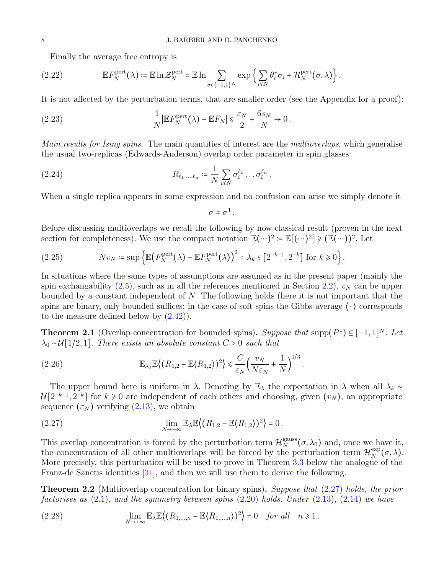<span id="page-7-7"></span>Finally the average free entropy is

$$
(2.22) \t\t \mathbb{E} F_N^{\text{pert}}(\lambda) \coloneqq \mathbb{E} \ln \mathcal{Z}_N^{\text{pert}} = \mathbb{E} \ln \sum_{\sigma \in \{-1,1\}^N} \exp \left\{ \sum_{i \leq N} \theta_i^* \sigma_i + \mathcal{H}_N^{\text{pert}}(\sigma, \lambda) \right\}.
$$

It is not affected by the perturbation terms, that are smaller order (see the Appendix for a proof):

<span id="page-7-4"></span>(2.23) 
$$
\frac{1}{N}|\mathbb{E}F_N^{\text{pert}}(\lambda) - \mathbb{E}F_N| \leq \frac{\varepsilon_N}{2} + \frac{6s_N}{N} \to 0.
$$

Main results for Ising spins. The main quantities of interest are the *multioverlaps*, which generalise the usual two-replicas (Edwards-Anderson) overlap order parameter in spin glasses:

(2.24) 
$$
R_{\ell_1,\ldots,\ell_n} \coloneqq \frac{1}{N} \sum_{i \leq N} \sigma_i^{\ell_1} \ldots \sigma_i^{\ell_n}.
$$

When a single replica appears in some expression and no confusion can arise we simply denote it

<span id="page-7-3"></span>
$$
\sigma=\sigma^1.
$$

Before discussing multioverlaps we recall the following by now classical result (proven in the next section for completeness). We use the compact notation  $\mathbb{E}(\cdots)^2 = \mathbb{E}[(\cdots)^2] \geq (\mathbb{E}(\cdots))^2$ . Let

<span id="page-7-0"></span>(2.25) 
$$
Nv_N \coloneqq \sup \left\{ \mathbb{E} \big(F_N^{\text{pert}}(\lambda) - \mathbb{E} F_N^{\text{pert}}(\lambda) \big)^2 : \lambda_k \in \left[2^{-k-1}, 2^{-k}\right] \text{ for } k \geq 0 \right\}.
$$

In situations where the same types of assumptions are assumed as in the present paper (mainly the spin exchangability  $(2.5)$ , such as in all the references mentioned in Section [2.2\)](#page-3-1),  $v<sub>N</sub>$  can be upper bounded by a constant independent of N. The following holds (here it is not important that the spins are binary, only bounded suffices; in the case of soft spins the Gibbs average  $\langle \cdot \rangle$  corresponds to the measure defined below by  $(2.42)$ .

<span id="page-7-6"></span>**Theorem 2.1** (Overlap concentration for bounded spins). Suppose that supp $(P^*) \subseteq [-1,1]^N$ . Let  $\lambda_0 \sim \mathcal{U}[1/2, 1]$ . There exists an absolute constant  $C > 0$  such that

(2.26) 
$$
\mathbb{E}_{\lambda_0} \mathbb{E}\big\langle (R_{1,2} - \mathbb{E}\langle R_{1,2}\rangle)^2 \big\rangle \leq \frac{C}{\varepsilon_N} \Big(\frac{v_N}{N\varepsilon_N} + \frac{1}{N}\Big)^{1/3}.
$$

The upper bound here is uniform in  $\lambda$ . Denoting by  $\mathbb{E}_{\lambda}$  the expectation in  $\lambda$  when all  $\lambda_k \sim$  $\mathcal{U}[2^{-k-1}, 2^{-k}]$  for  $k \geq 0$  are independent of each others and choosing, given  $(v_N)$ , an appropriate sequence  $(\varepsilon_N)$  verifying  $(2.13)$ , we obtain

<span id="page-7-1"></span>(2.27) 
$$
\lim_{N \to +\infty} \mathbb{E}_{\lambda} \mathbb{E} \left( (R_{1,2} - \mathbb{E} \langle R_{1,2} \rangle)^2 \right) = 0.
$$

This overlap concentration is forced by the perturbation term  $\mathcal{H}_N^{\text{gauss}}$  $_N^{\text{gauss}}(\sigma, \lambda_0)$  and, once we have it, the concentration of all other multioverlaps will be forced by the perturbation term  $\mathcal{H}_N^{\text{exp}}$  $_N^{\exp}(\sigma,\lambda).$ More precisely, this perturbation will be used to prove in Theorem [3.3](#page-15-0) below the analogue of the Franz-de Sanctis identities [\[31\]](#page-32-21), and then we will use them to derive the following.

<span id="page-7-2"></span>**Theorem 2.2** (Multioverlap concentration for binary spins). Suppose that [\(2.27\)](#page-7-1) holds, the prior factorises as  $(2.1)$ , and the symmetry between spins  $(2.20)$  holds. Under  $(2.13)$ ,  $(2.14)$  we have

<span id="page-7-5"></span>(2.28) 
$$
\lim_{N \to +\infty} \mathbb{E}_{\lambda} \mathbb{E}\left((R_{1,\dots,n} - \mathbb{E}\langle R_{1,\dots,n}\rangle)^2\right) = 0 \text{ for all } n \ge 1.
$$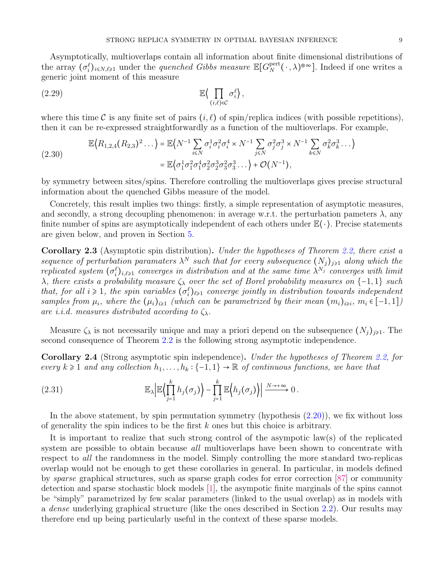Asymptotically, multioverlaps contain all information about finite dimensional distributions of the array  $(\sigma_i^{\ell})_{i \le N,\ell \ge 1}$  under the *quenched Gibbs measure*  $\mathbb{E}[G_N^{\text{pert}}]$  $N^{\text{pert}}(\cdot,\lambda)^{\otimes \infty}$ . Indeed if one writes a generic joint moment of this measure

$$
\mathbb{E}\Big\langle \prod_{(i,\ell)\in\mathcal{C}} \sigma_i^{\ell} \Big\rangle,
$$

where this time C is any finite set of pairs  $(i, \ell)$  of spin/replica indices (with possible repetitions), then it can be re-expressed straightforwardly as a function of the multioverlaps. For example,

<span id="page-8-0"></span>(2.30) 
$$
\mathbb{E}\Big\{R_{1,2,4}(R_{2,3})^2\ldots\Big\} = \mathbb{E}\Big\{N^{-1}\sum_{i\leq N}\sigma_i^1\sigma_i^2\sigma_i^4 \times N^{-1}\sum_{j\leq N}\sigma_j^2\sigma_j^3 \times N^{-1}\sum_{k\leq N}\sigma_k^2\sigma_k^3\ldots\Big\}
$$

$$
= \mathbb{E}\Big\{\sigma_1^1\sigma_1^2\sigma_1^4\sigma_2^2\sigma_2^3\sigma_3^2\sigma_3^3\ldots\Big\} + \mathcal{O}(N^{-1}),
$$

by symmetry between sites/spins. Therefore controlling the multioverlaps gives precise structural information about the quenched Gibbs measure of the model.

Concretely, this result implies two things: firstly, a simple representation of asymptotic measures, and secondly, a strong decoupling phenomenon: in average w.r.t. the perturbation pameters  $\lambda$ , any finite number of spins are asymptotically independent of each others under  $\mathbb{E}\langle \cdot \rangle$ . Precise statements are given below, and proven in Section [5.](#page-28-0)

Corollary 2.3 (Asymptotic spin distribution). Under the hypotheses of Theorem [2.2,](#page-7-2) there exist a sequence of perturbation paramaters  $\lambda^N$  such that for every subsequence  $(N_j)_{j\geqslant 1}$  along which the replicated system  $(\sigma_i^{\ell})_{i,\ell \geq 1}$  converges in distribution and at the same time  $\lambda^{N_j}$  converges with limit  $\lambda$ , there exists a probability measure  $\zeta_{\lambda}$  over the set of Borel probability measures on {-1,1} such that, for all  $i \geq 1$ , the spin variables  $(\sigma_i^{\ell})_{\ell \geq 1}$  converge jointly in distribution towards independent samples from  $\mu_i$ , where the  $(\mu_i)_{i\geqslant 1}$  (which can be parametrized by their mean  $(m_i)_{i\geqslant i}, m_i \in [-1,1]$ ) are i.i.d. measures distributed according to  $\zeta_{\lambda}$ .

Measure  $\zeta_{\lambda}$  is not necessarily unique and may a priori depend on the subsequence  $(N_i)_{i\geq 1}$ . The second consequence of Theorem [2.2](#page-7-2) is the following strong asymptotic independence.

**Corollary 2.4** (Strong asymptotic spin independence). Under the hypotheses of Theorem [2.2,](#page-7-2) for every  $k \geq 1$  and any collection  $h_1, \ldots, h_k : \{-1, 1\} \to \mathbb{R}$  of continuous functions, we have that

<span id="page-8-1"></span>(2.31) 
$$
\mathbb{E}_{\lambda} \Big| \mathbb{E} \Big\langle \prod_{j=1}^{k} h_j(\sigma_j) \Big\rangle - \prod_{j=1}^{k} \mathbb{E} \Big\langle h_j(\sigma_j) \Big\rangle \Big| \xrightarrow{N \to +\infty} 0.
$$

In the above statement, by spin permutation symmetry (hypothesis  $(2.20)$ ), we fix without loss of generality the spin indices to be the first  $k$  ones but this choice is arbitrary.

It is important to realize that such strong control of the asympotic law(s) of the replicated system are possible to obtain because *all* multioverlaps have been shown to concentrate with respect to all the randomness in the model. Simply controlling the more standard two-replicas overlap would not be enough to get these corollaries in general. In particular, in models defined by sparse graphical structures, such as sparse graph codes for error correction [\[87\]](#page-34-8) or community detection and sparse stochastic block models [\[1\]](#page-31-5), the asympotic finite marginals of the spins cannot be "simply" parametrized by few scalar parameters (linked to the usual overlap) as in models with a dense underlying graphical structure (like the ones described in Section [2.2\)](#page-3-1). Our results may therefore end up being particularly useful in the context of these sparse models.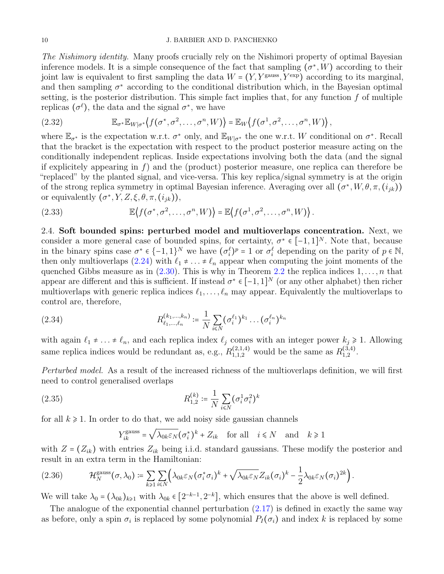### 10 J. BARBIER AND D. PANCHENKO

The Nishimory identity. Many proofs crucially rely on the Nishimori property of optimal Bayesian inference models. It is a simple consequence of the fact that sampling  $(\sigma^*, W)$  according to their joint law is equivalent to first sampling the data  $W = (Y, Y^{\text{gauss}}, Y^{\text{exp}})$  according to its marginal, and then sampling  $\sigma^*$  according to the conditional distribution which, in the Bayesian optimal setting, is the posterior distribution. This simple fact implies that, for any function  $f$  of multiple replicas  $(\sigma^{\ell})$ , the data and the signal  $\sigma^*$ , we have

<span id="page-9-2"></span>(2.32) 
$$
\mathbb{E}_{\sigma^*} \mathbb{E}_{W|\sigma^*} \left\{ f(\sigma^*, \sigma^2, \ldots, \sigma^n, W) \right\} = \mathbb{E}_W \left\{ f(\sigma^1, \sigma^2, \ldots, \sigma^n, W) \right\},
$$

where  $\mathbb{E}_{\sigma^*}$  is the expectation w.r.t.  $\sigma^*$  only, and  $\mathbb{E}_{W|\sigma^*}$  the one w.r.t. W conditional on  $\sigma^*$ . Recall that the bracket is the expectation with respect to the product posterior measure acting on the conditionally independent replicas. Inside expectations involving both the data (and the signal if explicitely appearing in  $f$ ) and the (product) posterior measure, one replica can therefore be "replaced" by the planted signal, and vice-versa. This key replica/signal symmetry is at the origin of the strong replica symmetry in optimal Bayesian inference. Averaging over all  $(\sigma^*, W, \theta, \pi, (i_{jk}))$ or equivalently  $(\sigma^*, Y, Z, \xi, \theta, \pi, (i_{jk})),$ 

<span id="page-9-3"></span>(2.33) 
$$
\mathbb{E}\left\{f(\sigma^*, \sigma^2, \ldots, \sigma^n, W)\right\} = \mathbb{E}\left\{f(\sigma^1, \sigma^2, \ldots, \sigma^n, W)\right\}.
$$

<span id="page-9-0"></span>2.4. Soft bounded spins: perturbed model and multioverlaps concentration. Next, we consider a more general case of bounded spins, for certainty,  $\sigma^* \in [-1,1]^N$ . Note that, because in the binary spins case  $\sigma^* \in \{-1,1\}^N$  we have  $(\sigma_i^{\ell})^p = 1$  or  $\sigma_i^{\ell}$  depending on the parity of  $p \in \mathbb{N}$ , then only multioverlaps [\(2.24\)](#page-7-3) with  $\ell_1 \neq \ldots \neq \ell_n$  appear when computing the joint moments of the quenched Gibbs measure as in  $(2.30)$ . This is why in Theorem [2.2](#page-7-2) the replica indices  $1, \ldots, n$  that appear are different and this is sufficient. If instead  $\sigma^* \in [-1,1]^N$  (or any other alphabet) then richer multioverlaps with generic replica indices  $\ell_1, \ldots, \ell_n$  may appear. Equivalently the multioverlaps to control are, therefore,

(2.34) 
$$
R_{\ell_1,...,\ell_n}^{(k_1,...,k_n)} \coloneqq \frac{1}{N} \sum_{i \leq N} (\sigma_i^{\ell_1})^{k_1} \dots (\sigma_i^{\ell_n})^{k_n}
$$

with again  $\ell_1 \neq \ldots \neq \ell_n$ , and each replica index  $\ell_j$  comes with an integer power  $k_j \geq 1$ . Allowing same replica indices would be redundant as, e.g.,  $R_{1,1,2}^{(2,1,4)}$  would be the same as  $R_{1,2}^{(3,4)}$  $_{1,2}^{(3,4)}.$ 

Perturbed model. As a result of the increased richness of the multioverlaps definition, we will first need to control generalised overlaps

(2.35) 
$$
R_{1,2}^{(k)} \coloneqq \frac{1}{N} \sum_{i \leq N} (\sigma_i^1 \sigma_i^2)^k
$$

for all  $k \geq 1$ . In order to do that, we add noisy side gaussian channels

<span id="page-9-4"></span>
$$
Y_{ik}^{\text{gauss}} = \sqrt{\lambda_{0k} \varepsilon_N} (\sigma_i^*)^k + Z_{ik} \quad \text{for all} \quad i \le N \quad \text{and} \quad k \ge 1
$$

with  $Z = (Z_{ik})$  with entries  $Z_{ik}$  being i.i.d. standard gaussians. These modify the posterior and result in an extra term in the Hamiltonian:

<span id="page-9-1"></span>
$$
(2.36) \qquad \mathcal{H}_N^{\text{gauss}}(\sigma,\lambda_0) \coloneqq \sum_{k\geqslant 1}\sum_{i\leqslant N}\Bigl(\lambda_{0k}\varepsilon_N(\sigma_i^*\sigma_i)^k + \sqrt{\lambda_{0k}\varepsilon_N}Z_{ik}(\sigma_i)^k - \frac{1}{2}\lambda_{0k}\varepsilon_N(\sigma_i)^{2k}\Bigr).
$$

We will take  $\lambda_0 = (\lambda_{0k})_{k \geq 1}$  with  $\lambda_{0k} \in [2^{-k-1}, 2^{-k}]$ , which ensures that the above is well defined.

The analogue of the exponential channel perturbation [\(2.17\)](#page-6-0) is defined in exactly the same way as before, only a spin  $\sigma_i$  is replaced by some polynomial  $P_I(\sigma_i)$  and index k is replaced by some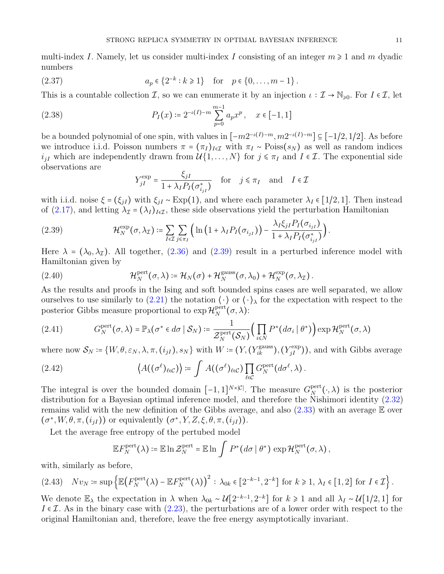multi-index I. Namely, let us consider multi-index I consisting of an integer  $m \geq 1$  and m dyadic numbers

(2.37) 
$$
a_p \in \{2^{-k} : k \ge 1\}
$$
 for  $p \in \{0, ..., m-1\}$ .

This is a countable collection I, so we can enumerate it by an injection  $\iota : \mathcal{I} \to \mathbb{N}_{\geqslant 0}$ . For  $I \in \mathcal{I}$ , let

(2.38) 
$$
P_I(x) \coloneqq 2^{-\iota(I) - m} \sum_{p=0}^{m-1} a_p x^p, \quad x \in [-1, 1]
$$

be a bounded polynomial of one spin, with values in  $[-m2^{-\iota(I)}-m, m2^{-\iota(I)}-m] \subseteq [-1/2, 1/2]$ . As before we introduce i.i.d. Poisson numbers  $\pi = (\pi_I)_{I \in \mathcal{I}}$  with  $\pi_I \sim \text{Poiss}(s_N)$  as well as random indices  $i_{jI}$  which are independently drawn from  $\mathcal{U}\{1,\ldots,N\}$  for  $j \leq \pi_I$  and  $I \in \mathcal{I}$ . The exponential side observations are

$$
Y_{jI}^{\exp} = \frac{\xi_{jI}}{1 + \lambda_I P_I(\sigma_{i_{jI}}^*)} \quad \text{for} \quad j \le \pi_I \quad \text{and} \quad I \in \mathcal{I}
$$

with i.i.d. noise  $\xi = (\xi_{jI})$  with  $\xi_{jI} \sim \text{Exp}(1)$ , and where each parameter  $\lambda_I \in [1/2, 1]$ . Then instead of [\(2.17\)](#page-6-0), and letting  $\lambda_{\mathcal{I}} = (\lambda_I)_{I \in \mathcal{I}}$ , these side observations yield the perturbation Hamiltonian

<span id="page-10-1"></span>(2.39) 
$$
\mathcal{H}_N^{\text{exp}}(\sigma,\lambda_{\mathcal{I}}) \coloneqq \sum_{I \in \mathcal{I}} \sum_{j \leqslant \pi_I} \Big( \ln \big( 1 + \lambda_I P_I(\sigma_{i_{jI}}) \big) - \frac{\lambda_I \xi_{jI} P_I(\sigma_{i_{jI}})}{1 + \lambda_I P_I(\sigma_{i_{jI}}^*)} \Big).
$$

Here  $\lambda = (\lambda_0, \lambda_{\mathcal{I}})$ . All together, [\(2.36\)](#page-9-1) and [\(2.39\)](#page-10-1) result in a perturbed inference model with Hamiltonian given by

(2.40) 
$$
\mathcal{H}_N^{\text{pert}}(\sigma,\lambda) \coloneqq \mathcal{H}_N(\sigma) + \mathcal{H}_N^{\text{gauss}}(\sigma,\lambda_0) + \mathcal{H}_N^{\text{exp}}(\sigma,\lambda_\mathcal{I}).
$$

As the results and proofs in the Ising and soft bounded spins cases are well separated, we allow ourselves to use similarly to  $(2.21)$  the notation  $\langle \cdot \rangle$  or  $\langle \cdot \rangle$ , for the expectation with respect to the posterior Gibbs measure proportional to  $\exp{\mathcal{H}_N^{\text{pert}}}$  $_N^{\mathrm{pert}}(\sigma,\lambda)$ :

(2.41) 
$$
G_N^{\text{pert}}(\sigma,\lambda) = \mathbb{P}_{\lambda}(\sigma^* \in d\sigma \mid \mathcal{S}_N) := \frac{1}{\mathcal{Z}_N^{\text{pert}}(\mathcal{S}_N)} \Big(\prod_{i \leq N} P^*(d\sigma_i \mid \theta^*)\Big) \exp \mathcal{H}_N^{\text{pert}}(\sigma,\lambda)
$$

where now  $S_N = \{W, \theta, \varepsilon_N, \lambda, \pi, (i_{jI}), s_N\}$  with  $W = (Y, (Y_{ik}^{\text{gauss}}), (Y_{jI}^{\text{exp}}))$ , and with Gibbs average

<span id="page-10-0"></span>(2.42) 
$$
\left\langle A((\sigma^{\ell})_{\ell \in C}) \right\rangle \coloneqq \int A((\sigma^{\ell})_{\ell \in C}) \prod_{\ell \in C} G_N^{\text{pert}}(d\sigma^{\ell}, \lambda).
$$

The integral is over the bounded domain  $[-1,1]^{N \times |\mathcal{C}|}$ . The measure  $G_N^{\text{pert}}$  $N^{\text{pert}}(\cdot,\lambda)$  is the posterior distribution for a Bayesian optimal inference model, and therefore the Nishimori identity [\(2.32\)](#page-9-2) remains valid with the new definition of the Gibbs average, and also  $(2.33)$  with an average  $\mathbb E$  over  $(\sigma^*, W, \theta, \pi, (i_{jI}))$  or equivalently  $(\sigma^*, Y, Z, \xi, \theta, \pi, (i_{jI})).$ 

Let the average free entropy of the pertubed model

$$
\mathbb{E} F_N^{\text{pert}}(\lambda) \coloneqq \mathbb{E} \ln \mathcal{Z}_N^{\text{pert}} = \mathbb{E} \ln \int P^*(d\sigma \mid \theta^*) \, \exp \mathcal{H}_N^{\text{pert}}(\sigma, \lambda) \,,
$$

with, similarly as before,

$$
(2.43) \quad Nv_N \coloneqq \sup \left\{ \mathbb{E} \big( F_N^{\text{pert}}(\lambda) - \mathbb{E} F_N^{\text{pert}}(\lambda) \big)^2 \, : \, \lambda_{0k} \in \left[ 2^{-k-1}, 2^{-k} \right] \text{ for } k \geq 1, \, \lambda_I \in \left[ 1, 2 \right] \text{ for } I \in \mathcal{I} \right\}.
$$

We denote  $\mathbb{E}_{\lambda}$  the expectation in  $\lambda$  when  $\lambda_{0k} \sim \mathcal{U}[2^{-k-1}, 2^{-k}]$  for  $k \geq 1$  and all  $\lambda_I \sim \mathcal{U}[1/2, 1]$  for I  $\epsilon$  I. As in the binary case with  $(2.23)$ , the perturbations are of a lower order with respect to the original Hamiltonian and, therefore, leave the free energy asymptotically invariant.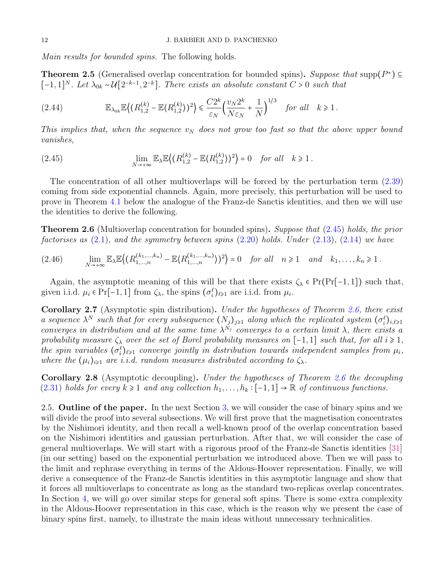Main results for bounded spins. The following holds.

<span id="page-11-3"></span>**Theorem 2.5** (Generalised overlap concentration for bounded spins). Suppose that supp $(P^*) \subseteq$  $[-1,1]^N$ . Let  $\lambda_{0k} \sim \mathcal{U}[2^{-k-1},2^{-k}]$ . There exists an absolute constant  $C > 0$  such that

$$
(2.44) \qquad \mathbb{E}_{\lambda_{0k}} \mathbb{E}\left((R_{1,2}^{(k)} - \mathbb{E}(R_{1,2}^{(k)})^2) \right) \leq \frac{C2^k}{\varepsilon_N} \Big(\frac{v_N 2^k}{N \varepsilon_N} + \frac{1}{N}\Big)^{1/3} \quad \text{for all} \quad k \geq 1.
$$

This implies that, when the sequence  $v_N$  does not grow too fast so that the above upper bound vanishes,

<span id="page-11-0"></span>(2.45) 
$$
\lim_{N \to +\infty} \mathbb{E}_{\lambda} \mathbb{E}\left\langle (R_{1,2}^{(k)} - \mathbb{E}\langle R_{1,2}^{(k)} \rangle)^2 \right\rangle = 0 \text{ for all } k \ge 1.
$$

The concentration of all other multioverlaps will be forced by the perturbation term [\(2.39\)](#page-10-1) coming from side exponential channels. Again, more precisely, this perturbation will be used to prove in Theorem [4.1](#page-26-0) below the analogue of the Franz-de Sanctis identities, and then we will use the identities to derive the following.

<span id="page-11-1"></span>**Theorem 2.6** (Multioverlap concentration for bounded spins). Suppose that [\(2.45\)](#page-11-0) holds, the prior factorises as  $(2.1)$ , and the symmetry between spins  $(2.20)$  holds. Under  $(2.13)$ ,  $(2.14)$  we have

<span id="page-11-4"></span>
$$
(2.46) \qquad \lim_{N\to+\infty} \mathbb{E}_{\lambda} \mathbb{E}\left((R_{1,\ldots,n}^{(k_1,\ldots,k_n)} - \mathbb{E}\langle R_{1,\ldots,n}^{(k_1,\ldots,k_n)} \rangle)^2\right) = 0 \quad \text{for all} \quad n \geq 1 \quad \text{and} \quad k_1,\ldots,k_n \geq 1.
$$

Again, the asymptotic meaning of this will be that there exists  $\zeta_{\lambda} \in Pr(Pr[-1, 1])$  such that, given i.i.d.  $\mu_i \in \Pr[-1, 1]$  from  $\zeta_{\lambda}$ , the spins  $(\sigma_i^{\ell})_{\ell \geq 1}$  are i.i.d. from  $\mu_i$ .

<span id="page-11-2"></span>**Corollary 2.7** (Asymptotic spin distribution). Under the hypotheses of Theorem [2.6,](#page-11-1) there exist a sequence  $\lambda^N$  such that for every subsequence  $(N_j)_{j\geqslant 1}$  along which the replicated system  $(\sigma_i^{\ell})_{i,\ell\geqslant 1}$ converges in distribution and at the same time  $\lambda^{N_j}$  converges to a certain limit  $\lambda$ , there exists a probability measure  $\zeta_{\lambda}$  over the set of Borel probability measures on [−1, 1] such that, for all  $i \geq 1$ , the spin variables  $(\sigma_i^{\ell})_{\ell \geq 1}$  converge jointly in distribution towards independent samples from  $\mu_i$ , where the  $(\mu_i)_{i\geqslant 1}$  are i.i.d. random measures distributed according to  $\zeta_\lambda$ .

<span id="page-11-5"></span>Corollary 2.8 (Asymptotic decoupling). Under the hypotheses of Theorem [2.6](#page-11-1) the decoupling [\(2.31\)](#page-8-1) holds for every  $k \ge 1$  and any collection  $h_1, \ldots, h_k : [-1, 1] \to \mathbb{R}$  of continuous functions.

2.5. Outline of the paper. In the next Section [3,](#page-12-0) we will consider the case of binary spins and we will divide the proof into several subsections. We will first prove that the magnetisation concentrates by the Nishimori identity, and then recall a well-known proof of the overlap concentration based on the Nishimori identities and gaussian perturbation. After that, we will consider the case of general multioverlaps. We will start with a rigorous proof of the Franz-de Sanctis identities [\[31\]](#page-32-21) (in our setting) based on the exponential perturbation we introduced above. Then we will pass to the limit and rephrase everything in terms of the Aldous-Hoover representation. Finally, we will derive a consequence of the Franz-de Sanctis identities in this asymptotic language and show that it forces all multioverlaps to concentrate as long as the standard two-replicas overlap concentrates. In Section [4,](#page-25-0) we will go over similar steps for general soft spins. There is some extra complexity in the Aldous-Hoover representation in this case, which is the reason why we present the case of binary spins first, namely, to illustrate the main ideas without unnecessary technicalities.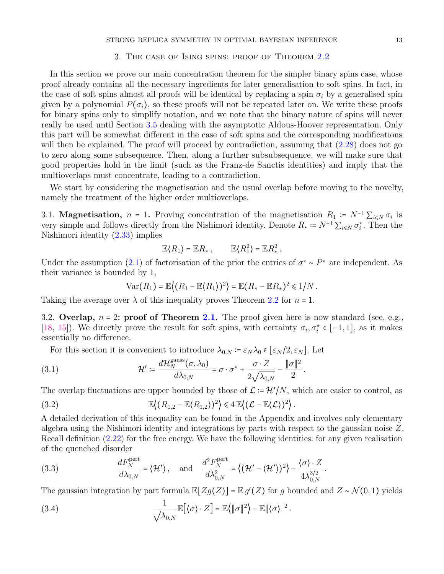### STRONG REPLICA SYMMETRY IN OPTIMAL BAYESIAN INFERENCE 13

# 3. The case of Ising spins: proof of Theorem [2.2](#page-7-2)

<span id="page-12-0"></span>In this section we prove our main concentration theorem for the simpler binary spins case, whose proof already contains all the necessary ingredients for later generalisation to soft spins. In fact, in the case of soft spins almost all proofs will be identical by replacing a spin  $\sigma_i$  by a generalised spin given by a polynomial  $P(\sigma_i)$ , so these proofs will not be repeated later on. We write these proofs for binary spins only to simplify notation, and we note that the binary nature of spins will never really be used until Section [3.5](#page-21-0) dealing with the asymptotic Aldous-Hoover representation. Only this part will be somewhat different in the case of soft spins and the corresponding modifications will then be explained. The proof will proceed by contradiction, assuming that  $(2.28)$  does not go to zero along some subsequence. Then, along a further subsubsequence, we will make sure that good properties hold in the limit (such as the Franz-de Sanctis identities) and imply that the multioverlaps must concentrate, leading to a contradiction.

We start by considering the magnetisation and the usual overlap before moving to the novelty, namely the treatment of the higher order multioverlaps.

<span id="page-12-4"></span>3.1. **Magnetisation**,  $n = 1$ . Proving concentration of the magnetisation  $R_1 := N^{-1} \sum_{i \le N} \sigma_i$  is very simple and follows directly from the Nishimori identity. Denote  $R_* \coloneqq N^{-1} \sum_{i \leq N} \sigma_i^*$ . Then the Nishimori identity [\(2.33\)](#page-9-3) implies

$$
\mathbb{E}\langle R_1\rangle=\mathbb{E}R_*\,,\qquad \mathbb{E}\langle R_1^2\rangle=\mathbb{E}R_*^2\,.
$$

Under the assumption  $(2.1)$  of factorisation of the prior the entries of  $\sigma^* \sim P^*$  are independent. As their variance is bounded by 1,

$$
\text{Var}(R_1) = \mathbb{E}\big\langle (R_1 - \mathbb{E}\langle R_1 \rangle)^2 \big\rangle = \mathbb{E}(R_* - \mathbb{E}R_*)^2 \leq 1/N.
$$

Taking the average over  $\lambda$  of this inequality proves Theorem [2.2](#page-7-2) for  $n = 1$ .

<span id="page-12-3"></span>3.2. Overlap,  $n = 2$ : proof of Theorem [2.1.](#page-7-6) The proof given here is now standard (see, e.g., [\[18,](#page-32-10) [15\]](#page-32-2)). We directly prove the result for soft spins, with certainty  $\sigma_i, \sigma_i^* \in [-1,1]$ , as it makes essentially no difference.

For this section it is convenient to introduce  $\lambda_{0,N} = \varepsilon_N \lambda_0 \in [\varepsilon_N/2, \varepsilon_N]$ . Let

<span id="page-12-5"></span>(3.1) 
$$
\mathcal{H}' \coloneqq \frac{d\mathcal{H}_N^{\text{gauss}}(\sigma, \lambda_0)}{d\lambda_{0,N}} = \sigma \cdot \sigma^* + \frac{\sigma \cdot Z}{2\sqrt{\lambda_{0,N}}} - \frac{\|\sigma\|^2}{2}.
$$

The overlap fluctuations are upper bounded by those of  $\mathcal{L} = \mathcal{H}'/N$ , which are easier to control, as

<span id="page-12-1"></span>(3.2) 
$$
\mathbb{E}\left\langle (R_{1,2}-\mathbb{E}\langle R_{1,2})^2 \rangle \leq 4 \mathbb{E}\left\langle (L-\mathbb{E}\langle L \rangle)^2 \right\rangle.
$$

A detailed derivation of this inequality can be found in the Appendix and involves only elementary algebra using the Nishimori identity and integrations by parts with respect to the gaussian noise Z. Recall definition [\(2.22\)](#page-7-7) for the free energy. We have the following identities: for any given realisation of the quenched disorder

<span id="page-12-2"></span>(3.3) 
$$
\frac{dF_N^{\text{pert}}}{d\lambda_{0,N}} = \langle \mathcal{H}' \rangle, \text{ and } \frac{d^2 F_N^{\text{pert}}}{d\lambda_{0,N}^2} = \left\{ (\mathcal{H}' - \langle \mathcal{H}' \rangle)^2 \right\} - \frac{\langle \sigma \rangle \cdot Z}{4\lambda_{0,N}^{3/2}}.
$$

The gaussian integration by part formula  $\mathbb{E}[Zg(Z)] = \mathbb{E}g'(Z)$  for g bounded and  $Z \sim \mathcal{N}(0, 1)$  yields

<span id="page-12-6"></span>(3.4) 
$$
\frac{1}{\sqrt{\lambda_{0,N}}}\mathbb{E}[(\sigma)\cdot Z] = \mathbb{E}(\|\sigma\|^2) - \mathbb{E}\|\langle \sigma \rangle\|^2.
$$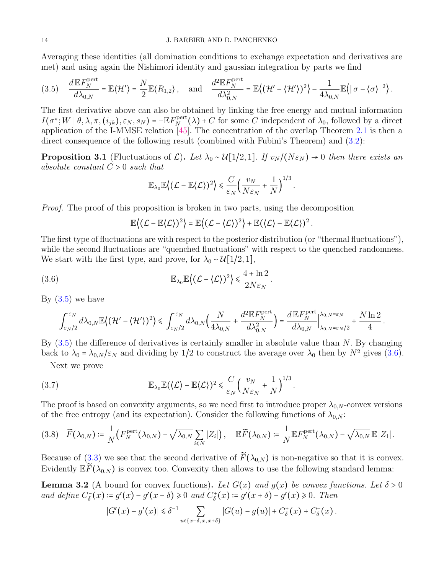Averaging these identities (all domination conditions to exchange expectation and derivatives are met) and using again the Nishimori identity and gaussian integration by parts we find

<span id="page-13-0"></span>
$$
(3.5) \quad \frac{d\mathbb{E} F_N^{\text{pert}}}{d\lambda_{0,N}} = \mathbb{E} \langle \mathcal{H}' \rangle = \frac{N}{2} \mathbb{E} \langle R_{1,2} \rangle \,, \quad \text{and} \quad \frac{d^2\mathbb{E} F_N^{\text{pert}}}{d\lambda_{0,N}^2} = \mathbb{E} \Big( \langle \mathcal{H}' - \langle \mathcal{H}' \rangle \rangle^2 \Big) - \frac{1}{4\lambda_{0,N}} \mathbb{E} \Big\{ \|\sigma - \langle \sigma \rangle \|^2 \Big\} \,.
$$

The first derivative above can also be obtained by linking the free energy and mutual information  $I(\sigma^*; W \mid \theta, \lambda, \pi, (i_{jk}), \varepsilon_N, s_N)$  =  $- \mathbb{E} F_N^{\text{pert}}$  $N^{\text{pert}}(\lambda)$  + C for some C independent of  $\lambda_0$ , followed by a direct application of the I-MMSE relation [\[45\]](#page-33-18). The concentration of the overlap Theorem [2.1](#page-7-6) is then a direct consequence of the following result (combined with Fubini's Theorem) and [\(3.2\)](#page-12-1):

<span id="page-13-4"></span>**Proposition 3.1** (Fluctuations of  $\mathcal{L}$ ). Let  $\lambda_0 \sim \mathcal{U}[1/2, 1]$ . If  $v_N / (N \varepsilon_N) \to 0$  then there exists an absolute constant  $C > 0$  such that

$$
\mathbb{E}_{\lambda_0}\mathbb{E}\big\{\big(\mathcal{L}-\mathbb{E}\langle\mathcal{L}\rangle\big)^2\big\}\leqslant \frac{C}{\varepsilon_N}\Big(\frac{v_N}{N\varepsilon_N}+\frac{1}{N}\Big)^{1/3}.
$$

Proof. The proof of this proposition is broken in two parts, using the decomposition

$$
\mathbb{E}\big\{(\mathcal{L}-\mathbb{E}\langle\mathcal{L}\rangle)^2\big\}=\mathbb{E}\big\{(\mathcal{L}-\langle\mathcal{L}\rangle)^2\big\}+\mathbb{E}(\langle\mathcal{L}\rangle-\mathbb{E}\langle\mathcal{L}\rangle)^2\,.
$$

The first type of fluctuations are with respect to the posterior distribution (or "thermal fluctuations"), while the second fluctuations are "quenched fluctuations" with respect to the quenched randomness. We start with the first type, and prove, for  $\lambda_0 \sim \mathcal{U}[1/2, 1]$ ,

<span id="page-13-1"></span>(3.6) 
$$
\mathbb{E}_{\lambda_0} \mathbb{E}\left\{ (\mathcal{L} - \langle \mathcal{L} \rangle)^2 \right\} \leq \frac{4 + \ln 2}{2N \varepsilon_N}.
$$

By  $(3.5)$  we have

$$
\int_{\varepsilon_N/2}^{\varepsilon_N} d\lambda_{0,N} \mathbb{E}\left\{(\mathcal{H}' - \langle \mathcal{H}' \rangle)^2\right\} \leq \int_{\varepsilon_N/2}^{\varepsilon_N} d\lambda_{0,N} \Big(\frac{N}{4\lambda_{0,N}} + \frac{d^2 \mathbb{E} F_N^{\text{pert}}}{d\lambda_{0,N}^2}\Big) = \frac{d \mathbb{E} F_N^{\text{pert}}}{d\lambda_{0,N}} \Big|_{\lambda_{0,N} = \varepsilon_N/2}^{\lambda_{0,N} = \varepsilon_N} + \frac{N \ln 2}{4} \, .
$$

By  $(3.5)$  the difference of derivatives is certainly smaller in absolute value than N. By changing back to  $\lambda_0 = \lambda_{0,N}/\varepsilon_N$  and dividing by 1/2 to construct the average over  $\lambda_0$  then by  $N^2$  gives [\(3.6\)](#page-13-1).

Next we prove

(3.7) 
$$
\mathbb{E}_{\lambda_0} \mathbb{E}(\langle \mathcal{L} \rangle - \mathbb{E} \langle \mathcal{L} \rangle)^2 \leq \frac{C}{\varepsilon_N} \Big(\frac{v_N}{N \varepsilon_N} + \frac{1}{N}\Big)^{1/3}.
$$

The proof is based on convexity arguments, so we need first to introduce proper  $\lambda_{0,N}$ -convex versions of the free entropy (and its expectation). Consider the following functions of  $\lambda_{0,N}$ :

<span id="page-13-2"></span>
$$
(3.8) \quad \widetilde{F}(\lambda_{0,N}) \coloneqq \frac{1}{N} \big(F_N^{\text{pert}}(\lambda_{0,N}) - \sqrt{\lambda_{0,N}} \sum_{i \leq N} |Z_i|\big)\,, \quad \mathbb{E} \widetilde{F}(\lambda_{0,N}) \coloneqq \frac{1}{N} \mathbb{E} F_N^{\text{pert}}(\lambda_{0,N}) - \sqrt{\lambda_{0,N}} \mathbb{E} |Z_1|\,.
$$

Because of [\(3.3\)](#page-12-2) we see that the second derivative of  $\widetilde{F}(\lambda_{0,N})$  is non-negative so that it is convex. Evidently  $E\widetilde{F}(\lambda_{0,N})$  is convex too. Convexity then allows to use the following standard lemma:

<span id="page-13-3"></span>**Lemma 3.2** (A bound for convex functions). Let  $G(x)$  and  $q(x)$  be convex functions. Let  $\delta > 0$ and define  $C_{\delta}^{-}(x) := g'(x) - g'(x - \delta) \ge 0$  and  $C_{\delta}^{+}(x) := g'(x + \delta) - g'(x) \ge 0$ . Then

$$
|G'(x)-g'(x)| \leq \delta^{-1} \sum_{u \in \{x-\delta, x, x+\delta\}} |G(u)-g(u)| + C_{\delta}^+(x) + C_{\delta}^-(x).
$$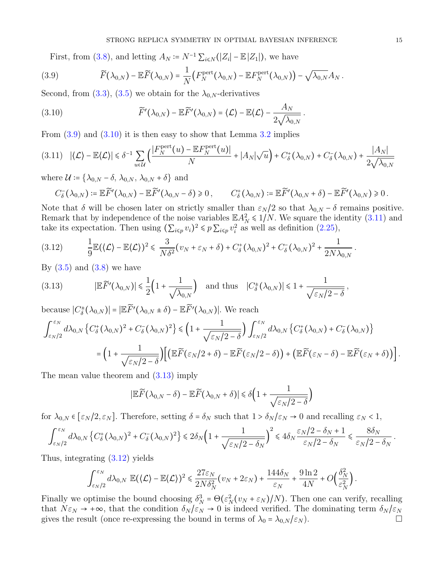First, from [\(3.8\)](#page-13-2), and letting  $A_N = N^{-1} \sum_{i \le N} (|Z_i| - \mathbb{E}|Z_1|)$ , we have

<span id="page-14-0"></span>(3.9) 
$$
\widetilde{F}(\lambda_{0,N}) - \mathbb{E}\widetilde{F}(\lambda_{0,N}) = \frac{1}{N}\big(F_N^{\text{pert}}(\lambda_{0,N}) - \mathbb{E}F_N^{\text{pert}}(\lambda_{0,N})\big) - \sqrt{\lambda_{0,N}}A_N.
$$

Second, from [\(3.3\)](#page-12-2), [\(3.5\)](#page-13-0) we obtain for the  $\lambda_{0,N}$ -derivatives

<span id="page-14-1"></span>(3.10) 
$$
\widetilde{F}'(\lambda_{0,N}) - \mathbb{E}\widetilde{F}'(\lambda_{0,N}) = \langle \mathcal{L} \rangle - \mathbb{E}\langle \mathcal{L} \rangle - \frac{A_N}{2\sqrt{\lambda_{0,N}}}.
$$

From  $(3.9)$  and  $(3.10)$  it is then easy to show that Lemma  $3.2$  implies

<span id="page-14-2"></span>
$$
(3.11) \quad |\langle \mathcal{L} \rangle - \mathbb{E}\langle \mathcal{L} \rangle| \le \delta^{-1} \sum_{u \in \mathcal{U}} \left( \frac{|F_N^{\text{pert}}(u) - \mathbb{E} F_N^{\text{pert}}(u)|}{N} + |A_N| \sqrt{u} \right) + C_{\delta}^+(\lambda_{0,N}) + C_{\delta}^-(\lambda_{0,N}) + \frac{|A_N|}{2\sqrt{\lambda_{0,N}}}
$$

where  $\mathcal{U} \coloneqq \{ \lambda_{0,N} - \delta, \lambda_{0,N}, \lambda_{0,N} + \delta \}$  and

$$
C_{\delta}^{-}(\lambda_{0,N})\coloneqq \mathbb{E}\widetilde{F}'(\lambda_{0,N})-\mathbb{E}\widetilde{F}'(\lambda_{0,N}-\delta)\geq 0\,,\qquad C_{\delta}^{+}(\lambda_{0,N})\coloneqq \mathbb{E}\widetilde{F}'(\lambda_{0,N}+\delta)-\mathbb{E}\widetilde{F}'(\lambda_{0,N})\geq 0\,.
$$

Note that  $\delta$  will be chosen later on strictly smaller than  $\varepsilon_N/2$  so that  $\lambda_{0,N} - \delta$  remains positive. Remark that by independence of the noise variables  $\mathbb{E} A_N^2 \le 1/N$ . We square the identity  $(3.11)$  and take its expectation. Then using  $(\sum_{i \leq p} v_i)^2 \leq p \sum_{i \leq p} v_i^2$  as well as definition  $(2.25)$ ,

<span id="page-14-4"></span>
$$
(3.12) \qquad \frac{1}{9}\mathbb{E}(\langle \mathcal{L}\rangle - \mathbb{E}\langle \mathcal{L}\rangle)^2 \leq \frac{3}{N\delta^2}(v_N + \varepsilon_N + \delta) + C_{\delta}^+(\lambda_{0,N})^2 + C_{\delta}^-(\lambda_{0,N})^2 + \frac{1}{2N\lambda_{0,N}}.
$$

By  $(3.5)$  and  $(3.8)$  we have

<span id="page-14-3"></span>(3.13) 
$$
|\mathbb{E}\widetilde{F}'(\lambda_{0,N})| \le \frac{1}{2}\left(1 + \frac{1}{\sqrt{\lambda_{0,N}}}\right)
$$
 and thus  $|C^{\pm}_{\delta}(\lambda_{0,N})| \le 1 + \frac{1}{\sqrt{\epsilon_N/2 - \delta}}$ ,

because  $|C^{\pm}_{\delta}(\lambda_{0,N})| = |\mathbb{E} \widetilde{F}'(\lambda_{0,N} \pm \delta) - \mathbb{E} \widetilde{F}'(\lambda_{0,N})|$ . We reach

$$
\int_{\varepsilon_N/2}^{\varepsilon_N} d\lambda_{0,N} \left\{ C_\delta^+(\lambda_{0,N})^2 + C_\delta^-(\lambda_{0,N})^2 \right\} \leq \left( 1 + \frac{1}{\sqrt{\varepsilon_N/2 - \delta}} \right) \int_{\varepsilon_N/2}^{\varepsilon_N} d\lambda_{0,N} \left\{ C_\delta^+(\lambda_{0,N}) + C_\delta^-(\lambda_{0,N}) \right\}
$$

$$
= \left( 1 + \frac{1}{\sqrt{\varepsilon_N/2 - \delta}} \right) \left[ \left( \mathbb{E} \widetilde{F}(\varepsilon_N/2 + \delta) - \mathbb{E} \widetilde{F}(\varepsilon_N/2 - \delta) \right) + \left( \mathbb{E} \widetilde{F}(\varepsilon_N - \delta) - \mathbb{E} \widetilde{F}(\varepsilon_N + \delta) \right) \right].
$$

The mean value theorem and [\(3.13\)](#page-14-3) imply

$$
|\mathbb{E}\widetilde{F}(\lambda_{0,N}-\delta)-\mathbb{E}\widetilde{F}(\lambda_{0,N}+\delta)|\leq \delta\Big(1+\frac{1}{\sqrt{\varepsilon_N/2-\delta}}\Big)
$$

for  $\lambda_{0,N} \in [\varepsilon_N/2, \varepsilon_N]$ . Therefore, setting  $\delta = \delta_N$  such that  $1 > \delta_N/\varepsilon_N \to 0$  and recalling  $\varepsilon_N < 1$ ,

$$
\int_{\varepsilon_N/2}^{\varepsilon_N} d\lambda_{0,N} \left\{ C_\delta^+(\lambda_{0,N})^2 + C_\delta^-(\lambda_{0,N})^2 \right\} \leq 2\delta_N \left( 1 + \frac{1}{\sqrt{\varepsilon_N/2 - \delta_N}} \right)^2 \leq 4\delta_N \frac{\varepsilon_N/2 - \delta_N + 1}{\varepsilon_N/2 - \delta_N} \leq \frac{8\delta_N}{\varepsilon_N/2 - \delta_N}.
$$

Thus, integrating [\(3.12\)](#page-14-4) yields

$$
\int_{\varepsilon_N/2}^{\varepsilon_N} d\lambda_{0,N} \ \mathbb{E}(\langle \mathcal{L} \rangle - \mathbb{E} \langle \mathcal{L} \rangle)^2 \leq \frac{27 \varepsilon_N}{2N \delta_N^2} \big( v_N + 2 \varepsilon_N \big) + \frac{144 \delta_N}{\varepsilon_N} + \frac{9 \ln 2}{4N} + O \Big( \frac{\delta_N^2}{\varepsilon_N^2} \Big) \,.
$$

Finally we optimise the bound choosing  $\delta_N^3 = \Theta(\epsilon_N^2(v_N + \epsilon_N)/N)$ . Then one can verify, recalling that  $N\varepsilon_N \to +\infty$ , that the condition  $\delta_N/\varepsilon_N \to 0$  is indeed verified. The dominating term  $\delta_N/\varepsilon_N$ gives the result (once re-expressing the bound in terms of  $\lambda_0 = \lambda_{0,N}/\varepsilon_N$ ).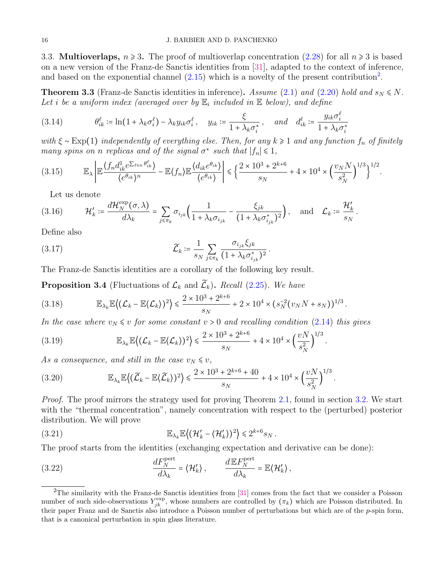3.3. **Multioverlaps,**  $n \ge 3$ . The proof of multioverlap concentration [\(2.28\)](#page-7-5) for all  $n \ge 3$  is based on a new version of the Franz-de Sanctis identities from [\[31\]](#page-32-21), adapted to the context of inference, and based on the exponential channel  $(2.15)$  which is a novelty of the present contribution<sup>[2](#page-15-1)</sup>.

<span id="page-15-0"></span>**Theorem 3.3** (Franz-de Sanctis identities in inference). Assume [\(2.1\)](#page-2-0) and [\(2.20\)](#page-6-1) hold and  $s_N \leq N$ . Let i be a uniform index (averaged over by  $\mathbb{E}_i$  included in  $\mathbb E$  below), and define

<span id="page-15-9"></span>(3.14) 
$$
\theta_{ik}^{\ell} \coloneqq \ln(1 + \lambda_k \sigma_i^{\ell}) - \lambda_k y_{ik} \sigma_i^{\ell}, \quad y_{ik} \coloneqq \frac{\xi}{1 + \lambda_k \sigma_i^*}, \quad \text{and} \quad d_{ik}^{\ell} \coloneqq \frac{y_{ik} \sigma_i^{\ell}}{1 + \lambda_k \sigma_i^*}
$$

with  $\xi \sim \text{Exp}(1)$  independently of everything else. Then, for any  $k \geq 1$  and any function  $f_n$  of finitely many spins on n replicas and of the signal  $\sigma^*$  such that  $|f_n| \leq 1$ ,

.

<span id="page-15-8"></span>
$$
(3.15) \qquad \mathbb{E}_{\lambda} \left| \mathbb{E} \frac{\left\langle f_n d_{ik}^1 e^{\sum_{\ell \le n} \theta_{ik}^{\ell}} \right\rangle}{\left\langle e^{\theta_{ik}} \right\rangle^n} - \mathbb{E} \left\langle f_n \right\rangle \mathbb{E} \frac{\left\langle d_{ik} e^{\theta_{ik}} \right\rangle}{\left\langle e^{\theta_{ik}} \right\rangle} \right| \leq \left\{ \frac{2 \times 10^3 + 2^{k+6}}{s_N} + 4 \times 10^4 \times \left( \frac{v_N N}{s_N^2} \right)^{1/3} \right\}^{1/2}
$$

Let us denote

<span id="page-15-6"></span>
$$
(3.16) \t\mathcal{H}'_k \coloneqq \frac{d\mathcal{H}_N^{\text{exp}}(\sigma,\lambda)}{d\lambda_k} = \sum_{j \leq \pi_k} \sigma_{i_{jk}} \left( \frac{1}{1 + \lambda_k \sigma_{i_{jk}}} - \frac{\xi_{jk}}{(1 + \lambda_k \sigma_{i_{jk}}^*)^2} \right), \text{ and } \mathcal{L}_k \coloneqq \frac{\mathcal{H}'_k}{s_N}.
$$

Define also

<span id="page-15-7"></span>(3.17) 
$$
\widetilde{\mathcal{L}}_k \coloneqq \frac{1}{s_N} \sum_{j \leq \pi_k} \frac{\sigma_{i_{jk}} \xi_{jk}}{(1 + \lambda_k \sigma_{i_{jk}}^*)^2}.
$$

The Franz-de Sanctis identities are a corollary of the following key result.

<span id="page-15-4"></span>**Proposition 3.4** (Fluctuations of  $\mathcal{L}_k$  and  $\widetilde{\mathcal{L}}_k$ ). Recall [\(2.25\)](#page-7-0). We have

(3.18) 
$$
\mathbb{E}_{\lambda_k} \mathbb{E}\left\{ (\mathcal{L}_k - \mathbb{E}\langle \mathcal{L}_k \rangle)^2 \right\} \leq \frac{2 \times 10^3 + 2^{k+6}}{s_N} + 2 \times 10^4 \times (s_N^{-2}(v_N N + s_N))^{1/3}.
$$

In the case where  $v_N \leq v$  for some constant  $v > 0$  and recalling condition [\(2.14\)](#page-5-2) this gives

(3.19) 
$$
\mathbb{E}_{\lambda_k} \mathbb{E}\left\{ (\mathcal{L}_k - \mathbb{E}\langle \mathcal{L}_k \rangle)^2 \right\} \leq \frac{2 \times 10^3 + 2^{k+6}}{s_N} + 4 \times 10^4 \times \left(\frac{vN}{s_N^2}\right)^{1/3}.
$$

As a consequence, and still in the case  $v_N \leq v$ ,

<span id="page-15-5"></span>(3.20) 
$$
\mathbb{E}_{\lambda_k} \mathbb{E}\left\{ (\widetilde{\mathcal{L}}_k - \mathbb{E}\langle \widetilde{\mathcal{L}}_k \rangle)^2 \right\} \leq \frac{2 \times 10^3 + 2^{k+6} + 40}{s_N} + 4 \times 10^4 \times \left(\frac{vN}{s_N^2}\right)^{1/3}.
$$

*Proof.* The proof mirrors the strategy used for proving Theorem [2.1,](#page-7-6) found in section [3.2.](#page-12-3) We start with the "thermal concentration", namely concentration with respect to the (perturbed) posterior distribution. We will prove

<span id="page-15-2"></span>(3.21) 
$$
\mathbb{E}_{\lambda_k} \mathbb{E}\left\{(\mathcal{H}_k' - \langle \mathcal{H}_k'\rangle)^2\right\} \leq 2^{k+6} s_N.
$$

The proof starts from the identities (exchanging expectation and derivative can be done):

<span id="page-15-3"></span>(3.22) 
$$
\frac{dF_N^{\text{pert}}}{d\lambda_k} = \langle \mathcal{H}'_k \rangle, \qquad \frac{d\mathbb{E}F_N^{\text{pert}}}{d\lambda_k} = \mathbb{E} \langle \mathcal{H}'_k \rangle,
$$

<span id="page-15-1"></span><sup>&</sup>lt;sup>2</sup>The similarity with the Franz-de Sanctis identities from [\[31\]](#page-32-21) comes from the fact that we consider a Poisson number of such side-observations  $Y_{jk}^{\text{exp}}$ , whose numbers are controlled by  $(\pi_k)$  which are Poisson distributed. In their paper Franz and de Sanctis also introduce a Poisson number of perturbations but which are of the  $p$ -spin form, that is a canonical perturbation in spin glass literature.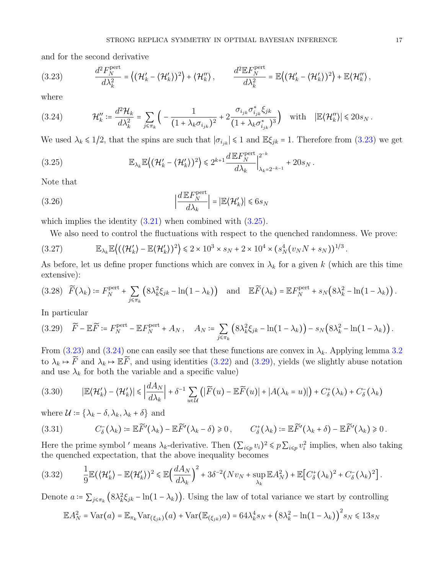and for the second derivative

<span id="page-16-0"></span>(3.23) 
$$
\frac{d^2 F_N^{\text{pert}}}{d\lambda_k^2} = \left\{ (\mathcal{H}_k' - \langle \mathcal{H}_k' \rangle)^2 \right\} + \left\langle \mathcal{H}_k'' \right\rangle, \qquad \frac{d^2 \mathbb{E} F_N^{\text{pert}}}{d\lambda_k^2} = \mathbb{E} \left\{ (\mathcal{H}_k' - \langle \mathcal{H}_k' \rangle)^2 \right\} + \mathbb{E} \left\langle \mathcal{H}_k'' \right\rangle,
$$

where

<span id="page-16-2"></span>
$$
(3.24) \t\mathcal{H}_k'' := \frac{d^2 \mathcal{H}_k}{d\lambda_k^2} = \sum_{j \leq \pi_k} \left( -\frac{1}{\left(1 + \lambda_k \sigma_{i_{jk}}\right)^2} + 2 \frac{\sigma_{i_{jk}} \sigma_{i_{jk}}^* \xi_{jk}}{\left(1 + \lambda_k \sigma_{i_{jk}}^*\right)^3} \right) \t\text{ with } |\mathbb{E} \langle \mathcal{H}_k'' \rangle| \leq 20 s_N \,.
$$

We used  $\lambda_k \le 1/2$ , that the spins are such that  $|\sigma_{i_{jk}}| \le 1$  and  $\mathbb{E}\xi_{jk} = 1$ . Therefore from [\(3.23\)](#page-16-0) we get

<span id="page-16-1"></span>(3.25) 
$$
\mathbb{E}_{\lambda_k} \mathbb{E}\left\{ (\mathcal{H}_k' - \langle \mathcal{H}_k' \rangle)^2 \right\} \leq 2^{k+1} \frac{d \mathbb{E} F_N^{\text{pert}}}{d \lambda_k} \Big|_{\lambda_k = 2^{-k-1}}^{2^{-k}} + 20 s_N.
$$

Note that

<span id="page-16-5"></span>(3.26) 
$$
\left|\frac{d E F_N^{\text{pert}}}{d \lambda_k}\right| = \left|\mathbb{E}(\mathcal{H}_k')\right| \leq 6s_N
$$

which implies the identity  $(3.21)$  when combined with  $(3.25)$ .

We also need to control the fluctuations with respect to the quenched randomness. We prove:

<span id="page-16-8"></span>
$$
(3.27) \qquad \mathbb{E}_{\lambda_k} \mathbb{E}\left\{ (\langle \mathcal{H}'_k \rangle - \mathbb{E}\langle \mathcal{H}'_k \rangle )^2 \right\} \leq 2 \times 10^3 \times s_N + 2 \times 10^4 \times (s_N^4 (v_N N + s_N))^{1/3}.
$$

As before, let us define proper functions which are convex in  $\lambda_k$  for a given k (which are this time extensive):

<span id="page-16-6"></span>
$$
(3.28) \quad \widetilde{F}(\lambda_k) \coloneqq F_N^{\text{pert}} + \sum_{j \leq \pi_k} \left( 8\lambda_k^2 \xi_{jk} - \ln(1 - \lambda_k) \right) \quad \text{and} \quad \mathbb{E} \widetilde{F}(\lambda_k) = \mathbb{E} F_N^{\text{pert}} + s_N \left( 8\lambda_k^2 - \ln(1 - \lambda_k) \right).
$$

In particular

<span id="page-16-3"></span>
$$
(3.29) \quad \widetilde{F} - \mathbb{E}\widetilde{F} := F_N^{\text{pert}} - \mathbb{E}F_N^{\text{pert}} + A_N, \quad A_N := \sum_{j \leq \pi_k} \left( 8\lambda_k^2 \xi_{jk} - \ln(1 - \lambda_k) \right) - s_N \left( 8\lambda_k^2 - \ln(1 - \lambda_k) \right).
$$

From [\(3.23\)](#page-16-0) and [\(3.24\)](#page-16-2) one can easily see that these functions are convex in  $\lambda_k$ . Applying lemma [3.2](#page-13-3) to  $\lambda_k \mapsto \widetilde{F}$  and  $\lambda_k \mapsto \mathbb{E}\widetilde{F}$ , and using identities [\(3.22\)](#page-15-3) and [\(3.29\)](#page-16-3), yields (we slightly abuse notation and use  $\lambda_k$  for both the variable and a specific value)

$$
(3.30) \qquad |\mathbb{E}\langle\mathcal{H}'_k\rangle - \langle\mathcal{H}'_k\rangle| \leq \left|\frac{dA_N}{d\lambda_k}\right| + \delta^{-1} \sum_{u \in \mathcal{U}}\left(|\widetilde{F}(u) - \mathbb{E}\widetilde{F}(u)| + |A(\lambda_k = u)|\right) + C_{\delta}^+(\lambda_k) + C_{\delta}^-(\lambda_k)
$$

where  $\mathcal{U} \coloneqq \{ \lambda_k - \delta, \lambda_k, \lambda_k + \delta \}$  and

<span id="page-16-7"></span>
$$
(3.31) \t C\delta-(\lambdak) := \mathbb{E} \widetilde{F}'(\lambdak) - \mathbb{E} \widetilde{F}'(\lambdak - \delta) \geq 0, \t C\delta+(\lambdak) := \mathbb{E} \widetilde{F}'(\lambdak + \delta) - \mathbb{E} \widetilde{F}'(\lambdak) \geq 0.
$$

Here the prime symbol ' means  $\lambda_k$ -derivative. Then  $(\sum_{i \leq p} v_i)^2 \leq p \sum_{i \leq p} v_i^2$  implies, when also taking the quenched expectation, that the above inequality becomes

<span id="page-16-4"></span>
$$
(3.32) \qquad \frac{1}{9}\mathbb{E}(\langle \mathcal{H}'_k \rangle - \mathbb{E}(\mathcal{H}'_k))^2 \leq \mathbb{E}\Big(\frac{dA_N}{d\lambda_k}\Big)^2 + 3\delta^{-2}(Nv_N + \sup_{\lambda_k} \mathbb{E}A_N^2) + \mathbb{E}\Big[C_\delta^+(\lambda_k)^2 + C_\delta^-(\lambda_k)^2\Big].
$$

Denote  $a = \sum_{j \leq \pi_k} (8\lambda_k^2 \xi_{jk} - \ln(1 - \lambda_k))$ . Using the law of total variance we start by controlling

$$
\mathbb{E}A_N^2 = \text{Var}(a) = \mathbb{E}_{\pi_k} \text{Var}_{(\xi_{jk})}(a) + \text{Var}(\mathbb{E}_{(\xi_{jk})}a) = 64\lambda_k^4 s_N + \left(8\lambda_k^2 - \ln(1 - \lambda_k)\right)^2 s_N \le 13s_N
$$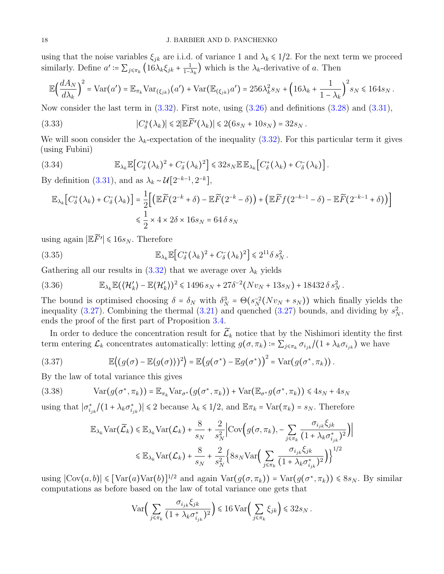using that the noise variables  $\xi_{jk}$  are i.i.d. of variance 1 and  $\lambda_k \leq 1/2$ . For the next term we proceed similarly. Define  $a' \coloneqq \sum_{j \leq \pi_k} \left( 16 \lambda_k \xi_{jk} + \frac{1}{1 - \lambda_k} \right)$  $\frac{1}{1-\lambda_k}$ ) which is the  $\lambda_k$ -derivative of a. Then

$$
\mathbb{E}\Big(\frac{dA_N}{d\lambda_k}\Big)^2 = \text{Var}\big(a'\big) = \mathbb{E}_{\pi_k}\text{Var}_{(\xi_{jk})}\big(a'\big) + \text{Var}\big(\mathbb{E}_{(\xi_{jk})}a'\big) = 256\lambda_k^2 s_N + \left(16\lambda_k + \frac{1}{1-\lambda_k}\right)^2 s_N \le 164s_N\,.
$$

Now consider the last term in  $(3.32)$ . First note, using  $(3.26)$  and definitions  $(3.28)$  and  $(3.31)$ ,

(3.33) 
$$
|C_{\delta}^{\pm}(\lambda_k)| \leq 2|\mathbb{E}\widetilde{F}'(\lambda_k)| \leq 2(6s_N + 10s_N) = 32s_N.
$$

We will soon consider the  $\lambda_k$ -expectation of the inequality [\(3.32\)](#page-16-4). For this particular term it gives (using Fubini)

(3.34) 
$$
\mathbb{E}_{\lambda_k} \mathbb{E}\big[C_{\delta}^+(\lambda_k)^2 + C_{\delta}^-(\lambda_k)^2\big] \leq 32s_N \mathbb{E} \mathbb{E}_{\lambda_k}\big[C_{\delta}^+(\lambda_k) + C_{\delta}^-(\lambda_k)\big].
$$

By definition [\(3.31\)](#page-16-7), and as  $\lambda_k \sim \mathcal{U}[2^{-k-1}, 2^{-k}],$ 

$$
\mathbb{E}_{\lambda_k} \big[ C_{\delta}^{\dagger}(\lambda_k) + C_{\delta}^{\dagger}(\lambda_k) \big] = \frac{1}{2} \Big[ \big( \mathbb{E} \widetilde{F} (2^{-k} + \delta) - \mathbb{E} \widetilde{F} (2^{-k} - \delta) \big) + \big( \mathbb{E} \widetilde{F} f (2^{-k-1} - \delta) - \mathbb{E} \widetilde{F} (2^{-k-1} + \delta) \big) \Big] \times \frac{1}{2} \times 4 \times 2\delta \times 16 s_N = 64 \delta s_N
$$

using again  $\left|\mathbb{E}\widetilde{F}'\right| \leq 16s_N$ . Therefore

(3.35) 
$$
\mathbb{E}_{\lambda_k} \mathbb{E}\big[C_{\delta}^+(\lambda_k)^2 + C_{\delta}^-(\lambda_k)^2\big] \leq 2^{11} \delta s_N^2.
$$

Gathering all our results in  $(3.32)$  that we average over  $\lambda_k$  yields

(3.36) 
$$
\mathbb{E}_{\lambda_k} \mathbb{E} \left( \left\langle \mathcal{H}'_k \right\rangle - \mathbb{E} \left\langle \mathcal{H}'_k \right\rangle \right)^2 \leq 1496 s_N + 27 \delta^{-2} \left( N v_N + 13 s_N \right) + 18432 \delta s_N^2.
$$

The bound is optimised choosing  $\delta = \delta_N$  with  $\delta_N^3 = \Theta(s_N^{-2}(Nv_N + s_N))$  which finally yields the inequality [\(3.27\)](#page-16-8). Combining the thermal [\(3.21\)](#page-15-2) and quenched (3.27) bounds, and dividing by  $s_N^2$ , ends the proof of the first part of Proposition [3.4.](#page-15-4)

In order to deduce the concentration result for  $\widetilde{\mathcal{L}}_k$  notice that by the Nishimori identity the first term entering  $\mathcal{L}_k$  concentrates automatically: letting  $g(\sigma, \pi_k) \coloneqq \sum_{j \leq \pi_k} \sigma_{i_{jk}}/(1 + \lambda_k \sigma_{i_{jk}})$  we have

(3.37) 
$$
\mathbb{E}\left\langle (g(\sigma)-\mathbb{E}\langle g(\sigma)\rangle)^2 \right\rangle = \mathbb{E}\left(g(\sigma^*)-\mathbb{E}g(\sigma^*)\right)^2 = \text{Var}(g(\sigma^*,\pi_k)).
$$

By the law of total variance this gives

(3.38) 
$$
Var(g(\sigma^*, \pi_k)) = \mathbb{E}_{\pi_k} Var_{\sigma^*}(g(\sigma^*, \pi_k)) + Var(\mathbb{E}_{\sigma^*}g(\sigma^*, \pi_k)) \leq 4s_N + 4s_N
$$

using that  $|\sigma_{i_{jk}}^*/(1 + \lambda_k \sigma_{i_{jk}}^*)| \leq 2$  because  $\lambda_k \leq 1/2$ , and  $\mathbb{E} \pi_k = \text{Var}(\pi_k) = s_N$ . Therefore

$$
\mathbb{E}_{\lambda_k} \text{Var}(\widetilde{\mathcal{L}}_k) \leq \mathbb{E}_{\lambda_k} \text{Var}(\mathcal{L}_k) + \frac{8}{s_N} + \frac{2}{s_N^2} \left| \text{Cov}\left(g(\sigma, \pi_k), -\sum_{j \leq \pi_k} \frac{\sigma_{i_{jk}} \xi_{jk}}{(1 + \lambda_k \sigma_{i_{jk}}^*)^2}\right) \right|
$$
  

$$
\leq \mathbb{E}_{\lambda_k} \text{Var}(\mathcal{L}_k) + \frac{8}{s_N} + \frac{2}{s_N^2} \left\{ 8s_N \text{Var}\left(\sum_{j \leq \pi_k} \frac{\sigma_{i_{jk}} \xi_{jk}}{(1 + \lambda_k \sigma_{i_{jk}}^*)^2}\right) \right\}^{1/2}
$$

using  $|\text{Cov}(a, b)| \leq [\text{Var}(a) \text{Var}(b)]^{1/2}$  and again  $\text{Var}(g(\sigma, \pi_k)) = \text{Var}(g(\sigma^*, \pi_k)) \leq 8s_N$ . By similar computations as before based on the law of total variance one gets that

$$
\text{Var}\bigg(\sum_{j\leqslant \pi_k}\frac{\sigma_{i_{jk}}\xi_{jk}}{\big(1+\lambda_k\sigma_{i_{jk}}^*\big)^2}\bigg) \leqslant 16\,\text{Var}\bigg(\sum_{j\leqslant \pi_k}\xi_{jk}\bigg)\leqslant 32s_N\,.
$$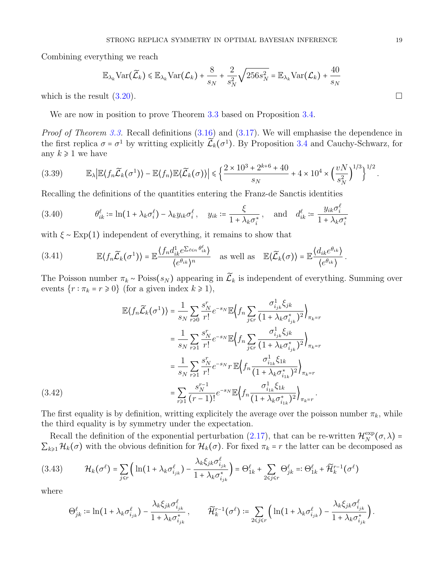Combining everything we reach

$$
\mathbb{E}_{\lambda_k} \text{Var}(\widetilde{\mathcal{L}}_k) \leq \mathbb{E}_{\lambda_k} \text{Var}(\mathcal{L}_k) + \frac{8}{s_N} + \frac{2}{s_N^2} \sqrt{256 s_N^2} = \mathbb{E}_{\lambda_k} \text{Var}(\mathcal{L}_k) + \frac{40}{s_N}
$$

which is the result  $(3.20)$ .

We are now in position to prove Theorem [3.3](#page-15-0) based on Proposition [3.4.](#page-15-4)

Proof of Theorem [3.3.](#page-15-0) Recall definitions  $(3.16)$  and  $(3.17)$ . We will emphasise the dependence in the first replica  $\sigma = \sigma^1$  by writting explicitly  $\tilde{\mathcal{L}}_k(\sigma^1)$ . By Proposition [3.4](#page-15-4) and Cauchy-Schwarz, for any  $k \geq 1$  we have

$$
(3.39) \qquad \mathbb{E}_{\lambda} \big| \mathbb{E} \langle f_n \widetilde{\mathcal{L}}_k(\sigma^1) \rangle - \mathbb{E} \langle f_n \rangle \mathbb{E} \langle \widetilde{\mathcal{L}}_k(\sigma) \rangle \big| \leq \Big\{ \frac{2 \times 10^3 + 2^{k+6} + 40}{s_N} + 4 \times 10^4 \times \Big( \frac{vN}{s_N^2} \Big)^{1/3} \Big\}^{1/2}.
$$

Recalling the definitions of the quantities entering the Franz-de Sanctis identities

<span id="page-18-1"></span>(3.40) 
$$
\theta_{ik}^{\ell} \coloneqq \ln(1 + \lambda_k \sigma_i^{\ell}) - \lambda_k y_{ik} \sigma_i^{\ell}, \quad y_{ik} \coloneqq \frac{\xi}{1 + \lambda_k \sigma_i^*}, \quad \text{and} \quad d_{ik}^{\ell} \coloneqq \frac{y_{ik} \sigma_i^{\ell}}{1 + \lambda_k \sigma_i^*}
$$

with  $\xi \sim \text{Exp}(1)$  independent of everything, it remains to show that

<span id="page-18-3"></span>(3.41) 
$$
\mathbb{E}\left\{f_n\widetilde{\mathcal{L}}_k(\sigma^1)\right\}=\mathbb{E}\frac{\left\{f_nd_{ik}^1e^{\sum_{\ell\leq n}\theta_{ik}^\ell}\right\}}{\left\{e^{\theta_{ik}}\right\}^n} \text{ as well as } \mathbb{E}\left\{\widetilde{\mathcal{L}}_k(\sigma)\right\}=\mathbb{E}\frac{\left\{d_{ik}e^{\theta_{ik}}\right\}}{\left\{e^{\theta_{ik}}\right\}}.
$$

The Poisson number  $\pi_k \sim \text{Poiss}(s_N)$  appearing in  $\widetilde{\mathcal{L}}_k$  is independent of everything. Summing over events  $\{r : \pi_k = r \geq 0\}$  (for a given index  $k \geq 1$ ),

$$
\mathbb{E}\langle f_n \widetilde{\mathcal{L}}_k(\sigma^1) \rangle = \frac{1}{s_N} \sum_{r \ge 0} \frac{s_N^r}{r!} e^{-s_N} \mathbb{E}\Big\langle f_n \sum_{j \le r} \frac{\sigma_{i_{jk}}^1 \xi_{jk}}{(1 + \lambda_k \sigma_{i_{jk}}^*)^2} \Big\rangle_{\pi_k = r}
$$
\n
$$
= \frac{1}{s_N} \sum_{r \ge 1} \frac{s_N^r}{r!} e^{-s_N} \mathbb{E}\Big\langle f_n \sum_{j \le r} \frac{\sigma_{i_{jk}}^1 \xi_{jk}}{(1 + \lambda_k \sigma_{i_{jk}}^*)^2} \Big\rangle_{\pi_k = r}
$$
\n
$$
= \frac{1}{s_N} \sum_{r \ge 1} \frac{s_N^r}{r!} e^{-s_N} r \mathbb{E}\Big\langle f_n \frac{\sigma_{i_{1k}}^1 \xi_{1k}}{(1 + \lambda_k \sigma_{i_{1k}}^*)^2} \Big\rangle_{\pi_k = r}
$$
\n
$$
= \sum_{r \ge 1} \frac{s_N^{r-1}}{(r-1)!} e^{-s_N} \mathbb{E}\Big\langle f_n \frac{\sigma_{i_{1k}}^1 \xi_{1k}}{(1 + \lambda_k \sigma_{i_{1k}}^*)^2} \Big\rangle_{\pi_k = r}.
$$
\n(3.42)

<span id="page-18-0"></span>The first equality is by definition, writting explicitely the average over the poisson number  $\pi_k$ , while the third equality is by symmetry under the expectation.

Recall the definition of the exponential perturbation [\(2.17\)](#page-6-0), that can be re-written  $\mathcal{H}_N^{\text{exp}}$  $N^{\exp}(\sigma, \lambda) =$  $\sum_{k\geq 1} \mathcal{H}_k(\sigma)$  with the obvious definition for  $\mathcal{H}_k(\sigma)$ . For fixed  $\pi_k = r$  the latter can be decomposed as

<span id="page-18-2"></span>
$$
(3.43) \qquad \mathcal{H}_k(\sigma^\ell) = \sum_{j \leq r} \Big( \ln(1 + \lambda_k \sigma_{i_{jk}}^\ell) - \frac{\lambda_k \xi_{jk} \sigma_{i_{jk}}^\ell}{1 + \lambda_k \sigma_{i_{jk}}^*} \Big) = \Theta_{1k}^\ell + \sum_{2 \leq j \leq r} \Theta_{jk}^\ell =: \Theta_{1k}^\ell + \widetilde{\mathcal{H}}_k^{r-1}(\sigma^\ell)
$$

where

$$
\Theta_{jk}^{\ell} := \ln(1 + \lambda_k \sigma_{i_{jk}}^{\ell}) - \frac{\lambda_k \xi_{jk} \sigma_{i_{jk}}^{\ell}}{1 + \lambda_k \sigma_{i_{jk}}^{*}}, \qquad \widetilde{\mathcal{H}}_k^{r-1}(\sigma^{\ell}) := \sum_{2 \leq j \leq r} \left( \ln(1 + \lambda_k \sigma_{i_{jk}}^{\ell}) - \frac{\lambda_k \xi_{jk} \sigma_{i_{jk}}^{\ell}}{1 + \lambda_k \sigma_{i_{jk}}^{*}} \right).
$$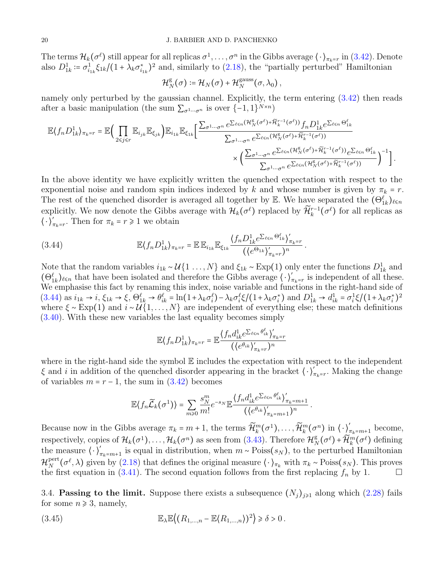The terms  $\mathcal{H}_k(\sigma^\ell)$  still appear for all replicas  $\sigma^1,\ldots,\sigma^n$  in the Gibbs average  $\langle\,\cdot\,\rangle_{\pi_k=r}$  in  $(3.42)$ . Denote also  $D_{1k}^1 \coloneqq \sigma_{i_{1k}}^1 \xi_{1k}/(1+\lambda_k \sigma_{i_{1k}}^*)^2$  and, similarly to [\(2.18\)](#page-6-4), the "partially perturbed" Hamiltonian

$$
\mathcal{H}_N^{\mathrm{g}}(\sigma) \coloneqq \mathcal{H}_N(\sigma) + \mathcal{H}_N^{\mathrm{gauss}}(\sigma, \lambda_0),
$$

namely only perturbed by the gaussian channel. Explicitly, the term entering [\(3.42\)](#page-18-0) then reads after a basic manipulation (the sum  $\sum_{\sigma^1 \cdots \sigma^n}$  is over  $\{-1,1\}^{N \times n}$ )

$$
\mathbb{E}\langle f_n D_{1k}^1 \rangle_{\pi_k = r} = \mathbb{E}\Big(\prod_{2 \leq j \leq r} \mathbb{E}_{i_{jk}} \mathbb{E}_{\xi_{jk}}\Big) \mathbb{E}_{i_{1k}} \mathbb{E}_{\xi_{1k}} \Big[\frac{\sum_{\sigma^{1} \cdots \sigma^{n}} e^{\sum_{\ell \leq n} (\mathcal{H}_{N}^g(\sigma^{\ell}) + \widetilde{\mathcal{H}}_{k}^{r-1}(\sigma^{\ell}))} f_n D_{1k}^1 e^{\sum_{\ell \leq n} \Theta_{1k}^{\ell}}}{\sum_{\sigma^{1} \cdots \sigma^{n}} e^{\sum_{\ell \leq n} (\mathcal{H}_{N}^g(\sigma^{\ell}) + \widetilde{\mathcal{H}}_{k}^{r-1}(\sigma^{\ell}))}} \times \Big(\frac{\sum_{\sigma^{1} \cdots \sigma^{n}} e^{\sum_{\ell \leq n} (\mathcal{H}_{N}^g(\sigma^{\ell}) + \widetilde{\mathcal{H}}_{k}^{r-1}(\sigma^{\ell}))} e^{\sum_{\ell \leq n} \Theta_{1k}^{\ell}}}{\sum_{\sigma^{1} \cdots \sigma^{n}} e^{\sum_{\ell \leq n} (\mathcal{H}_{N}^g(\sigma^{\ell}) + \widetilde{\mathcal{H}}_{k}^{r-1}(\sigma^{\ell}))}}\Big)^{-1}\Big].
$$

In the above identity we have explicitly written the quenched expectation with respect to the exponential noise and random spin indices indexed by k and whose number is given by  $\pi_k = r$ . The rest of the quenched disorder is averaged all together by E. We have separated the  $(\Theta_{1k}^{\ell})_{\ell \leq n}$ explicitly. We now denote the Gibbs average with  $\mathcal{H}_k(\sigma^\ell)$  replaced by  $\widetilde{\mathcal{H}}_k^{r-1}(\sigma^\ell)$  for all replicas as  $\langle \cdot \rangle'_{\pi_k = r}$ . Then for  $\pi_k = r \geq 1$  we obtain

<span id="page-19-0"></span>(3.44) 
$$
\mathbb{E}\langle f_n D_{1k}^1 \rangle_{\pi_k = r} = \mathbb{E} \mathbb{E}_{i_{1k}} \mathbb{E}_{\xi_{1k}} \frac{\langle f_n D_{1k}^1 e^{\sum_{\ell \leq n} \Theta_{1k}^\ell} \rangle'_{\pi_k = r}}{(\langle e^{\Theta_{1k}} \rangle'_{\pi_k = r})^n}.
$$

Note that the random variables  $i_{1k} \sim \mathcal{U}\{1 \ldots, N\}$  and  $\xi_{1k} \sim \text{Exp}(1)$  only enter the functions  $D_{1k}^1$  and  $(\Theta_{1k}^{\ell})_{\ell \leq n}$  that have been isolated and therefore the Gibbs average  $\langle \cdot \rangle'_{\pi_k=r}$  is independent of all these. We emphasise this fact by renaming this index, noise variable and functions in the right-hand side of  $(3.44)$  as  $i_{1k} \rightarrow i$ ,  $\xi_{1k} \rightarrow \xi$ ,  $\Theta_{1k}^{\ell} \rightarrow \theta_{ik}^{\ell} = \ln(1 + \lambda_k \sigma_i^{\ell}) - \lambda_k \sigma_i^{\ell} \xi / (1 + \lambda_k \sigma_i^*)$  and  $D_{1k}^1 \rightarrow d_{ik}^1 = \sigma_i^1 \xi / (1 + \lambda_k \sigma_i^*)^2$ where  $\xi \sim \text{Exp}(1)$  and  $i \sim \mathcal{U}(1, \ldots, N)$  are independent of everything else; these match definitions [\(3.40\)](#page-18-1). With these new variables the last equality becomes simply

$$
\mathbb{E}\langle f_n D_{1k}^1 \rangle_{\pi_k = r} = \mathbb{E}\frac{\langle f_n d_{ik}^1 e^{\sum_{\ell \le n} \theta_{ik}^\ell} \rangle'_{\pi_k = r}}{(\langle e^{\theta_{ik}} \rangle'_{\pi_k = r})^n}
$$

where in the right-hand side the symbol  $E$  includes the expectation with respect to the independent  $\xi$  and i in addition of the quenched disorder appearing in the bracket  $\langle \cdot \rangle'_{\pi_k=r}$ . Making the change of variables  $m = r - 1$ , the sum in  $(3.42)$  becomes

$$
\mathbb{E}\langle f_n\widetilde{\mathcal{L}}_k(\sigma^1)\rangle = \sum_{m\geqslant 0}\frac{s_N^m}{m!}e^{-s_N}\mathbb{E}\frac{\langle f_n d_{ik}^1e^{\sum_{\ell\leqslant n}\theta_{ik}^\ell}\rangle'_{\pi_k=m+1}}{(\langle e^{\theta_{ik}}\rangle'_{\pi_k=m+1})^n}.
$$

Because now in the Gibbs average  $\pi_k = m + 1$ , the terms  $\widetilde{\mathcal{H}}_k^m(\sigma^1), \ldots, \widetilde{\mathcal{H}}_k^m(\sigma^n)$  in  $\langle \cdot \rangle'_{\pi_k = m + 1}$  become, respectively, copies of  $\mathcal{H}_k(\sigma^1), \ldots, \mathcal{H}_k(\sigma^n)$  as seen from  $(3.43)$ . Therefore  $\mathcal{H}_N^g$  $N_K^{\rm g}(\sigma^\ell)+\widetilde{\mathcal{H}}_k^m(\sigma^\ell)$  defining the measure  $\langle \cdot \rangle'_{\pi_k=m+1}$  is equal in distribution, when  $m \sim \text{Poiss}(s_N)$ , to the perturbed Hamiltonian  ${\cal H}_N^{\rm pert}$  $N^{\text{pert}}(\sigma^{\ell},\lambda)$  given by [\(2.18\)](#page-6-4) that defines the original measure  $\langle \cdot \rangle_{\pi_k}$  with  $\pi_k \sim \text{Poiss}(s_N)$ . This proves the first equation in [\(3.41\)](#page-18-3). The second equation follows from the first replacing  $f_n$  by 1.

<span id="page-19-2"></span>3.4. **Passing to the limit.** Suppose there exists a subsequence  $(N_j)_{j\geq 1}$  along which  $(2.28)$  fails for some  $n \geqslant 3$ , namely,

<span id="page-19-1"></span>(3.45) 
$$
\mathbb{E}_{\lambda} \mathbb{E}\left((R_{1,\ldots,n}-\mathbb{E}\langle R_{1,\ldots,n}\rangle)^2\right) \geq \delta > 0.
$$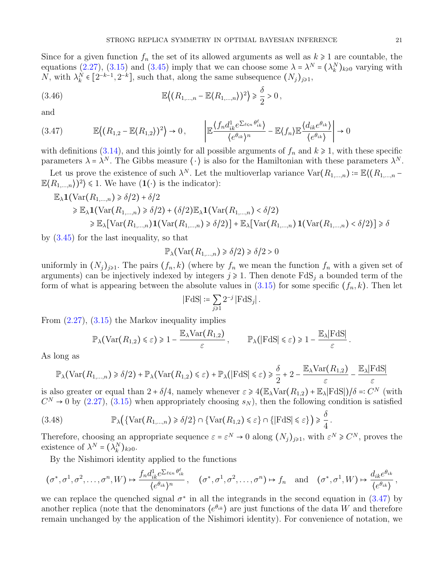Since for a given function  $f_n$  the set of its allowed arguments as well as  $k \geq 1$  are countable, the equations [\(2.27\)](#page-7-1), [\(3.15\)](#page-15-8) and [\(3.45\)](#page-19-1) imply that we can choose some  $\lambda = \lambda^N = (\lambda_k^N)_{k \geq 0}$  varying with N, with  $\lambda_k^N \in [2^{-k-1}, 2^{-k}]$ , such that, along the same subsequence  $(N_j)_{j \geq 1}$ ,

<span id="page-20-1"></span>(3.46) 
$$
\mathbb{E}\left\langle (R_{1,\ldots,n}-\mathbb{E}\langle R_{1,\ldots,n}\rangle)^2 \right\rangle \geq \frac{\delta}{2} > 0,
$$

and

<span id="page-20-0"></span>
$$
(3.47) \qquad \mathbb{E}\left((R_{1,2}-\mathbb{E}\langle R_{1,2}\rangle)^2\right) \to 0, \qquad \left|\mathbb{E}\frac{\langle f_n d_{ik}^1 e^{\sum_{\ell=n} \theta_{ik}^\ell}}{\langle e^{\theta_{ik}}\rangle^n} - \mathbb{E}\langle f_n \rangle \mathbb{E}\frac{\langle d_{ik} e^{\theta_{ik}}\rangle}{\langle e^{\theta_{ik}}\rangle}\right| \to 0
$$

with definitions [\(3.14\)](#page-15-9), and this jointly for all possible arguments of  $f_n$  and  $k \ge 1$ , with these specific parameters  $\lambda = \lambda^N$ . The Gibbs measure  $\langle \cdot \rangle$  is also for the Hamiltonian with these parameters  $\lambda^N$ .

Let us prove the existence of such  $\lambda^N$ . Let the multioverlap variance  $\text{Var}(R_{1,\dots,n}) = \mathbb{E}((R_{1,\dots,n}-1))$  $\mathbb{E}\langle R_{1,\ldots,n}\rangle\big)^2$  ≤ 1. We have  $(1(\cdot))$  is the indicator):

$$
\mathbb{E}_{\lambda} \mathbf{1}(\text{Var}(R_{1,\ldots,n}) \ge \delta/2) + \delta/2
$$
\n
$$
\ge \mathbb{E}_{\lambda} \mathbf{1}(\text{Var}(R_{1,\ldots,n}) \ge \delta/2) + (\delta/2) \mathbb{E}_{\lambda} \mathbf{1}(\text{Var}(R_{1,\ldots,n}) < \delta/2)
$$
\n
$$
\ge \mathbb{E}_{\lambda}[\text{Var}(R_{1,\ldots,n}) \mathbf{1}(\text{Var}(R_{1,\ldots,n}) \ge \delta/2)] + \mathbb{E}_{\lambda}[\text{Var}(R_{1,\ldots,n}) \mathbf{1}(\text{Var}(R_{1,\ldots,n}) < \delta/2)] \ge \delta
$$

by [\(3.45\)](#page-19-1) for the last inequality, so that

$$
\mathbb{P}_{\lambda}(\text{Var}(R_{1,\dots,n}) \geq \delta/2) \geq \delta/2 > 0
$$

uniformly in  $(N_j)_{j\geq 1}$ . The pairs  $(f_n, k)$  (where by  $f_n$  we mean the function  $f_n$  with a given set of arguments) can be injectively indexed by integers  $j \ge 1$ . Then denote  $FdS_j$  a bounded term of the form of what is appearing between the absolute values in  $(3.15)$  for some specific  $(f_n, k)$ . Then let

$$
\left|\mathrm{FdS}\right| \coloneqq \sum_{j\geq 1} 2^{-j}\left|\mathrm{FdS}_j\right|.
$$

From [\(2.27\)](#page-7-1), [\(3.15\)](#page-15-8) the Markov inequality implies

$$
\mathbb{P}_{\lambda}(\text{Var}(R_{1,2}) \leq \varepsilon) \geq 1 - \frac{\mathbb{E}_{\lambda} \text{Var}(R_{1,2})}{\varepsilon}, \qquad \mathbb{P}_{\lambda}(|\text{FdS}| \leq \varepsilon) \geq 1 - \frac{\mathbb{E}_{\lambda} |\text{FdS}|}{\varepsilon}.
$$

As long as

$$
\mathbb{P}_{\lambda}(\text{Var}(R_{1,\ldots,n}) \ge \delta/2) + \mathbb{P}_{\lambda}(\text{Var}(R_{1,2}) \le \varepsilon) + \mathbb{P}_{\lambda}(|\text{FdS}| \le \varepsilon) \ge \frac{\delta}{2} + 2 - \frac{\mathbb{E}_{\lambda}\text{Var}(R_{1,2})}{\varepsilon} - \frac{\mathbb{E}_{\lambda}|\text{FdS}|}{\varepsilon}
$$

is also greater or equal than  $2 + \delta/4$ , namely whenever  $\varepsilon \geq 4(\mathbb{E}_{\lambda} \text{Var}(R_{1,2}) + \mathbb{E}_{\lambda} |F \text{dS}|)/\delta =: C^N$  (with  $C^N \rightarrow 0$  by [\(2.27\)](#page-7-1), [\(3.15\)](#page-15-8) when appropriately choosing  $s_N$ ), then the following condition is satisfied

(3.48) 
$$
\mathbb{P}_{\lambda}\big(\{\text{Var}(R_{1,\ldots,n})\geq \delta/2\}\cap \{\text{Var}(R_{1,2})\leq \varepsilon\}\cap \{|\text{FdS}|\leq \varepsilon\}\big)\geq \frac{\delta}{4}.
$$

Therefore, choosing an appropriate sequence  $\varepsilon = \varepsilon^N \to 0$  along  $(N_j)_{j\geq 1}$ , with  $\varepsilon^N \geq C^N$ , proves the existence of  $\lambda^N = (\lambda_k^N)_{k \geq 0}$ .

By the Nishimori identity applied to the functions

$$
(\sigma^*, \sigma^1, \sigma^2, \dots, \sigma^n, W) \mapsto \frac{f_n d_{ik}^1 e^{\sum_{\ell \leq n} \theta_{ik}^{\ell}}}{\langle e^{\theta_{ik}} \rangle^n}, \quad (\sigma^*, \sigma^1, \sigma^2, \dots, \sigma^n) \mapsto f_n \quad \text{and} \quad (\sigma^*, \sigma^1, W) \mapsto \frac{d_{ik} e^{\theta_{ik}}}{\langle e^{\theta_{ik}} \rangle},
$$

we can replace the quenched signal  $\sigma^*$  in all the integrands in the second equation in [\(3.47\)](#page-20-0) by another replica (note that the denominators  $\langle e^{\theta_{ik}} \rangle$  are just functions of the data W and therefore remain unchanged by the application of the Nishimori identity). For convenience of notation, we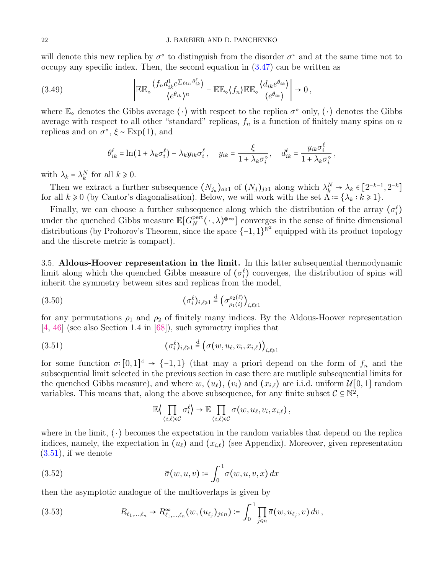will denote this new replica by  $\sigma^{\circ}$  to distinguish from the disorder  $\sigma^*$  and at the same time not to occupy any specific index. Then, the second equation in [\(3.47\)](#page-20-0) can be written as

(3.49) 
$$
\left| \mathbb{E} \mathbb{E}_{\diamond} \frac{\langle f_n d_{ik}^1 e^{\sum_{\ell \le n} \theta_{ik}^{\ell}} \rangle}{\langle e^{\theta_{ik}} \rangle^n} - \mathbb{E} \mathbb{E}_{\diamond} \langle f_n \rangle \mathbb{E} \mathbb{E}_{\diamond} \frac{\langle d_{ik} e^{\theta_{ik}} \rangle}{\langle e^{\theta_{ik}} \rangle} \right| \to 0,
$$

where  $\mathbb{E}_{\diamond}$  denotes the Gibbs average  $\langle \cdot \rangle$  with respect to the replica  $\sigma^{\diamond}$  only,  $\langle \cdot \rangle$  denotes the Gibbs average with respect to all other "standard" replicas,  $f_n$  is a function of finitely many spins on n replicas and on  $\sigma^{\circ}$ ,  $\xi \sim \text{Exp}(1)$ , and

$$
\theta_{ik}^{\ell} = \ln(1 + \lambda_k \sigma_i^{\ell}) - \lambda_k y_{ik} \sigma_i^{\ell}, \quad y_{ik} = \frac{\xi}{1 + \lambda_k \sigma_i^{\diamond}}, \quad d_{ik}^{\ell} = \frac{y_{ik} \sigma_i^{\ell}}{1 + \lambda_k \sigma_i^{\diamond}},
$$

with  $\lambda_k = \lambda_k^N$  for all  $k \geq 0$ .

Then we extract a further subsequence  $(N_{j_a})_{a\geq 1}$  of  $(N_j)_{j\geq 1}$  along which  $\lambda_k^N \to \lambda_k \in [2^{-k-1}, 2^{-k}]$ for all  $k \ge 0$  (by Cantor's diagonalisation). Below, we will work with the set  $\Lambda := {\lambda_k : k \ge 1}$ .

Finally, we can choose a further subsequence along which the distribution of the array  $(\sigma_i^{\ell})$ under the quenched Gibbs measure  $\mathbb{E}[G_N^{\text{pert}}]$  $N^{\text{pert}}(\cdot,\lambda)^{\otimes \infty}$  converges in the sense of finite dimensional distributions (by Prohorov's Theorem, since the space  $\{-1,1\}^{\mathbb{N}^2}$  equipped with its product topology and the discrete metric is compact).

<span id="page-21-0"></span>3.5. Aldous-Hoover representation in the limit. In this latter subsequential thermodynamic limit along which the quenched Gibbs measure of  $(\sigma_i^{\ell})$  converges, the distribution of spins will inherit the symmetry between sites and replicas from the model,

$$
(3.50) \qquad \qquad (\sigma_i^{\ell})_{i,\ell \geq 1} \stackrel{\text{d}}{=} \left(\sigma_{\rho_1(i)}^{\rho_2(\ell)}\right)_{i,\ell \geq 1}
$$

for any permutations  $\rho_1$  and  $\rho_2$  of finitely many indices. By the Aldous-Hoover representation [\[4,](#page-31-13) [46\]](#page-33-25) (see also Section 1.4 in [\[68\]](#page-34-5)), such symmetry implies that

(3.51) 
$$
(\sigma_i^{\ell})_{i,\ell \geq 1} \stackrel{d}{=} (\sigma(w, u_{\ell}, v_i, x_{i,\ell}))_{i,\ell \geq 1}
$$

for some function  $\sigma:[0,1]^4 \to \{-1,1\}$  (that may a priori depend on the form of  $f_n$  and the subsequential limit selected in the previous section in case there are mutliple subsequential limits for the quenched Gibbs measure), and where w,  $(u_\ell)$ ,  $(v_i)$  and  $(x_{i,\ell})$  are i.i.d. uniform  $\mathcal{U}[0, 1]$  random variables. This means that, along the above subsequence, for any finite subset  $C \subseteq \mathbb{N}^2$ ,

<span id="page-21-1"></span>
$$
\mathbb{E}\Big\langle \prod_{(i,\ell)\in\mathcal{C}} \sigma_i^{\ell} \Big\rangle \to \mathbb{E} \prod_{(i,\ell)\in\mathcal{C}} \sigma(w,u_{\ell},v_i,x_{i,\ell}),
$$

where in the limit,  $\langle \cdot \rangle$  becomes the expectation in the random variables that depend on the replica indices, namely, the expectation in  $(u_\ell)$  and  $(x_{i,\ell})$  (see Appendix). Moreover, given representation  $(3.51)$ , if we denote

(3.52) 
$$
\overline{\sigma}(w, u, v) \coloneqq \int_0^1 \sigma(w, u, v, x) dx
$$

then the asymptotic analogue of the multioverlaps is given by

<span id="page-21-2"></span>(3.53) 
$$
R_{\ell_1,...,\ell_n} \to R_{\ell_1,...,\ell_n}^{\infty}(w,(u_{\ell_j})_{j \leq n}) \coloneqq \int_0^1 \prod_{j \leq n} \overline{\sigma}(w,u_{\ell_j},v) dv,
$$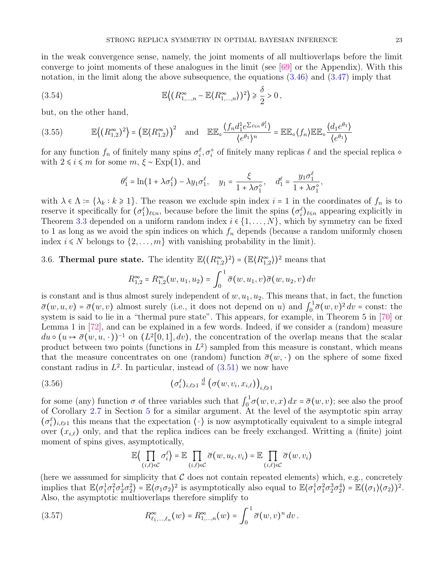in the weak convergence sense, namely, the joint moments of all multioverlaps before the limit converge to joint moments of these analogues in the limit (see [\[69\]](#page-34-30) or the Appendix). With this notation, in the limit along the above subsequence, the equations  $(3.46)$  and  $(3.47)$  imply that

(3.54) 
$$
\mathbb{E}\left\langle (R_{1,\ldots,n}^{\infty}-\mathbb{E}\langle R_{1,\ldots,n}^{\infty}\rangle)^{2}\right\rangle \geq \frac{\delta}{2} > 0,
$$

but, on the other hand,

<span id="page-22-1"></span>
$$
(3.55) \t\t \mathbb{E}\left\langle (R_{1,2}^{\infty})^2 \right\rangle = \left(\mathbb{E}\langle R_{1,2}^{\infty} \rangle\right)^2 \text{ and } \mathbb{E}\mathbb{E}_{\diamond} \frac{\langle f_n d_1^1 e^{\sum_{\ell \le n} \theta_1^{\ell}} \rangle}{\langle e^{\theta_1} \rangle^n} = \mathbb{E}\mathbb{E}_{\diamond} \langle f_n \rangle \mathbb{E}\mathbb{E}_{\diamond} \frac{\langle d_1 e^{\theta_1} \rangle}{\langle e^{\theta_1} \rangle}
$$

for any function  $f_n$  of finitely many spins  $\sigma_i^{\ell}, \sigma_i^{\diamond}$  of finitely many replicas  $\ell$  and the special replica  $\diamond$ with  $2 \le i \le m$  for some  $m, \xi \sim \text{Exp}(1)$ , and

<span id="page-22-2"></span>
$$
\theta_1^{\ell} = \ln(1 + \lambda \sigma_1^{\ell}) - \lambda y_1 \sigma_1^{\ell}, \quad y_1 = \frac{\xi}{1 + \lambda \sigma_1^{\diamond}}, \quad d_1^{\ell} = \frac{y_1 \sigma_1^{\ell}}{1 + \lambda \sigma_1^{\diamond}},
$$

with  $\lambda \in \Lambda = {\lambda_k : k \geq 1}$ . The reason we exclude spin index  $i = 1$  in the coordinates of  $f_n$  is to reserve it specifically for  $(\sigma_1^{\ell})_{\ell \leq n}$ , because before the limit the spins  $(\sigma_i^{\ell})_{\ell \leq n}$  appearing explicitly in Theorem [3.3](#page-15-0) depended on a uniform random index  $i \in \{1, ..., N\}$ , which by symmetry can be fixed to 1 as long as we avoid the spin indices on which  $f_n$  depends (because a random uniformly chosen index  $i \leq N$  belongs to  $\{2, \ldots, m\}$  with vanishing probability in the limit).

# 3.6. **Thermal pure state.** The identity  $\mathbb{E}\langle (R_{1,2}^{\infty})^2 \rangle = (\mathbb{E}\langle R_{1,2}^{\infty})^2$  means that

$$
R_{1,2}^{\infty} = R_{1,2}^{\infty}(w, u_1, u_2) = \int_0^1 \overline{\sigma}(w, u_1, v) \overline{\sigma}(w, u_2, v) dv
$$

is constant and is thus almost surely independent of  $w, u_1, u_2$ . This means that, in fact, the function  $\bar{\sigma}(w, u, v) = \bar{\sigma}(w, v)$  almost surely (i.e., it does not depend on u) and  $\int_0^1$  $\int_0^1 \overline{\sigma}(w, v)^2 dv = \text{const:}$  the system is said to lie in a "thermal pure state". This appears, for example, in Theorem 5 in [\[70\]](#page-34-10) or Lemma 1 in [\[72\]](#page-34-11), and can be explained in a few words. Indeed, if we consider a (random) measure  $du \circ (u \to \bar{\sigma}(w, u, \cdot))^{-1}$  on  $(L^2[0, 1], dv)$ , the concentration of the overlap means that the scalar product between two points (functions in  $L^2$ ) sampled from this measure is constant, which means that the measure concentrates on one (random) function  $\bar{\sigma}(w, \cdot)$  on the sphere of some fixed constant radius in  $L^2$ . In particular, instead of  $(3.51)$  we now have

(3.56) 
$$
(\sigma_i^{\ell})_{i,\ell \geq 1} \stackrel{\text{d}}{=} (\sigma(w, v_i, x_{i,\ell}))_{i,\ell \geq 1}
$$

for some (any) function  $\sigma$  of three variables such that  $\int_0^1$  $\int_0^1 \sigma(w, v, x) dx = \overline{\sigma}(w, v)$ ; see also the proof of Corollary [2.7](#page-11-2) in Section [5](#page-28-0) for a similar argument. At the level of the asymptotic spin array  $(\sigma_i^{\ell})_{i,\ell\geqslant1}$  this means that the expectation  $\langle \cdot \rangle$  is now asymptotically equivalent to a simple integral over  $(x_{i,\ell})$  only, and that the replica indices can be freely exchanged. Writting a (finite) joint moment of spins gives, asymptotically,

<span id="page-22-0"></span>
$$
\mathbb{E}\Big\langle \prod_{(i,\ell)\in\mathcal{C}} \sigma_i^{\ell} \Big\rangle = \mathbb{E} \prod_{(i,\ell)\in\mathcal{C}} \overline{\sigma}(w, u_{\ell}, v_i) = \mathbb{E} \prod_{(i,\ell)\in\mathcal{C}} \overline{\sigma}(w, v_i)
$$

(here we assumed for simplicity that C does not contain repeated elements) which, e.g., concretely implies that  $\mathbb{E}\langle\sigma_1^1\sigma_1^2\sigma_2^1\sigma_2^2\rangle = \mathbb{E}\langle\sigma_1\sigma_2\rangle^2$  is asymptotically also equal to  $\mathbb{E}\langle\sigma_1^1\sigma_1^2\sigma_2^3\sigma_2^4\rangle = \mathbb{E}(\langle\sigma_1\rangle\langle\sigma_2\rangle)^2$ . Also, the asymptotic multioverlaps therefore simplify to

(3.57) 
$$
R^{\infty}_{\ell_1,\ldots,\ell_n}(w) = R^{\infty}_{1,\ldots,n}(w) = \int_0^1 \overline{\sigma}(w,v)^n dv.
$$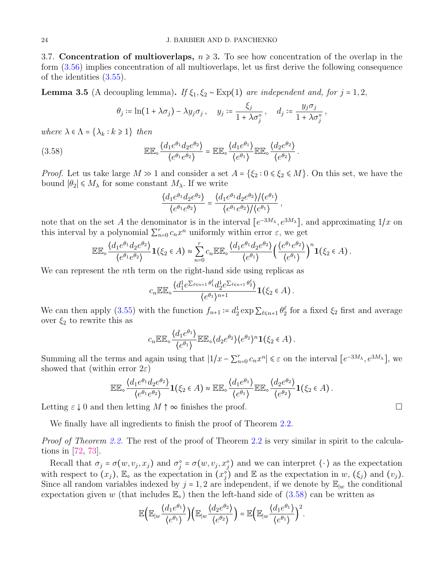3.7. Concentration of multioverlaps,  $n \geq 3$ . To see how concentration of the overlap in the form [\(3.56\)](#page-22-0) implies concentration of all multioverlaps, let us first derive the following consequence of the identities [\(3.55\)](#page-22-1).

**Lemma 3.5** (A decoupling lemma). If  $\xi_1, \xi_2 \sim \text{Exp}(1)$  are independent and, for j = 1, 2,

<span id="page-23-0"></span>
$$
\theta_j := \ln(1 + \lambda \sigma_j) - \lambda y_j \sigma_j, \quad y_j := \frac{\xi_j}{1 + \lambda \sigma_j^{\diamond}}, \quad d_j := \frac{y_j \sigma_j}{1 + \lambda \sigma_j^{\diamond}},
$$

where  $\lambda \in \Lambda = \{\lambda_k : k \geq 1\}$  then

(3.58) 
$$
\mathbb{EE}_{\diamond} \frac{\langle d_1 e^{\theta_1} d_2 e^{\theta_2} \rangle}{\langle e^{\theta_1} e^{\theta_2} \rangle} = \mathbb{EE}_{\diamond} \frac{\langle d_1 e^{\theta_1} \rangle}{\langle e^{\theta_1} \rangle} \mathbb{EE}_{\diamond} \frac{\langle d_2 e^{\theta_2} \rangle}{\langle e^{\theta_2} \rangle}.
$$

*Proof.* Let us take large  $M \gg 1$  and consider a set  $A = \{\xi_2 : 0 \leq \xi_2 \leq M\}$ . On this set, we have the bound  $|θ_2|$  ≤  $M_λ$  for some constant  $M_λ$ . If we write

$$
\frac{\langle d_1 e^{\theta_1} d_2 e^{\theta_2} \rangle}{\langle e^{\theta_1} e^{\theta_2} \rangle} = \frac{\langle d_1 e^{\theta_1} d_2 e^{\theta_2} \rangle}{\langle e^{\theta_1} e^{\theta_2} \rangle / \langle e^{\theta_1} \rangle},
$$

note that on the set A the denominator is in the interval  $[e^{-3M_{\lambda}}, e^{3M_{\lambda}}]$ , and approximating  $1/x$  on this interval by a polynomial  $\sum_{n=0}^{r} c_n x^n$  uniformly within error  $\varepsilon$ , we get

$$
\mathbb{EE}_{\diamond} \frac{\langle d_1 e^{\theta_1} d_2 e^{\theta_2} \rangle}{\langle e^{\theta_1} e^{\theta_2} \rangle} \mathbf{1}(\xi_2 \in A) \approx \sum_{n=0}^r c_n \mathbb{EE}_{\diamond} \frac{\langle d_1 e^{\theta_1} d_2 e^{\theta_2} \rangle}{\langle e^{\theta_1} \rangle} \left( \frac{\langle e^{\theta_1} e^{\theta_2} \rangle}{\langle e^{\theta_1} \rangle} \right)^n \mathbf{1}(\xi_2 \in A).
$$

We can represent the nth term on the right-hand side using replicas as

$$
c_n \mathbb{EE}_\diamond \frac{\langle d_1^1 e^{\sum_{\ell \leq n+1} \theta_1^{\ell}} d_2^1 e^{\sum_{\ell \leq n+1} \theta_2^{\ell}} \rangle}{\langle e^{\theta_1} \rangle^{n+1}} \mathbf{1}(\xi_2 \in A).
$$

We can then apply [\(3.55\)](#page-22-1) with the function  $f_{n+1} \coloneqq d_2^1 \exp \sum_{\ell \leq n+1} \theta_2^{\ell}$  for a fixed  $\xi_2$  first and average over  $\xi_2$  to rewrite this as

$$
c_n \mathbb{EE}_\diamond \frac{\langle d_1 e^{\theta_1} \rangle}{\langle e^{\theta_1} \rangle} \mathbb{EE}_\diamond \langle d_2 e^{\theta_2} \rangle \langle e^{\theta_2} \rangle^n \mathbf{1}(\xi_2 \in A).
$$

Summing all the terms and again using that  $|1/x - \sum_{n=0}^{r} c_n x^n| \leq \varepsilon$  on the interval  $[e^{-3M_\lambda}, e^{3M_\lambda}]$ , we showed that (within error  $2\varepsilon$ )

$$
\mathbb{EE}_{\diamond} \frac{\langle d_1 e^{\theta_1} d_2 e^{\theta_2} \rangle}{\langle e^{\theta_1} e^{\theta_2} \rangle} \mathbf{1}(\xi_2 \in A) \approx \mathbb{EE}_{\diamond} \frac{\langle d_1 e^{\theta_1} \rangle}{\langle e^{\theta_1} \rangle} \mathbb{EE}_{\diamond} \frac{\langle d_2 e^{\theta_2} \rangle}{\langle e^{\theta_2} \rangle} \mathbf{1}(\xi_2 \in A).
$$

Letting  $\varepsilon \downarrow 0$  and then letting  $M \uparrow \infty$  finishes the proof.

We finally have all ingredients to finish the proof of Theorem [2.2.](#page-7-2)

Proof of Theorem [2.2.](#page-7-2) The rest of the proof of Theorem [2.2](#page-7-2) is very similar in spirit to the calculations in [\[72,](#page-34-11) [73\]](#page-34-12).

Recall that  $\sigma_j = \sigma(w, v_j, x_j)$  and  $\sigma_j^* = \sigma(w, v_j, x_j^*)$  and we can interpret  $\langle \cdot \rangle$  as the expectation with respect to  $(x_j)$ ,  $\mathbb{E}_{\infty}$  as the expectation in  $(x_j^{\diamond})$  and  $\mathbb{E}_{\infty}$  as the expectation in w,  $(\xi_j)$  and  $(v_j)$ . Since all random variables indexed by  $j = 1, 2$  are independent, if we denote by  $\mathbb{E}_{|w|}$  the conditional expectation given w (that includes  $\mathbb{E}_{\infty}$ ) then the left-hand side of [\(3.58\)](#page-23-0) can be written as

$$
\mathbb{E}\Big(\mathbb{E}_{|w}\frac{\langle d_1 e^{\theta_1} \rangle}{\langle e^{\theta_1} \rangle}\Big)\Big(\mathbb{E}_{|w}\frac{\langle d_2 e^{\theta_2} \rangle}{\langle e^{\theta_2} \rangle}\Big)=\mathbb{E}\Big(\mathbb{E}_{|w}\frac{\langle d_1 e^{\theta_1} \rangle}{\langle e^{\theta_1} \rangle}\Big)^2.
$$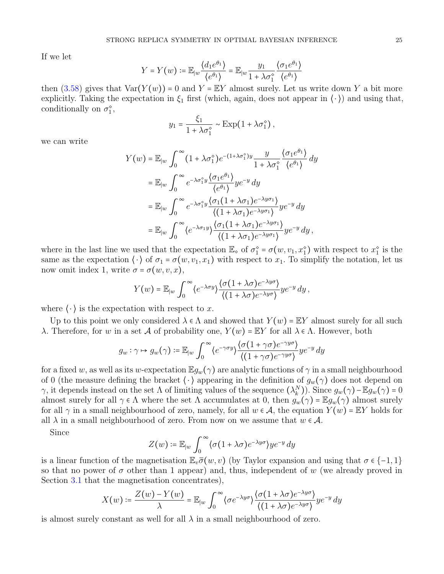If we let

$$
Y = Y(w) := \mathbb{E}_{|w} \frac{\langle d_1 e^{\theta_1} \rangle}{\langle e^{\theta_1} \rangle} = \mathbb{E}_{|w} \frac{y_1}{1 + \lambda \sigma_1^{\diamond}} \frac{\langle \sigma_1 e^{\theta_1} \rangle}{\langle e^{\theta_1} \rangle}
$$

then  $(3.58)$  gives that  $Var(Y(w)) = 0$  and  $Y = EY$  almost surely. Let us write down Y a bit more explicitly. Taking the expectation in  $\xi_1$  first (which, again, does not appear in  $\langle \cdot \rangle$ ) and using that, conditionally on  $\sigma_1^{\diamond}$ ,

$$
y_1 = \frac{\xi_1}{1 + \lambda \sigma_1^{\circ}} \sim \text{Exp}(1 + \lambda \sigma_1^{\circ}),
$$

we can write

$$
Y(w) = \mathbb{E}_{|w} \int_0^{\infty} (1 + \lambda \sigma_1^{\circ}) e^{-(1 + \lambda \sigma_1^{\circ})y} \frac{y}{1 + \lambda \sigma_1^{\circ}} \frac{\langle \sigma_1 e^{\theta_1} \rangle}{\langle e^{\theta_1} \rangle} dy
$$
  
\n
$$
= \mathbb{E}_{|w} \int_0^{\infty} e^{-\lambda \sigma_1^{\circ}y} \frac{\langle \sigma_1 e^{\theta_1} \rangle}{\langle e^{\theta_1} \rangle} ye^{-y} dy
$$
  
\n
$$
= \mathbb{E}_{|w} \int_0^{\infty} e^{-\lambda \sigma_1^{\circ}y} \frac{\langle \sigma_1 (1 + \lambda \sigma_1) e^{-\lambda y \sigma_1} \rangle}{\langle (1 + \lambda \sigma_1) e^{-\lambda y \sigma_1} \rangle} ye^{-y} dy
$$
  
\n
$$
= \mathbb{E}_{|w} \int_0^{\infty} \langle e^{-\lambda \sigma_1 y} \rangle \frac{\langle \sigma_1 (1 + \lambda \sigma_1) e^{-\lambda y \sigma_1} \rangle}{\langle (1 + \lambda \sigma_1) e^{-\lambda y \sigma_1} \rangle} ye^{-y} dy,
$$

where in the last line we used that the expectation  $\mathbb{E}_{\infty}$  of  $\sigma_1^{\infty} = \sigma(w, v_1, x_1^{\infty})$  with respect to  $x_1^{\infty}$  is the same as the expectation  $\langle \cdot \rangle$  of  $\sigma_1 = \sigma(w, v_1, x_1)$  with respect to  $x_1$ . To simplify the notation, let us now omit index 1, write  $\sigma = \sigma(w, v, x)$ ,

$$
Y(w) = \mathbb{E}_{|w} \int_0^{\infty} \langle e^{-\lambda \sigma y} \rangle \frac{\langle \sigma (1 + \lambda \sigma) e^{-\lambda y \sigma} \rangle}{\langle (1 + \lambda \sigma) e^{-\lambda y \sigma} \rangle} y e^{-y} dy,
$$

where  $\langle \cdot \rangle$  is the expectation with respect to x.

Up to this point we only considered  $\lambda \in \Lambda$  and showed that  $Y(w) = \mathbb{E}Y$  almost surely for all such λ. Therefore, for w in a set A of probability one,  $Y(w) = \mathbb{E}Y$  for all  $\lambda \in \Lambda$ . However, both

$$
g_w : \gamma \mapsto g_w(\gamma) := \mathbb{E}_{|w} \int_0^\infty \langle e^{-\gamma \sigma y} \rangle \frac{\langle \sigma (1 + \gamma \sigma) e^{-\gamma y \sigma} \rangle}{\langle (1 + \gamma \sigma) e^{-\gamma y \sigma} \rangle} y e^{-y} dy
$$

for a fixed w, as well as its w-expectation  $\mathbb{E}g_w(\gamma)$  are analytic functions of  $\gamma$  in a small neighbourhood of 0 (the measure defining the bracket  $\langle \cdot \rangle$  appearing in the definition of  $g_w(\gamma)$  does not depend on γ, it depends instead on the set Λ of limiting values of the sequence  $(\lambda_k^N)$ ). Since  $g_w(\gamma) - \mathbb{E} g_w(\gamma) = 0$ almost surely for all  $\gamma \in \Lambda$  where the set  $\Lambda$  accumulates at 0, then  $g_w(\gamma) = \mathbb{E} g_w(\gamma)$  almost surely for all  $\gamma$  in a small neighbourhood of zero, namely, for all  $w \in A$ , the equation  $Y(w) = \mathbb{E}Y$  holds for all  $\lambda$  in a small neighbourhood of zero. From now on we assume that  $w \in \mathcal{A}$ .

Since

$$
Z(w) \coloneqq \mathbb{E}_{|w} \int_0^\infty \langle \sigma(1 + \lambda \sigma) e^{-\lambda y \sigma} \rangle y e^{-y} dy
$$

is a linear function of the magnetisation  $\mathbb{E}_v \overline{\sigma}(w, v)$  (by Taylor expansion and using that  $\sigma \in \{-1, 1\}$ ) so that no power of  $\sigma$  other than 1 appear) and, thus, independent of w (we already proved in Section [3.1](#page-12-4) that the magnetisation concentrates),

$$
X(w) \coloneqq \frac{Z(w) - Y(w)}{\lambda} = \mathbb{E}_{|w} \int_0^\infty \langle \sigma e^{-\lambda y \sigma} \rangle \frac{\langle \sigma (1 + \lambda \sigma) e^{-\lambda y \sigma} \rangle}{\langle (1 + \lambda \sigma) e^{-\lambda y \sigma} \rangle} y e^{-y} dy
$$

is almost surely constant as well for all  $\lambda$  in a small neighbourhood of zero.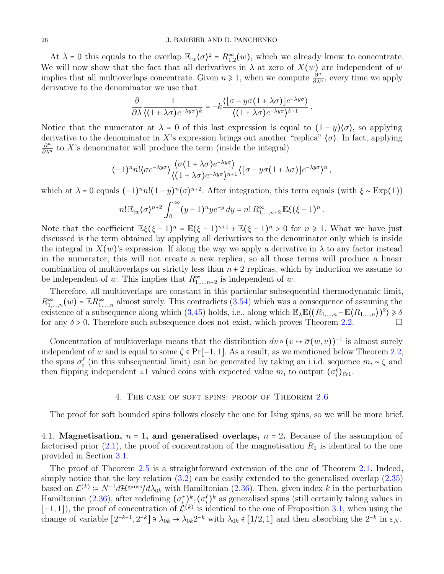At  $\lambda = 0$  this equals to the overlap  $\mathbb{E}_{|w}(\sigma)^2 = R_{1,2}^{\infty}(w)$ , which we already knew to concentrate. We will now show that the fact that all derivatives in  $\lambda$  at zero of  $X(w)$  are independent of w implies that all multioverlaps concentrate. Given  $n \ge 1$ , when we compute  $\frac{\partial^n}{\partial \lambda^n}$ , every time we apply derivative to the denominator we use that

$$
\frac{\partial}{\partial \lambda} \frac{1}{\langle (1 + \lambda \sigma) e^{-\lambda y \sigma} \rangle^k} = -k \frac{\langle [\sigma - y \sigma (1 + \lambda \sigma)] e^{-\lambda y \sigma} \rangle}{\langle (1 + \lambda \sigma) e^{-\lambda y \sigma} \rangle^{k+1}}.
$$

Notice that the numerator at  $\lambda = 0$  of this last expression is equal to  $(1 - y)(\sigma)$ , so applying derivative to the denominator in X's expression brings out another "replica"  $\langle \sigma \rangle$ . In fact, applying  $\frac{\partial^n}{\partial \lambda^n}$  to X's denominator will produce the term (inside the integral)

$$
(-1)^n n! \langle \sigma e^{-\lambda y \sigma} \rangle \frac{\langle \sigma (1 + \lambda \sigma) e^{-\lambda y \sigma} \rangle}{\langle (1 + \lambda \sigma) e^{-\lambda y \sigma} \rangle^{n+1}} \langle [\sigma - y \sigma (1 + \lambda \sigma)] e^{-\lambda y \sigma} \rangle^n,
$$

which at  $\lambda = 0$  equals  $(-1)^n n! (1 - y)^n \langle \sigma \rangle^{n+2}$ . After integration, this term equals (with  $\xi \sim \text{Exp}(1)$ )

$$
n! \mathbb{E}_{|w} \langle \sigma \rangle^{n+2} \int_0^{\infty} (y-1)^n y e^{-y} dy = n! R^{\infty}_{1,\dots,n+2} \mathbb{E} \xi(\xi-1)^n.
$$

Note that the coefficient  $\mathbb{E}\xi(\xi-1)^n = \mathbb{E}(\xi-1)^{n+1} + \mathbb{E}(\xi-1)^n > 0$  for  $n \ge 1$ . What we have just discussed is the term obtained by applying all derivatives to the denominator only which is inside the integral in  $X(w)$ 's expression. If along the way we apply a derivative in  $\lambda$  to any factor instead in the numerator, this will not create a new replica, so all those terms will produce a linear combination of multioverlaps on strictly less than  $n + 2$  replicas, which by induction we assume to be independent of w. This implies that  $R^{\infty}_{1,\dots,n+2}$  is independent of w.

Therefore, all multioverlaps are constant in this particular subsequential thermodynamic limit,  $R_{1,\dots,n}^{\infty}(w) = \mathbb{E}R_{1,\dots,n}^{\infty}$  almost surely. This contradicts [\(3.54\)](#page-22-2) which was a consequence of assuming the existence of a subsequence along which  $(3.45)$  holds, i.e., along which  $\mathbb{E}_{\lambda} \mathbb{E} \langle (R_{1,...,n} - \mathbb{E} \langle R_{1,...,n} \rangle)^2 \rangle \ge \delta$ for any  $\delta > 0$ . Therefore such subsequence does not exist, which proves Theorem [2.2.](#page-7-2)

Concentration of multioverlaps means that the distribution  $dv \circ (v \mapsto \overline{\sigma}(w, v))^{-1}$  is almost surely independent of w and is equal to some  $\zeta \in Pr[-1,1]$ . As a result, as we mentioned below Theorem [2.2,](#page-7-2) the spins  $\sigma_i^{\ell}$  (in this subsequential limit) can be generated by taking an i.i.d. sequence  $m_i \sim \zeta$  and then flipping independent  $\pm 1$  valued coins with expected value  $m_i$  to output  $(\sigma_i^{\ell})_{\ell \geq 1}$ .

### 4. THE CASE OF SOFT SPINS: PROOF OF THEOREM [2.6](#page-11-1)

<span id="page-25-0"></span>The proof for soft bounded spins follows closely the one for Ising spins, so we will be more brief.

4.1. Magnetisation,  $n = 1$ , and generalised overlaps,  $n = 2$ . Because of the assumption of factorised prior  $(2.1)$ , the proof of concentration of the magnetisation  $R_1$  is identical to the one provided in Section [3.1.](#page-12-4)

The proof of Theorem [2.5](#page-11-3) is a straightforward extension of the one of Theorem [2.1.](#page-7-6) Indeed, simply notice that the key relation  $(3.2)$  can be easily extended to the generalised overlap  $(2.35)$ based on  $\mathcal{L}^{(k)} \coloneqq N^{-1} d\mathcal{H}^{\text{gauss}}/d\lambda_{0k}$  with Hamiltonian [\(2.36\)](#page-9-1). Then, given index k in the perturbation Hamiltonian [\(2.36\)](#page-9-1), after redefining  $(\sigma_i^*)^k$ ,  $(\sigma_i^{\ell})^k$  as generalised spins (still certainly taking values in  $[-1, 1]$ , the proof of concentration of  $\mathcal{L}^{(k)}$  is identical to the one of Proposition [3.1,](#page-13-4) when using the change of variable  $[2^{-k-1}, 2^{-k}] \ni \lambda_{0k} \to \lambda_{0k} 2^{-k}$  with  $\lambda_{0k} \in [1/2, 1]$  and then absorbing the  $2^{-k}$  in  $\varepsilon_N$ .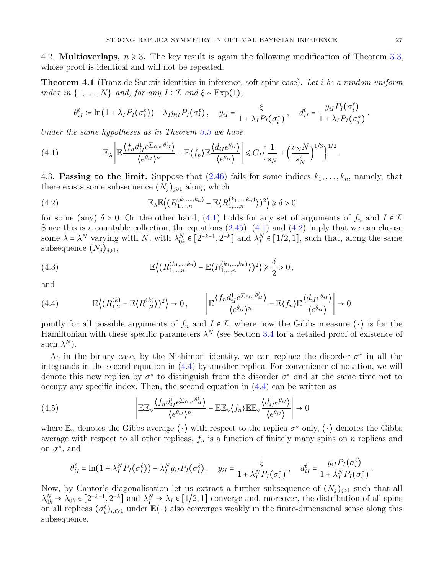4.2. **Multioverlaps,**  $n \ge 3$ . The key result is again the following modification of Theorem [3.3,](#page-15-0) whose proof is identical and will not be repeated.

<span id="page-26-0"></span>**Theorem 4.1** (Franz-de Sanctis identities in inference, soft spins case). Let i be a random uniform index in  $\{1,\ldots,N\}$  and, for any  $I \in \mathcal{I}$  and  $\xi \sim \text{Exp}(1)$ ,

<span id="page-26-1"></span>
$$
\theta_{iI}^{\ell} \coloneqq \ln(1 + \lambda_I P_I(\sigma_i^{\ell})) - \lambda_I y_{iI} P_I(\sigma_i^{\ell}), \quad y_{iI} = \frac{\xi}{1 + \lambda_I P_I(\sigma_i^*)}, \quad d_{iI}^{\ell} = \frac{y_{iI} P_I(\sigma_i^{\ell})}{1 + \lambda_I P_I(\sigma_i^*)}.
$$

Under the same hypotheses as in Theorem [3.3](#page-15-0) we have

(4.1) 
$$
\mathbb{E}_{\lambda} \left| \mathbb{E} \frac{\langle f_n d_{iI}^1 e^{\sum_{\ell \leq n} \theta_{iI}^{\ell}} \rangle}{\langle e^{\theta_{iI}} \rangle^n} - \mathbb{E} \langle f_n \rangle \mathbb{E} \frac{\langle d_{iI} e^{\theta_{iI}} \rangle}{\langle e^{\theta_{iI}} \rangle} \right| \leq C_I \Big\{ \frac{1}{s_N} + \Big( \frac{v_N N}{s_N^2} \Big)^{1/3} \Big\}^{1/2}.
$$

4.3. Passing to the limit. Suppose that  $(2.46)$  fails for some indices  $k_1, \ldots, k_n$ , namely, that there exists some subsequence  $(N_i)_{i\geq 1}$  along which

<span id="page-26-2"></span>(4.2) 
$$
\mathbb{E}_{\lambda} \mathbb{E}\left\langle (R_{1,\ldots,n}^{(k_1,\ldots,k_n)} - \mathbb{E}\langle R_{1,\ldots,n}^{(k_1,\ldots,k_n)} \rangle)^2 \right\rangle \geq \delta > 0
$$

for some (any)  $\delta > 0$ . On the other hand, [\(4.1\)](#page-26-1) holds for any set of arguments of  $f_n$  and  $I \in \mathcal{I}$ . Since this is a countable collection, the equations  $(2.45)$ ,  $(4.1)$  and  $(4.2)$  imply that we can choose some  $\lambda = \lambda^N$  varying with N, with  $\lambda_{0k}^N \in [2^{-k-1}, 2^{-k}]$  and  $\lambda_I^N \in [1/2, 1]$ , such that, along the same subsequence  $(N_i)_{i\geq 1}$ ,

<span id="page-26-4"></span>(4.3) 
$$
\mathbb{E}\left\langle (R_{1,\dots,n}^{(k_1,\dots,k_n)} - \mathbb{E}\langle R_{1,\dots,n}^{(k_1,\dots,k_n)} \rangle)^2 \right\rangle \geq \frac{\delta}{2} > 0,
$$

and

<span id="page-26-3"></span>
$$
(4.4) \qquad \mathbb{E}\left\langle (R_{1,2}^{(k)} - \mathbb{E}\langle R_{1,2}^{(k)} \rangle)^2 \right\rangle \to 0, \qquad \left| \mathbb{E}\frac{\langle f_n d_{il}^1 e^{\sum_{\ell \le n} \theta_{il}^{\ell}} \rangle}{\langle e^{\theta_{il}} \rangle^n} - \mathbb{E}\langle f_n \rangle \mathbb{E}\frac{\langle d_{il} e^{\theta_{il}} \rangle}{\langle e^{\theta_{il}} \rangle} \right| \to 0
$$

jointly for all possible arguments of  $f_n$  and  $I \in \mathcal{I}$ , where now the Gibbs measure  $\langle \cdot \rangle$  is for the Hamiltonian with these specific parameters  $\lambda^N$  (see Section [3.4](#page-19-2) for a detailed proof of existence of such  $\lambda^N$ ).

As in the binary case, by the Nishimori identity, we can replace the disorder  $\sigma^*$  in all the integrands in the second equation in [\(4.4\)](#page-26-3) by another replica. For convenience of notation, we will denote this new replica by  $\sigma^{\circ}$  to distinguish from the disorder  $\sigma^*$  and at the same time not to occupy any specific index. Then, the second equation in [\(4.4\)](#page-26-3) can be written as

(4.5) 
$$
\left| \mathbb{EE}_{\diamond} \frac{\langle f_n d_{iI}^1 e^{\sum_{\ell \leq n} \theta_{iI}^{\ell}} \rangle}{\langle e^{\theta_{iI}} \rangle^n} - \mathbb{EE}_{\diamond} \langle f_n \rangle \mathbb{EE}_{\diamond} \frac{\langle d_{iI}^1 e^{\theta_{iI}} \rangle}{\langle e^{\theta_{iI}} \rangle} \right| \to 0
$$

where  $\mathbb{E}_{\diamond}$  denotes the Gibbs average  $\langle \cdot \rangle$  with respect to the replica  $\sigma^{\diamond}$  only,  $\langle \cdot \rangle$  denotes the Gibbs average with respect to all other replicas,  $f_n$  is a function of finitely many spins on n replicas and on  $\sigma^{\diamond}$ , and

$$
\theta_{iI}^{\ell} = \ln(1 + \lambda_I^N P_I(\sigma_i^{\ell})) - \lambda_I^N y_{iI} P_I(\sigma_i^{\ell}), \quad y_{iI} = \frac{\xi}{1 + \lambda_I^N P_I(\sigma_i^{\diamond})}, \quad d_{iI}^{\ell} = \frac{y_{iI} P_I(\sigma_i^{\ell})}{1 + \lambda_I^N P_I(\sigma_i^{\diamond})}.
$$

Now, by Cantor's diagonalisation let us extract a further subsequence of  $(N_i)_{i\geq 1}$  such that all  $\lambda_{0k}^N \to \lambda_{0k} \in [2^{-k-1}, 2^{-k}]$  and  $\lambda_I^N \to \lambda_I \in [1/2, 1]$  converge and, moreover, the distribution of all spins on all replicas  $(\sigma_i^{\ell})_{i,\ell\geq 1}$  under  $\mathbb{E}\langle\cdot\rangle$  also converges weakly in the finite-dimensional sense along this subsequence.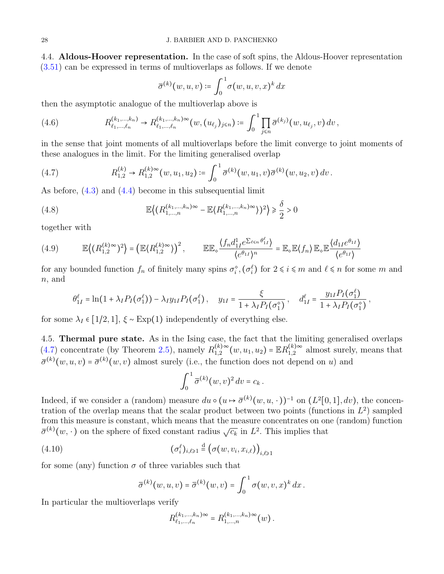4.4. Aldous-Hoover representation. In the case of soft spins, the Aldous-Hoover representation [\(3.51\)](#page-21-1) can be expressed in terms of multioverlaps as follows. If we denote

$$
\overline{\sigma}^{(k)}(w, u, v) \coloneqq \int_0^1 \sigma(w, u, v, x)^k dx
$$

then the asymptotic analogue of the multioverlap above is

(4.6) 
$$
R_{\ell_1,...,\ell_n}^{(k_1,...,k_n)} \to R_{\ell_1,...,\ell_n}^{(k_1,...,k_n)\infty}(w,(u_{\ell_j})_{j\leq n}) \coloneqq \int_0^1 \prod_{j\leq n} \overline{\sigma}^{(k_j)}(w,u_{\ell_j},v) dv,
$$

in the sense that joint moments of all multioverlaps before the limit converge to joint moments of these analogues in the limit. For the limiting generalised overlap

<span id="page-27-0"></span>(4.7) 
$$
R_{1,2}^{(k)} \to R_{1,2}^{(k)} \sim (w, u_1, u_2) := \int_0^1 \overline{\sigma}^{(k)}(w, u_1, v) \overline{\sigma}^{(k)}(w, u_2, v) dv.
$$

As before, [\(4.3\)](#page-26-4) and [\(4.4\)](#page-26-3) become in this subsequential limit

<span id="page-27-2"></span>(4.8) 
$$
\mathbb{E}\left((R_{1,\dots,n}^{(k_1,\dots,k_n)\infty}-\mathbb{E}\langle R_{1,\dots,n}^{(k_1,\dots,k_n)\infty}\rangle)^2\right) \geq \frac{\delta}{2} > 0
$$

together with

<span id="page-27-1"></span>
$$
(4.9) \qquad \mathbb{E}\left\langle (R_{1,2}^{(k)\infty})^2 \right\rangle = \left(\mathbb{E}\langle R_{1,2}^{(k)\infty} \rangle\right)^2, \qquad \mathbb{E}\mathbb{E}_{\diamond} \frac{\langle f_n d_{1I}^1 e^{\sum_{\ell \leq n} \theta_{1I}^{\ell}} \rangle}{\langle e^{\theta_{1I}} \rangle^n} = \mathbb{E}_{\diamond} \mathbb{E}\langle f_n \rangle \mathbb{E}_{\diamond} \mathbb{E} \frac{\langle d_{1I} e^{\theta_{1I}} \rangle}{\langle e^{\theta_{1I}} \rangle}
$$

for any bounded function  $f_n$  of finitely many spins  $\sigma_i^{\circ}, (\sigma_i^{\ell})$  for  $2 \leq i \leq m$  and  $\ell \leq n$  for some m and n, and

$$
\theta_{1I}^{\ell} = \ln(1 + \lambda_I P_I(\sigma_1^{\ell})) - \lambda_I y_{1I} P_I(\sigma_1^{\ell}), \quad y_{1I} = \frac{\xi}{1 + \lambda_I P_I(\sigma_1^{\diamond})}, \quad d_{1I}^{\ell} = \frac{y_{1I} P_I(\sigma_1^{\ell})}{1 + \lambda_I P_I(\sigma_1^{\diamond})},
$$

for some  $\lambda_I \in [1/2, 1], \xi \sim \text{Exp}(1)$  independently of everything else.

4.5. Thermal pure state. As in the Ising case, the fact that the limiting generalised overlaps  $(4.7)$  concentrate (by Theorem [2.5\)](#page-11-3), namely  $R_{1,2}^{(k)}$  $_{1,2}^{(k)\infty}(w,u_1,u_2) = \mathbb{E} R_{1,2}^{(k)\infty}$  $_{1,2}^{(k)\infty}$  almost surely, means that  $\bar{\sigma}^{(k)}(w, u, v) = \bar{\sigma}^{(k)}(w, v)$  almost surely (i.e., the function does not depend on u) and

$$
\int_0^1 \overline{\sigma}^{(k)}(w,v)^2 dv = c_k.
$$

Indeed, if we consider a (random) measure  $du \circ (u \mapsto \overline{\sigma}^{(k)}(w, u, \cdot))^{-1}$  on  $(L^2[0, 1], dv)$ , the concentration of the overlap means that the scalar product between two points (functions in  $L^2$ ) sampled from this measure is constant, which means that the measure concentrates on one (random) function  $\bar{\sigma}^{(k)}(w, \cdot)$  on the sphere of fixed constant radius  $\sqrt{c_k}$  in  $L^2$ . This implies that

(4.10) 
$$
(\sigma_i^{\ell})_{i,\ell \geq 1} \stackrel{\text{d}}{=} (\sigma(w,v_i,x_{i,\ell}))_{i,\ell \geq 1}
$$

for some (any) function  $\sigma$  of three variables such that

<span id="page-27-3"></span>
$$
\overline{\sigma}^{(k)}(w,u,v) = \overline{\sigma}^{(k)}(w,v) = \int_0^1 \sigma(w,v,x)^k dx.
$$

In particular the multioverlaps verify

$$
R_{\ell_1,\ldots,\ell_n}^{(k_1,\ldots,k_n)\infty}=R_{1,\ldots,n}^{(k_1,\ldots,k_n)\infty}(w).
$$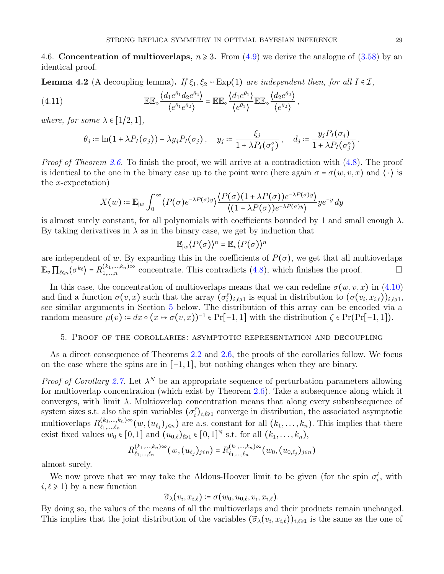4.6. Concentration of multioverlaps,  $n \ge 3$ . From  $(4.9)$  we derive the analogue of  $(3.58)$  by an identical proof.

**Lemma 4.2** (A decoupling lemma). If  $\xi_1, \xi_2 \sim \text{Exp}(1)$  are independent then, for all  $I \in \mathcal{I}$ ,

(4.11) 
$$
\mathbb{EE}_{\diamond} \frac{\langle d_1 e^{\theta_1} d_2 e^{\theta_2} \rangle}{\langle e^{\theta_1} e^{\theta_2} \rangle} = \mathbb{EE}_{\diamond} \frac{\langle d_1 e^{\theta_1} \rangle}{\langle e^{\theta_1} \rangle} \mathbb{EE}_{\diamond} \frac{\langle d_2 e^{\theta_2} \rangle}{\langle e^{\theta_2} \rangle},
$$

where, for some  $\lambda \in [1/2, 1]$ ,

$$
\theta_j \coloneqq \ln(1 + \lambda P_I(\sigma_j)) - \lambda y_j P_I(\sigma_j), \quad y_j \coloneqq \frac{\xi_j}{1 + \lambda P_I(\sigma_j^{\circ})}, \quad d_j \coloneqq \frac{y_j P_I(\sigma_j)}{1 + \lambda P_I(\sigma_j^{\circ})}.
$$

Proof of Theorem [2.6.](#page-11-1) To finish the proof, we will arrive at a contradiction with  $(4.8)$ . The proof is identical to the one in the binary case up to the point were (here again  $\sigma = \sigma(w, v, x)$  and  $\langle \cdot \rangle$  is the x-expectation)

$$
X(w) \coloneqq \mathbb{E}_{|w} \int_0^\infty \langle P(\sigma) e^{-\lambda P(\sigma)y} \rangle \frac{\langle P(\sigma)(1 + \lambda P(\sigma)) e^{-\lambda P(\sigma)y}}{\langle (1 + \lambda P(\sigma)) e^{-\lambda P(\sigma)y} \rangle} y e^{-y} dy
$$

is almost surely constant, for all polynomials with coefficients bounded by 1 and small enough  $\lambda$ . By taking derivatives in  $\lambda$  as in the binary case, we get by induction that

$$
\mathbb{E}_{|w} \langle P(\sigma) \rangle^n = \mathbb{E}_v \langle P(\sigma) \rangle^n
$$

are independent of w. By expanding this in the coefficients of  $P(\sigma)$ , we get that all multioverlaps  $\mathbb{E}_v \prod_{\ell \leq n} \langle \sigma^{k_\ell} \rangle = R_{1,\dots,n}^{(k_1,\dots,k_n)\infty}$  concentrate. This contradicts  $(4.8)$ , which finishes the proof.

In this case, the concentration of multioverlaps means that we can redefine  $\sigma(w, v, x)$  in [\(4.10\)](#page-27-3) and find a function  $\sigma(v,x)$  such that the array  $(\sigma_i^{\ell})_{i,\ell\geq 1}$  is equal in distribution to  $(\sigma(v_i,x_{i,\ell}))_{i,\ell\geq 1}$ , see similar arguments in Section [5](#page-28-0) below. The distribution of this array can be encoded via a random measure  $\mu(v) := dx \circ (x \mapsto \sigma(v, x))^{-1} \in Pr[-1, 1]$  with the distribution  $\zeta \in Pr[Pr[-1, 1])$ .

# <span id="page-28-0"></span>5. Proof of the corollaries: asymptotic representation and decoupling

As a direct consequence of Theorems [2.2](#page-7-2) and [2.6,](#page-11-1) the proofs of the corollaries follow. We focus on the case where the spins are in [−1, 1], but nothing changes when they are binary.

*Proof of Corollary [2.7.](#page-11-2)* Let  $\lambda^N$  be an appropriate sequence of perturbation parameters allowing for multioverlap concentration (which exist by Theorem [2.6\)](#page-11-1). Take a subsequence along which it converges, with limit  $\lambda$ . Multioverlap concentration means that along every subsubsequence of system sizes s.t. also the spin variables  $(\sigma_i^{\ell})_{i,\ell\geq 1}$  converge in distribution, the associated asymptotic multioverlaps  $R_{\ell_1,\ldots,\ell_n}^{(k_1,\ldots,k_n)\infty}$  $\binom{(k_1,\ldots,k_n)}{k_1,\ldots,k_n}^{\infty}(w,(u_{\ell_j})_{j\leq n})$  are a.s. constant for all  $(k_1,\ldots,k_n)$ . This implies that there exist fixed values  $w_0 \in [0,1]$  and  $(u_{0,\ell})_{\ell \geq 1} \in [0,1]^{\mathbb{N}}$  s.t. for all  $(k_1, \ldots, k_n)$ ,

$$
R_{\ell_1,\ldots,\ell_n}^{(k_1,\ldots,k_n)\infty}(w,(u_{\ell_j})_{j\leq n})=R_{\ell_1,\ldots,\ell_n}^{(k_1,\ldots,k_n)\infty}(w_0,(u_{0,\ell_j})_{j\leq n})
$$

almost surely.

We now prove that we may take the Aldous-Hoover limit to be given (for the spin  $\sigma_i^{\ell}$ , with  $i, \ell \geq 1$ ) by a new function

$$
\widetilde{\sigma}_{\lambda}(v_i, x_{i,\ell}) \coloneqq \sigma(w_0, u_{0,\ell}, v_i, x_{i,\ell}).
$$

By doing so, the values of the means of all the multioverlaps and their products remain unchanged. This implies that the joint distribution of the variables  $(\tilde{\sigma}_{\lambda}(v_i, x_{i,\ell}))_{i,\ell \geq 1}$  is the same as the one of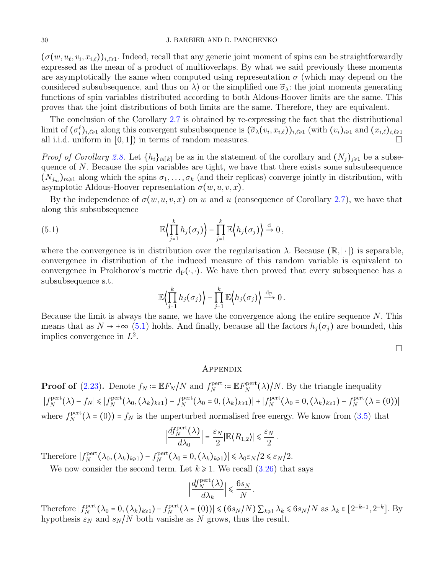### 30 J. BARBIER AND D. PANCHENKO

 $(\sigma(w, u_\ell, v_i, x_{i,\ell}))_{i,\ell \geq 1}$ . Indeed, recall that any generic joint moment of spins can be straightforwardly expressed as the mean of a product of multioverlaps. By what we said previously these moments are asymptotically the same when computed using representation  $\sigma$  (which may depend on the considered subsubsequence, and thus on  $\lambda$ ) or the simplified one  $\tilde{\sigma}_{\lambda}$ : the joint moments generating functions of spin variables distributed according to both Aldous-Hoover limits are the same. This proves that the joint distributions of both limits are the same. Therefore, they are equivalent.

The conclusion of the Corollary [2.7](#page-11-2) is obtained by re-expressing the fact that the distributional limit of  $(\sigma_i^{\ell})_{i,\ell \geq 1}$  along this convergent subsubsequence is  $(\widetilde{\sigma}_{\lambda}(v_i,x_{i,\ell}))_{i,\ell \geq 1}$  (with  $(v_i)_{i\geq 1}$  and  $(x_{i,\ell})_{i,\ell \geq 1}$ all i.i.d. uniform in  $[0, 1]$  in terms of random measures.

*Proof of Corollary [2.8.](#page-11-5)* Let  $\{h_i\}_{i\in[k]}$  be as in the statement of the corollary and  $(N_i)_{i\geq 1}$  be a subsequence of  $N$ . Because the spin variables are tight, we have that there exists some subsubsequence  $(N_{j_m})_{m\geq 1}$  along which the spins  $\sigma_1, \ldots, \sigma_k$  (and their replicas) converge jointly in distribution, with asymptotic Aldous-Hoover representation  $\sigma(w, u, v, x)$ .

By the independence of  $\sigma(w, u, v, x)$  on w and u (consequence of Corollary [2.7\)](#page-11-2), we have that along this subsubsequence

(5.1) 
$$
\mathbb{E}\Big\{\prod_{j=1}^k h_j(\sigma_j)\Big\}-\prod_{j=1}^k \mathbb{E}\Big\{h_j(\sigma_j)\Big\} \stackrel{d}{\to} 0,
$$

where the convergence is in distribution over the regularisation  $\lambda$ . Because  $(\mathbb{R}, |\cdot|)$  is separable, convergence in distribution of the induced measure of this random variable is equivalent to convergence in Prokhorov's metric  $d_P(\cdot, \cdot)$ . We have then proved that every subsequence has a subsubsequence s.t.

<span id="page-29-0"></span>
$$
\mathbb{E}\Big\langle \prod_{j=1}^k h_j(\sigma_j) \Big\rangle - \prod_{j=1}^k \mathbb{E}\Big\langle h_j(\sigma_j) \Big\rangle \stackrel{\mathrm{dp}}{\longrightarrow} 0 \, .
$$

Because the limit is always the same, we have the convergence along the entire sequence  $N$ . This means that as  $N \to +\infty$  [\(5.1\)](#page-29-0) holds. And finally, because all the factors  $h_j(\sigma_j)$  are bounded, this implies convergence in  $L^2$ .

 $\Box$ 

# Appendix

**Proof of** [\(2.23\)](#page-7-4). Denote  $f_N \coloneqq \mathbb{E} F_N/N$  and  $f_N^{\text{pert}}$  $i_N^{\text{pert}} \coloneqq \mathbb{E} F_N^{\text{pert}}$  $N_{N}^{\text{pert}}(\lambda)/N$ . By the triangle inequality  $|f_N^{\text{pert}}|$  $f_N^{\text{pert}}(\lambda) - f_N \leqslant |f_N^{\text{pert}}|$  $f_N^{\text{pert}}(\lambda_0, (\lambda_k)_{k\geqslant 1}) - f_N^{\text{pert}}$  $\mathcal{L}_N^{\text{pert}}(\lambda_0 = 0, (\lambda_k)_{k \geq 1}) + |f_N^{\text{pert}}|$  $f_N^{\text{pert}}(\lambda_0=0, (\lambda_k)_{k\geq 1}) - f_N^{\text{pert}}$  $N^{\text{pert}}(\lambda = (0))$ where  $f_N^{\text{pert}}$  $N<sub>N</sub><sup>pert</sup>(\lambda = (0)) = f_N$  is the unperturbed normalised free energy. We know from [\(3.5\)](#page-13-0) that

$$
\Big|\frac{df_N^{\text{pert}}(\lambda)}{d\lambda_0}\Big| = \frac{\varepsilon_N}{2} |\mathbb{E}\langle R_{1,2}\rangle| \leq \frac{\varepsilon_N}{2}.
$$

Therefore  $|f_N^{\text{pert}}|$  $f_N^{\text{pert}}(\lambda_0, (\lambda_k)_{k\geqslant 1}) - f_N^{\text{pert}}$  $\left|\sum_{N}^{\text{pert}}(\lambda_0=0,(\lambda_k)_{k\geq 1})\right| \leq \lambda_0 \varepsilon_N/2 \leq \varepsilon_N/2.$ 

We now consider the second term. Let  $k \ge 1$ . We recall  $(3.26)$  that says

$$
\Big|\frac{df_N^{\text{pert}}(\lambda)}{d\lambda_k}\Big|\leqslant \frac{6s_N}{N}\,.
$$

Therefore  $|f_N^{\text{pert}}|$  $N^{\text{pert}}(\lambda_0 = 0, (\lambda_k)_{k \geq 1}) - f_N^{\text{pert}}$  $\sum_{N}^{\text{pert}} (\lambda = (0)) | \leq (6s_N/N) \sum_{k \geq 1} \lambda_k \leq 6s_N/N \text{ as } \lambda_k \in [2^{-k-1}, 2^{-k}].$  By hypothesis  $\varepsilon_N$  and  $s_N/N$  both vanishe as N grows, thus the result.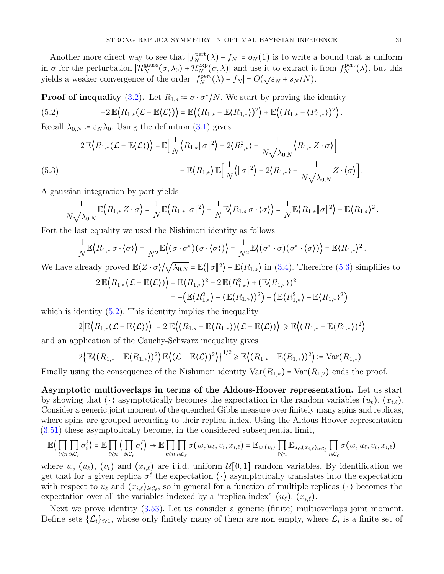Another more direct way to see that  $|f_N^{\text{pert}}|$  $N_{N}^{\text{pert}}(\lambda) - f_{N}| = o_{N}(1)$  is to write a bound that is uniform in  $\sigma$  for the perturbation  $\vert \mathcal{H}_N^{\text{gauss}} \vert$  $N^{\text{gauss}}(\sigma, \lambda_0) + \mathcal{H}_N^{\text{exp}}$  $N(N)$  and use it to extract it from  $f_N^{\text{pert}}$  $N^{\text{pert}}(\lambda)$ , but this yields a weaker convergence of the order  $|f_N^{\text{pert}}|$  $N_{N}^{S}(\lambda) - f_N = O(\sqrt{\varepsilon_N} + s_N/N).$ 

**Proof of inequality** [\(3.2\)](#page-12-1). Let  $R_{1,*} \coloneqq \sigma \cdot \sigma^* / N$ . We start by proving the identity

<span id="page-30-1"></span>(5.2) 
$$
-2\mathbb{E}\big\langle R_{1,*}(\mathcal{L}-\mathbb{E}\langle\mathcal{L}\rangle)\big\rangle=\mathbb{E}\big\langle (R_{1,*}-\mathbb{E}\langle R_{1,*}\rangle)^2\big\rangle+\mathbb{E}\big\langle (R_{1,*}-\langle R_{1,*}\rangle)^2\big\rangle.
$$

Recall  $\lambda_{0,N} \coloneqq \varepsilon_N \lambda_0$ . Using the definition [\(3.1\)](#page-12-5) gives

<span id="page-30-0"></span>
$$
2\mathbb{E}\langle R_{1,*}(\mathcal{L}-\mathbb{E}\langle \mathcal{L}\rangle)\rangle = \mathbb{E}\Big[\frac{1}{N}\langle R_{1,*}\|\sigma\|^2\rangle - 2\langle R_{1,*}^2\rangle - \frac{1}{N\sqrt{\lambda_{0,N}}}\langle R_{1,*}\,Z\cdot\sigma\rangle\Big] - \mathbb{E}\langle R_{1,*}\rangle \mathbb{E}\Big[\frac{1}{N}\langle \|\sigma\|^2\rangle - 2\langle R_{1,*}\rangle - \frac{1}{N\sqrt{\lambda_{0,N}}}\,Z\cdot\langle\sigma\rangle\Big].
$$

A gaussian integration by part yields

$$
\frac{1}{N\sqrt{\lambda_{0,N}}}\mathbb{E}\Big\{R_{1,*}\,Z\cdot\sigma\Big\}=\frac{1}{N}\mathbb{E}\Big\{R_{1,*}\|\sigma\|^2\Big\}-\frac{1}{N}\mathbb{E}\Big\{R_{1,*}\,\sigma\cdot\big\{\sigma\big\}\Big\}=\frac{1}{N}\mathbb{E}\Big\{R_{1,*}\|\sigma\|^2\Big\}-\mathbb{E}\big\{R_{1,*}\big\}^2.
$$

Fort the last equality we used the Nishimori identity as follows

$$
\frac{1}{N}\mathbb{E}\big\langle R_{1,*}\,\sigma\cdot\langle\sigma\rangle\big\rangle=\frac{1}{N^2}\mathbb{E}\big\langle(\sigma\cdot\sigma^*)(\sigma\cdot\langle\sigma\rangle)\big\rangle=\frac{1}{N^2}\mathbb{E}\big\langle(\sigma^*\cdot\sigma)(\sigma^*\cdot\langle\sigma\rangle)\big\rangle=\mathbb{E}\langle R_{1,*}\rangle^2.
$$

We have already proved  $\mathbb{E}\langle Z \cdot \sigma \rangle / \sqrt{\lambda_{0,N}} = \mathbb{E}\langle ||\sigma||^2 \rangle - \mathbb{E}\langle R_{1,*} \rangle$  in [\(3.4\)](#page-12-6). Therefore [\(5.3\)](#page-30-0) simplifies to

$$
2 \mathbb{E} \langle R_{1,*}(\mathcal{L} - \mathbb{E} \langle \mathcal{L} \rangle) \rangle = \mathbb{E} \langle R_{1,*} \rangle^2 - 2 \mathbb{E} \langle R_{1,*}^2 \rangle + (\mathbb{E} \langle R_{1,*} \rangle)^2
$$
  
= -(\mathbb{E} \langle R\_{1,\*}^2 \rangle - (\mathbb{E} \langle R\_{1,\*} \rangle)^2) - (\mathbb{E} \langle R\_{1,\*}^2 \rangle - \mathbb{E} \langle R\_{1,\*} \rangle^2)

which is identity  $(5.2)$ . This identity implies the inequality

$$
2|\mathbb{E}\langle R_{1,*}(\mathcal{L}-\mathbb{E}\langle \mathcal{L}\rangle)\rangle|=2|\mathbb{E}\langle (R_{1,*}-\mathbb{E}\langle R_{1,*}\rangle)(\mathcal{L}-\mathbb{E}\langle \mathcal{L}\rangle)\rangle|\geq \mathbb{E}\langle (R_{1,*}-\mathbb{E}\langle R_{1,*}\rangle)^2\rangle
$$

and an application of the Cauchy-Schwarz inequality gives

$$
2\{\mathbb{E}\big((R_{1,*}-\mathbb{E}\langle R_{1,*}\rangle)^2\big)\mathbb{E}\big((\mathcal{L}-\mathbb{E}\langle\mathcal{L}\rangle)^2\big)\}^{1/2}\geqslant \mathbb{E}\big((R_{1,*}-\mathbb{E}\langle R_{1,*}\rangle)^2\big):=\mathrm{Var}(R_{1,*})\,.
$$

Finally using the consequence of the Nishimori identity  $Var(R_{1,*}) = Var(R_{1,2})$  ends the proof.

Asymptotic multioverlaps in terms of the Aldous-Hoover representation. Let us start by showing that  $\langle \cdot \rangle$  asymptotically becomes the expectation in the random variables  $(u_\ell), (x_{i,\ell}).$ Consider a generic joint moment of the quenched Gibbs measure over finitely many spins and replicas, where spins are grouped according to their replica index. Using the Aldous-Hoover representation [\(3.51\)](#page-21-1) these asymptotically become, in the considered subsequential limit,

$$
\mathbb{E}\Big\langle \prod_{\ell \leq n} \prod_{i \in C_{\ell}} \sigma_{i}^{\ell} \Big\rangle = \mathbb{E} \prod_{\ell \leq n} \Big\langle \prod_{i \in C_{\ell}} \sigma_{i}^{\ell} \Big\rangle \to \mathbb{E} \prod_{\ell \leq n} \prod_{i \in C_{\ell}} \sigma(w, u_{\ell}, v_{i}, x_{i, \ell}) = \mathbb{E}_{w, (v_{i})} \prod_{\ell \leq n} \mathbb{E}_{u_{\ell}, (x_{i, \ell})_{i \in C_{\ell}}} \prod_{i \in C_{\ell}} \sigma(w, u_{\ell}, v_{i}, x_{i, \ell})
$$

where w,  $(u_\ell)$ ,  $(v_i)$  and  $(x_{i,\ell})$  are i.i.d. uniform  $\mathcal{U}[0,1]$  random variables. By identification we get that for a given replica  $\sigma^{\ell}$  the expectation  $\langle \cdot \rangle$  asymptotically translates into the expectation with respect to  $u_\ell$  and  $(x_{i,\ell})_{i\in\mathcal{C}_\ell}$ , so in general for a function of multiple replicas  $\langle \cdot \rangle$  becomes the expectation over all the variables indexed by a "replica index"  $(u_{\ell}), (x_{i,\ell}).$ 

Next we prove identity [\(3.53\)](#page-21-2). Let us consider a generic (finite) multioverlaps joint moment. Define sets  $\{\mathcal{L}_i\}_{i\geq 1}$ , whose only finitely many of them are non empty, where  $\mathcal{L}_i$  is a finite set of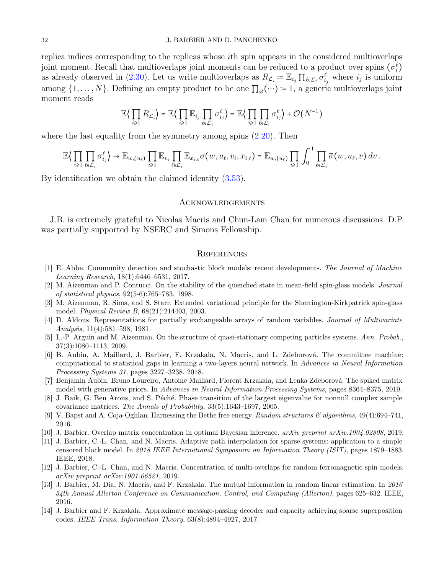replica indices corresponding to the replicas whose ith spin appears in the considered multioverlaps joint moment. Recall that multioverlaps joint moments can be reduced to a product over spins  $(\sigma_i^{\ell})$ as already observed in [\(2.30\)](#page-8-0). Let us write multioverlaps as  $R_{\mathcal{L}_i} \coloneqq \mathbb{E}_{i_j} \prod_{\ell \in \mathcal{L}_i} \sigma_{i_j}^{\ell}$  where  $i_j$  is uniform among  $\{1, \ldots, N\}$ . Defining an empty product to be one  $\prod_{\emptyset}(\cdots) = 1$ , a generic multioverlaps joint moment reads

$$
\mathbb{E}\left\langle \prod_{i\geq 1} R_{\mathcal{L}_i} \right\rangle = \mathbb{E}\left\langle \prod_{i\geq 1} \mathbb{E}_{i_j} \prod_{\ell \in \mathcal{L}_i} \sigma_{i_j}^{\ell} \right\rangle = \mathbb{E}\left\langle \prod_{i\geq 1} \prod_{\ell \in \mathcal{L}_i} \sigma_{i_j}^{\ell} \right\rangle + \mathcal{O}(N^{-1})
$$

where the last equality from the symmetry among spins  $(2.20)$ . Then

$$
\mathbb{E}\Big\langle \prod_{i\geqslant 1}\prod_{\ell\in\mathcal{L}_i}\sigma_{i_j}^{\ell}\Big\rangle \to \mathbb{E}_{w,(u_{\ell})}\prod_{i\geqslant 1}\mathbb{E}_{v_i}\prod_{\ell\in\mathcal{L}_i}\mathbb{E}_{x_{i,\ell}}\sigma(w,u_{\ell},v_i,x_{i,\ell}) = \mathbb{E}_{w,(u_{\ell})}\prod_{i\geqslant 1}\int_0^1\prod_{\ell\in\mathcal{L}_i}\overline{\sigma}(w,u_{\ell},v)\,dv.
$$

By identification we obtain the claimed identity [\(3.53\)](#page-21-2).

# **ACKNOWLEDGEMENTS**

J.B. is extremely grateful to Nicolas Macris and Chun-Lam Chan for numerous discussions. D.P. was partially supported by NSERC and Simons Fellowship.

#### **REFERENCES**

- <span id="page-31-5"></span>[1] E. Abbe. Community detection and stochastic block models: recent developments. The Journal of Machine Learning Research, 18(1):6446–6531, 2017.
- <span id="page-31-10"></span>[2] M. Aizenman and P. Contucci. On the stability of the quenched state in mean-field spin-glass models. Journal of statistical physics, 92(5-6):765–783, 1998.
- <span id="page-31-3"></span>[3] M. Aizenman, R. Sims, and S. Starr. Extended variational principle for the Sherrington-Kirkpatrick spin-glass model. Physical Review B, 68(21):214403, 2003.
- <span id="page-31-13"></span>[4] D. Aldous. Representations for partially exchangeable arrays of random variables. Journal of Multivariate Analysis, 11(4):581–598, 1981.
- <span id="page-31-12"></span>[5] L.-P. Arguin and M. Aizenman. On the structure of quasi-stationary competing particles systems. Ann. Probab., 37(3):1080–1113, 2009.
- <span id="page-31-4"></span>[6] B. Aubin, A. Maillard, J. Barbier, F. Krzakala, N. Macris, and L. Zdeborová. The committee machine: computational to statistical gaps in learning a two-layers neural network. In Advances in Neural Information Processing Systems 31, pages 3227–3238. 2018.
- <span id="page-31-11"></span>[7] Benjamin Aubin, Bruno Loureiro, Antoine Maillard, Florent Krzakala, and Lenka Zdeborová. The spiked matrix model with generative priors. In Advances in Neural Information Processing Systems, pages 8364–8375, 2019.
- <span id="page-31-0"></span>[8] J. Baik, G. Ben Arous, and S. Péché. Phase transition of the largest eigenvalue for nonnull complex sample covariance matrices. The Annals of Probability, 33(5):1643–1697, 2005.
- <span id="page-31-9"></span>[9] V. Bapst and A. Coja-Oghlan. Harnessing the Bethe free energy. Random structures  $\mathcal{C}$  algorithms, 49(4):694–741, 2016.
- <span id="page-31-7"></span>[10] J. Barbier. Overlap matrix concentration in optimal Bayesian inference. arXiv preprint arXiv:1904.02808, 2019.
- <span id="page-31-6"></span>[11] J. Barbier, C.-L. Chan, and N. Macris. Adaptive path interpolation for sparse systems: application to a simple censored block model. In 2018 IEEE International Symposium on Information Theory (ISIT), pages 1879–1883. IEEE, 2018.
- <span id="page-31-8"></span>[12] J. Barbier, C.-L. Chan, and N. Macris. Concentration of multi-overlaps for random ferromagnetic spin models. arXiv preprint arXiv:1901.06521, 2019.
- <span id="page-31-1"></span>[13] J. Barbier, M. Dia, N. Macris, and F. Krzakala. The mutual information in random linear estimation. In 2016 54th Annual Allerton Conference on Communication, Control, and Computing (Allerton), pages 625–632. IEEE, 2016.
- <span id="page-31-2"></span>[14] J. Barbier and F. Krzakala. Approximate message-passing decoder and capacity achieving sparse superposition codes. IEEE Trans. Information Theory, 63(8):4894–4927, 2017.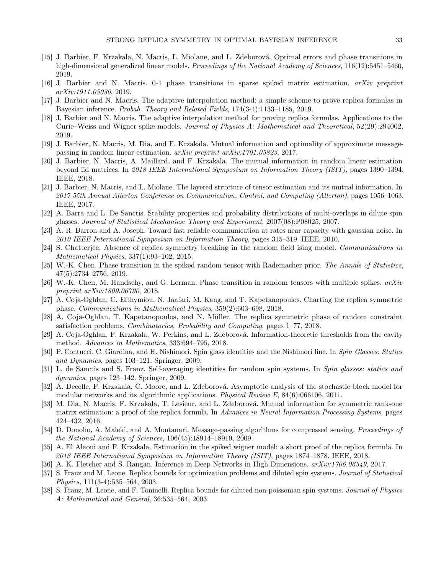- <span id="page-32-2"></span>[15] J. Barbier, F. Krzakala, N. Macris, L. Miolane, and L. Zdeborová. Optimal errors and phase transitions in high-dimensional generalized linear models. Proceedings of the National Academy of Sciences, 116(12):5451–5460, 2019.
- <span id="page-32-13"></span>[16] J. Barbier and N. Macris. 0-1 phase transitions in sparse spiked matrix estimation. arXiv preprint arXiv:1911.05030, 2019.
- <span id="page-32-9"></span>[17] J. Barbier and N. Macris. The adaptive interpolation method: a simple scheme to prove replica formulas in Bayesian inference. Probab. Theory and Related Fields, 174(3-4):1133–1185, 2019.
- <span id="page-32-10"></span>[18] J. Barbier and N. Macris. The adaptive interpolation method for proving replica formulas. Applications to the Curie–Weiss and Wigner spike models. Journal of Physics A: Mathematical and Theoretical, 52(29):294002, 2019.
- <span id="page-32-5"></span>[19] J. Barbier, N. Macris, M. Dia, and F. Krzakala. Mutual information and optimality of approximate messagepassing in random linear estimation. arXiv preprint arXiv:1701.05823, 2017.
- <span id="page-32-12"></span>[20] J. Barbier, N. Macris, A. Maillard, and F. Krzakala. The mutual information in random linear estimation beyond iid matrices. In 2018 IEEE International Symposium on Information Theory (ISIT), pages 1390–1394. IEEE, 2018.
- <span id="page-32-11"></span>[21] J. Barbier, N. Macris, and L. Miolane. The layered structure of tensor estimation and its mutual information. In 2017 55th Annual Allerton Conference on Communication, Control, and Computing (Allerton), pages 1056–1063. IEEE, 2017.
- <span id="page-32-22"></span>[22] A. Barra and L. De Sanctis. Stability properties and probability distributions of multi-overlaps in dilute spin glasses. Journal of Statistical Mechanics: Theory and Experiment, 2007(08):P08025, 2007.
- <span id="page-32-1"></span>[23] A. R. Barron and A. Joseph. Toward fast reliable communication at rates near capacity with gaussian noise. In 2010 IEEE International Symposium on Information Theory, pages 315–319. IEEE, 2010.
- <span id="page-32-18"></span>[24] S. Chatterjee. Absence of replica symmetry breaking in the random field ising model. Communications in Mathematical Physics, 337(1):93–102, 2015.
- <span id="page-32-7"></span>[25] W.-K. Chen. Phase transition in the spiked random tensor with Rademacher prior. The Annals of Statistics, 47(5):2734–2756, 2019.
- <span id="page-32-8"></span>[26] W.-K. Chen, M. Handschy, and G. Lerman. Phase transition in random tensors with multiple spikes.  $arXiv$ preprint arXiv:1809.06790, 2018.
- <span id="page-32-19"></span>[27] A. Coja-Oghlan, C. Efthymiou, N. Jaafari, M. Kang, and T. Kapetanopoulos. Charting the replica symmetric phase. Communications in Mathematical Physics, 359(2):603–698, 2018.
- <span id="page-32-20"></span>[28] A. Coja-Oghlan, T. Kapetanopoulos, and N. Müller. The replica symmetric phase of random constraint satisfaction problems. Combinatorics, Probability and Computing, pages 1–77, 2018.
- <span id="page-32-14"></span>[29] A. Coja-Oghlan, F. Krzakala, W. Perkins, and L. Zdeborová. Information-theoretic thresholds from the cavity method. Advances in Mathematics, 333:694–795, 2018.
- <span id="page-32-3"></span>[30] P. Contucci, C. Giardina, and H. Nishimori. Spin glass identities and the Nishimori line. In Spin Glasses: Statics and Dynamics, pages 103–121. Springer, 2009.
- <span id="page-32-21"></span>[31] L. de Sanctis and S. Franz. Self-averaging identities for random spin systems. In Spin glasses: statics and dynamics, pages 123–142. Springer, 2009.
- <span id="page-32-15"></span>[32] A. Decelle, F. Krzakala, C. Moore, and L. Zdeborová. Asymptotic analysis of the stochastic block model for modular networks and its algorithmic applications. *Physical Review E*,  $84(6)$ :066106, 2011.
- <span id="page-32-4"></span>[33] M. Dia, N. Macris, F. Krzakala, T. Lesieur, and L. Zdeborová. Mutual information for symmetric rank-one matrix estimation: a proof of the replica formula. In Advances in Neural Information Processing Systems, pages 424–432, 2016.
- <span id="page-32-0"></span>[34] D. Donoho, A. Maleki, and A. Montanari. Message-passing algorithms for compressed sensing. *Proceedings of* the National Academy of Sciences, 106(45):18914–18919, 2009.
- <span id="page-32-6"></span>[35] A. El Alaoui and F. Krzakala. Estimation in the spiked wigner model: a short proof of the replica formula. In 2018 IEEE International Symposium on Information Theory (ISIT), pages 1874–1878. IEEE, 2018.
- <span id="page-32-23"></span>[36] A. K. Fletcher and S. Rangan. Inference in Deep Networks in High Dimensions. arXiv:1706.06549, 2017.
- <span id="page-32-16"></span>[37] S. Franz and M. Leone. Replica bounds for optimization problems and diluted spin systems. Journal of Statistical Physics, 111(3-4):535–564, 2003.
- <span id="page-32-17"></span>[38] S. Franz, M. Leone, and F. Toninelli. Replica bounds for diluted non-poissonian spin systems. Journal of Physics A: Mathematical and General, 36:535–564, 2003.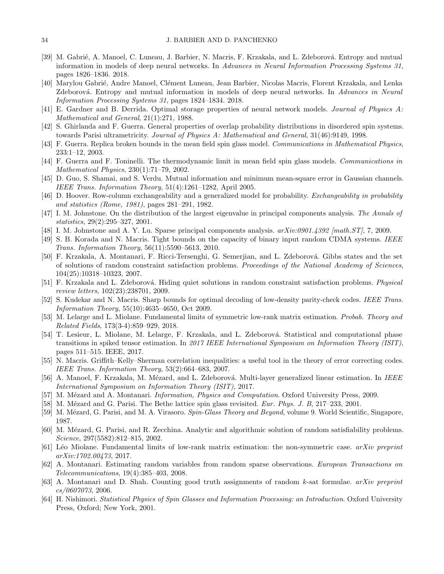- <span id="page-33-11"></span>[39] M. Gabrié, A. Manoel, C. Luneau, J. Barbier, N. Macris, F. Krzakala, and L. Zdeborová. Entropy and mutual information in models of deep neural networks. In Advances in Neural Information Processing Systems 31, pages 1826–1836. 2018.
- <span id="page-33-20"></span>[40] Marylou Gabrié, Andre Manoel, Clément Luneau, Jean Barbier, Nicolas Macris, Florent Krzakala, and Lenka Zdeborová. Entropy and mutual information in models of deep neural networks. In Advances in Neural Information Processing Systems 31, pages 1824–1834. 2018.
- <span id="page-33-2"></span>[41] E. Gardner and B. Derrida. Optimal storage properties of neural network models. Journal of Physics A: Mathematical and General, 21(1):271, 1988.
- <span id="page-33-17"></span>[42] S. Ghirlanda and F. Guerra. General properties of overlap probability distributions in disordered spin systems. towards Parisi ultrametricity. Journal of Physics A: Mathematical and General, 31(46):9149, 1998.
- <span id="page-33-7"></span>[43] F. Guerra. Replica broken bounds in the mean field spin glass model. Communications in Mathematical Physics, 233:1–12, 2003.
- <span id="page-33-6"></span>[44] F. Guerra and F. Toninelli. The thermodynamic limit in mean field spin glass models. Communications in Mathematical Physics, 230(1):71–79, 2002.
- <span id="page-33-18"></span>[45] D. Guo, S. Shamai, and S. Verdu. Mutual information and minimum mean-square error in Gaussian channels. IEEE Trans. Information Theory, 51(4):1261–1282, April 2005.
- <span id="page-33-25"></span>[46] D. Hoover. Row-column exchangeability and a generalized model for probability. Exchangeability in probability and statistics (Rome, 1981), pages 281–291, 1982.
- <span id="page-33-0"></span>[47] I. M. Johnstone. On the distribution of the largest eigenvalue in principal components analysis. The Annals of statistics, 29(2):295–327, 2001.
- <span id="page-33-1"></span>[48] I. M. Johnstone and A. Y. Lu. Sparse principal components analysis.  $arXiv:0901.4392$  [math. ST], 7, 2009.
- <span id="page-33-23"></span>[49] S. B. Korada and N. Macris. Tight bounds on the capacity of binary input random CDMA systems. IEEE Trans. Information Theory, 56(11):5590–5613, 2010.
- <span id="page-33-15"></span>[50] F. Krzakala, A. Montanari, F. Ricci-Tersenghi, G. Semerjian, and L. Zdeborov´a. Gibbs states and the set of solutions of random constraint satisfaction problems. Proceedings of the National Academy of Sciences, 104(25):10318–10323, 2007.
- <span id="page-33-12"></span>[51] F. Krzakala and L. Zdeborová. Hiding quiet solutions in random constraint satisfaction problems. Physical review letters, 102(23):238701, 2009.
- <span id="page-33-22"></span>[52] S. Kudekar and N. Macris. Sharp bounds for optimal decoding of low-density parity-check codes. IEEE Trans. Information Theory, 55(10):4635–4650, Oct 2009.
- <span id="page-33-8"></span>[53] M. Lelarge and L. Miolane. Fundamental limits of symmetric low-rank matrix estimation. Probab. Theory and Related Fields, 173(3-4):859–929, 2018.
- <span id="page-33-10"></span>[54] T. Lesieur, L. Miolane, M. Lelarge, F. Krzakala, and L. Zdeborová. Statistical and computational phase transitions in spiked tensor estimation. In 2017 IEEE International Symposium on Information Theory (ISIT), pages 511–515. IEEE, 2017.
- <span id="page-33-21"></span>[55] N. Macris. Griffith–Kelly–Sherman correlation inequalities: a useful tool in the theory of error correcting codes. IEEE Trans. Information Theory, 53(2):664–683, 2007.
- <span id="page-33-19"></span>[56] A. Manoel, F. Krzakala, M. Mézard, and L. Zdeborová. Multi-layer generalized linear estimation. In IEEE International Symposium on Information Theory (ISIT), 2017.
- <span id="page-33-5"></span>[57] M. Mézard and A. Montanari. *Information, Physics and Computation*. Oxford University Press, 2009.
- <span id="page-33-13"></span>[58] M. Mézard and G. Parisi. The Bethe lattice spin glass revisited. Eur. Phys. J. B, 217–233, 2001.
- <span id="page-33-4"></span>[59] M. Mézard, G. Parisi, and M. A. Virasoro. Spin-Glass Theory and Beyond, volume 9. World Scientific, Singapore, 1987.
- <span id="page-33-14"></span>[60] M. Mézard, G. Parisi, and R. Zecchina. Analytic and algorithmic solution of random satisfiability problems. Science, 297(5582):812–815, 2002.
- <span id="page-33-9"></span>[61] L´eo Miolane. Fundamental limits of low-rank matrix estimation: the non-symmetric case. arXiv preprint arXiv:1702.00473, 2017.
- <span id="page-33-24"></span>[62] A. Montanari. Estimating random variables from random sparse observations. European Transactions on Telecommunications, 19(4):385–403, 2008.
- <span id="page-33-16"></span>[63] A. Montanari and D. Shah. Counting good truth assignments of random k-sat formulae. arXiv preprint cs/0607073, 2006.
- <span id="page-33-3"></span>[64] H. Nishimori. Statistical Physics of Spin Glasses and Information Processing: an Introduction. Oxford University Press, Oxford; New York, 2001.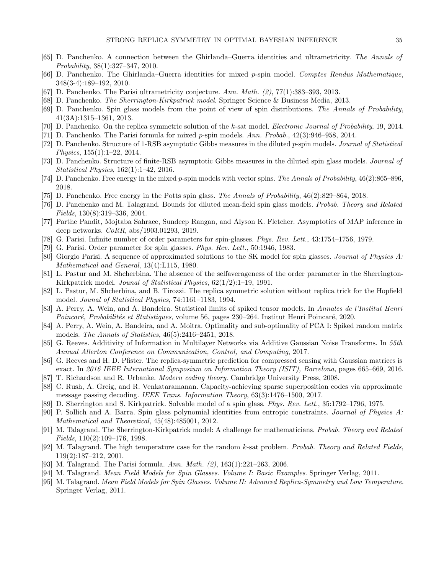- <span id="page-34-27"></span>[65] D. Panchenko. A connection between the Ghirlanda–Guerra identities and ultrametricity. The Annals of Probability, 38(1):327–347, 2010.
- <span id="page-34-23"></span>[66] D. Panchenko. The Ghirlanda–Guerra identities for mixed p-spin model. Comptes Rendus Mathematique, 348(3-4):189–192, 2010.
- <span id="page-34-28"></span>[67] D. Panchenko. The Parisi ultrametricity conjecture. Ann. Math.  $(2)$ , 77(1):383-393, 2013.
- <span id="page-34-5"></span>[68] D. Panchenko. The Sherrington-Kirkpatrick model. Springer Science & Business Media, 2013.
- <span id="page-34-30"></span>[69] D. Panchenko. Spin glass models from the point of view of spin distributions. The Annals of Probability, 41(3A):1315–1361, 2013.
- <span id="page-34-10"></span>[70] D. Panchenko. On the replica symmetric solution of the k-sat model. Electronic Journal of Probability, 19, 2014.
- <span id="page-34-29"></span>[71] D. Panchenko. The Parisi formula for mixed p-spin models. Ann. Probab., 42(3):946–958, 2014.
- <span id="page-34-11"></span>[72] D. Panchenko. Structure of 1-RSB asymptotic Gibbs measures in the diluted p-spin models. Journal of Statistical Physics, 155(1):1–22, 2014.
- <span id="page-34-12"></span>[73] D. Panchenko. Structure of finite-RSB asymptotic Gibbs measures in the diluted spin glass models. Journal of Statistical Physics, 162(1):1–42, 2016.
- <span id="page-34-21"></span>[74] D. Panchenko. Free energy in the mixed p-spin models with vector spins. The Annals of Probability, 46(2):865–896, 2018.
- <span id="page-34-20"></span>[75] D. Panchenko. Free energy in the Potts spin glass. The Annals of Probability, 46(2):829–864, 2018.
- <span id="page-34-9"></span>[76] D. Panchenko and M. Talagrand. Bounds for diluted mean-field spin glass models. Probab. Theory and Related Fields, 130(8):319–336, 2004.
- <span id="page-34-26"></span>[77] Parthe Pandit, Mojtaba Sahraee, Sundeep Rangan, and Alyson K. Fletcher. Asymptotics of MAP inference in deep networks. CoRR, abs/1903.01293, 2019.
- <span id="page-34-16"></span>[78] G. Parisi. Infinite number of order parameters for spin-glasses. Phys. Rev. Lett., 43:1754–1756, 1979.
- <span id="page-34-18"></span>[79] G. Parisi. Order parameter for spin glasses. Phys. Rev. Lett., 50:1946, 1983.
- <span id="page-34-17"></span>[80] Giorgio Parisi. A sequence of approximated solutions to the SK model for spin glasses. Journal of Physics A: Mathematical and General, 13(4):L115, 1980.
- <span id="page-34-13"></span>[81] L. Pastur and M. Shcherbina. The absence of the selfaverageness of the order parameter in the Sherrington-Kirkpatrick model. Jounal of Statistical Physics, 62(1/2):1–19, 1991.
- <span id="page-34-14"></span>[82] L. Pastur, M. Shcherbina, and B. Tirozzi. The replica symmetric solution without replica trick for the Hopfield model. Jounal of Statistical Physics, 74:1161–1183, 1994.
- <span id="page-34-7"></span>[83] A. Perry, A. Wein, and A. Bandeira. Statistical limits of spiked tensor models. In Annales de l'Institut Henri Poincaré, Probabilités et Statistiques, volume 56, pages 230–264. Institut Henri Poincaré, 2020.
- <span id="page-34-6"></span>[84] A. Perry, A. Wein, A. Bandeira, and A. Moitra. Optimality and sub-optimality of PCA I: Spiked random matrix models. The Annals of Statistics, 46(5):2416–2451, 2018.
- <span id="page-34-25"></span>[85] G. Reeves. Additivity of Information in Multilayer Networks via Additive Gaussian Noise Transforms. In 55th Annual Allerton Conference on Communication, Control, and Computing, 2017.
- <span id="page-34-1"></span>[86] G. Reeves and H. D. Pfister. The replica-symmetric prediction for compressed sensing with Gaussian matrices is exact. In 2016 IEEE International Symposium on Information Theory (ISIT), Barcelona, pages 665–669, 2016.
- <span id="page-34-8"></span>[87] T. Richardson and R. Urbanke. Modern coding theory. Cambridge University Press, 2008.
- <span id="page-34-2"></span>[88] C. Rush, A. Greig, and R. Venkataramanan. Capacity-achieving sparse superposition codes via approximate message passing decoding. IEEE Trans. Information Theory, 63(3):1476–1500, 2017.
- <span id="page-34-0"></span>[89] D. Sherrington and S. Kirkpatrick. Solvable model of a spin glass. Phys. Rev. Lett., 35:1792–1796, 1975.
- <span id="page-34-24"></span>[90] P. Sollich and A. Barra. Spin glass polynomial identities from entropic constraints. Journal of Physics A: Mathematical and Theoretical, 45(48):485001, 2012.
- <span id="page-34-15"></span>[91] M. Talagrand. The Sherrington-Kirkpatrick model: A challenge for mathematicians. Probab. Theory and Related Fields, 110(2):109–176, 1998.
- <span id="page-34-22"></span>[92] M. Talagrand. The high temperature case for the random k-sat problem. Probab. Theory and Related Fields, 119(2):187–212, 2001.
- <span id="page-34-19"></span>[93] M. Talagrand. The Parisi formula. Ann. Math. (2), 163(1):221–263, 2006.
- <span id="page-34-3"></span>[94] M. Talagrand. Mean Field Models for Spin Glasses. Volume I: Basic Examples. Springer Verlag, 2011.
- <span id="page-34-4"></span>[95] M. Talagrand. Mean Field Models for Spin Glasses. Volume II: Advanced Replica-Symmetry and Low Temperature. Springer Verlag, 2011.